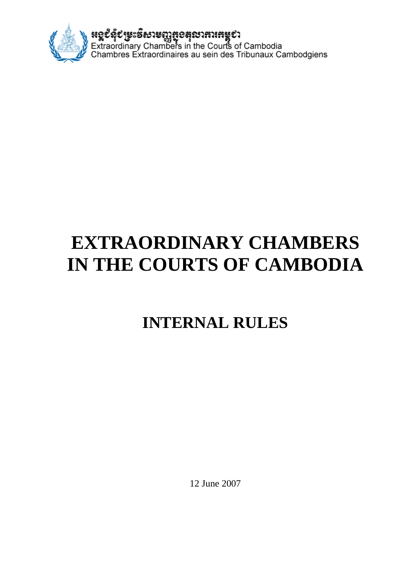

# **EXTRAORDINARY CHAMBERS IN THE COURTS OF CAMBODIA**

# **INTERNAL RULES**

12 June 2007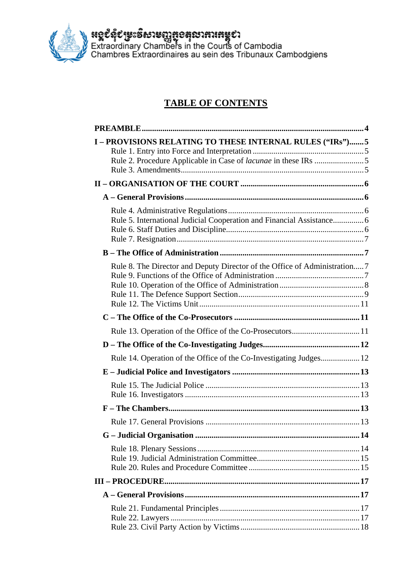

) **ႏွငံႏွိႏ္း** အေ**းၾကီးေမးေကာင္း ေဆးေန႔ ေဆးေန႔ ေဆးေကာင္း**<br>ေတြေကာင္း Chambers in the Courts of Cambodia<br>ေတြေကာင္း Extraordinaires au sein des Tribunaux Cambodgiens

# **TABLE OF CONTENTS**

| I-PROVISIONS RELATING TO THESE INTERNAL RULES ("IRs")5                    |  |
|---------------------------------------------------------------------------|--|
|                                                                           |  |
|                                                                           |  |
| Rule 5. International Judicial Cooperation and Financial Assistance 6     |  |
|                                                                           |  |
| Rule 8. The Director and Deputy Director of the Office of Administration7 |  |
|                                                                           |  |
|                                                                           |  |
|                                                                           |  |
| Rule 14. Operation of the Office of the Co-Investigating Judges 12        |  |
|                                                                           |  |
|                                                                           |  |
|                                                                           |  |
|                                                                           |  |
|                                                                           |  |
|                                                                           |  |
|                                                                           |  |
|                                                                           |  |
|                                                                           |  |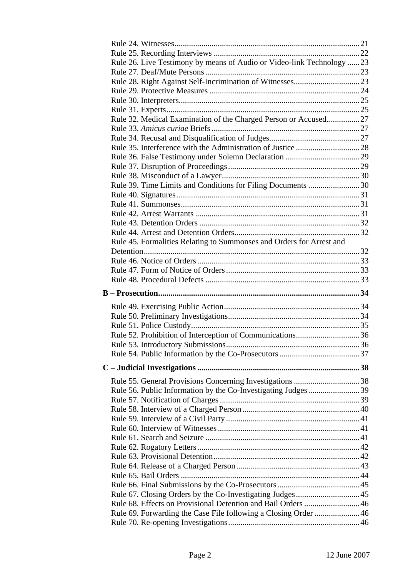| Rule 26. Live Testimony by means of Audio or Video-link Technology  23 |  |
|------------------------------------------------------------------------|--|
|                                                                        |  |
|                                                                        |  |
|                                                                        |  |
|                                                                        |  |
|                                                                        |  |
| Rule 32. Medical Examination of the Charged Person or Accused27        |  |
|                                                                        |  |
|                                                                        |  |
|                                                                        |  |
|                                                                        |  |
|                                                                        |  |
|                                                                        |  |
| Rule 39. Time Limits and Conditions for Filing Documents 30            |  |
|                                                                        |  |
|                                                                        |  |
|                                                                        |  |
|                                                                        |  |
|                                                                        |  |
| Rule 45. Formalities Relating to Summonses and Orders for Arrest and   |  |
|                                                                        |  |
|                                                                        |  |
|                                                                        |  |
|                                                                        |  |
|                                                                        |  |
|                                                                        |  |
|                                                                        |  |
|                                                                        |  |
|                                                                        |  |
|                                                                        |  |
|                                                                        |  |
|                                                                        |  |
|                                                                        |  |
|                                                                        |  |
|                                                                        |  |
| Rule 56. Public Information by the Co-Investigating Judges39           |  |
|                                                                        |  |
|                                                                        |  |
|                                                                        |  |
|                                                                        |  |
|                                                                        |  |
|                                                                        |  |
|                                                                        |  |
|                                                                        |  |
|                                                                        |  |
|                                                                        |  |
|                                                                        |  |
| Rule 68. Effects on Provisional Detention and Bail Orders  46          |  |
| Rule 69. Forwarding the Case File following a Closing Order  46        |  |
|                                                                        |  |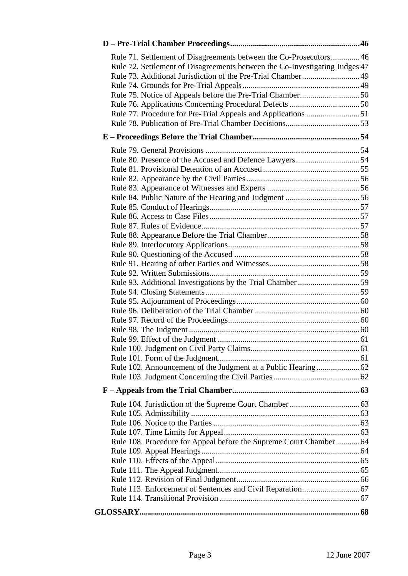| Rule 71. Settlement of Disagreements between the Co-Prosecutors 46          |  |
|-----------------------------------------------------------------------------|--|
| Rule 72. Settlement of Disagreements between the Co-Investigating Judges 47 |  |
|                                                                             |  |
|                                                                             |  |
|                                                                             |  |
|                                                                             |  |
| Rule 77. Procedure for Pre-Trial Appeals and Applications 51                |  |
|                                                                             |  |
|                                                                             |  |
|                                                                             |  |
| Rule 80. Presence of the Accused and Defence Lawyers54                      |  |
|                                                                             |  |
|                                                                             |  |
|                                                                             |  |
|                                                                             |  |
|                                                                             |  |
|                                                                             |  |
|                                                                             |  |
|                                                                             |  |
|                                                                             |  |
|                                                                             |  |
|                                                                             |  |
|                                                                             |  |
|                                                                             |  |
|                                                                             |  |
|                                                                             |  |
|                                                                             |  |
|                                                                             |  |
|                                                                             |  |
|                                                                             |  |
|                                                                             |  |
|                                                                             |  |
|                                                                             |  |
|                                                                             |  |
|                                                                             |  |
|                                                                             |  |
|                                                                             |  |
|                                                                             |  |
|                                                                             |  |
| Rule 108. Procedure for Appeal before the Supreme Court Chamber  64         |  |
|                                                                             |  |
|                                                                             |  |
|                                                                             |  |
|                                                                             |  |
|                                                                             |  |
|                                                                             |  |
|                                                                             |  |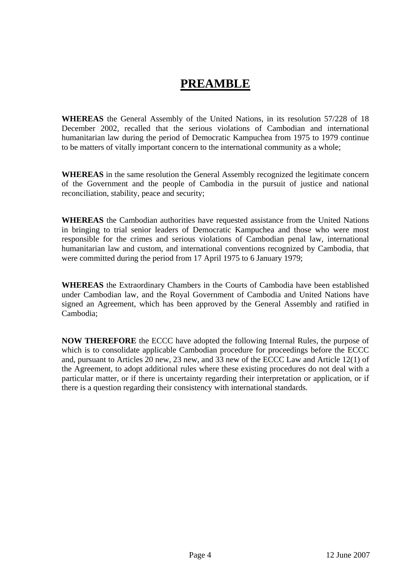# **PREAMBLE**

<span id="page-4-0"></span>**WHEREAS** the General Assembly of the United Nations, in its resolution 57/228 of 18 December 2002, recalled that the serious violations of Cambodian and international humanitarian law during the period of Democratic Kampuchea from 1975 to 1979 continue to be matters of vitally important concern to the international community as a whole;

**WHEREAS** in the same resolution the General Assembly recognized the legitimate concern of the Government and the people of Cambodia in the pursuit of justice and national reconciliation, stability, peace and security;

**WHEREAS** the Cambodian authorities have requested assistance from the United Nations in bringing to trial senior leaders of Democratic Kampuchea and those who were most responsible for the crimes and serious violations of Cambodian penal law, international humanitarian law and custom, and international conventions recognized by Cambodia, that were committed during the period from 17 April 1975 to 6 January 1979;

**WHEREAS** the Extraordinary Chambers in the Courts of Cambodia have been established under Cambodian law, and the Royal Government of Cambodia and United Nations have signed an Agreement, which has been approved by the General Assembly and ratified in Cambodia;

**NOW THEREFORE** the ECCC have adopted the following Internal Rules, the purpose of which is to consolidate applicable Cambodian procedure for proceedings before the ECCC and, pursuant to Articles 20 new, 23 new, and 33 new of the ECCC Law and Article 12(1) of the Agreement, to adopt additional rules where these existing procedures do not deal with a particular matter, or if there is uncertainty regarding their interpretation or application, or if there is a question regarding their consistency with international standards.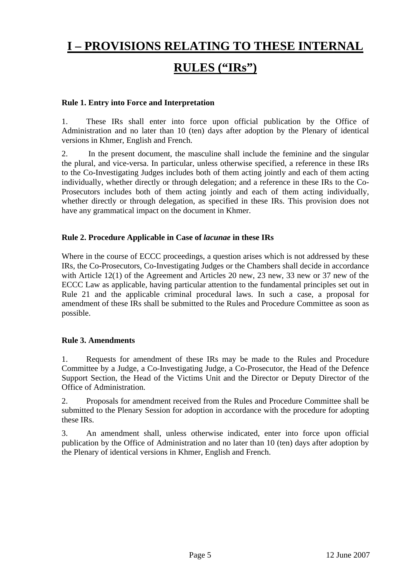# <span id="page-5-0"></span>**I – PROVISIONS RELATING TO THESE INTERNAL**

# **RULES ("IRs")**

#### **Rule 1. Entry into Force and Interpretation**

1. These IRs shall enter into force upon official publication by the Office of Administration and no later than 10 (ten) days after adoption by the Plenary of identical versions in Khmer, English and French.

2. In the present document, the masculine shall include the feminine and the singular the plural, and vice-versa. In particular, unless otherwise specified, a reference in these IRs to the Co-Investigating Judges includes both of them acting jointly and each of them acting individually, whether directly or through delegation; and a reference in these IRs to the Co-Prosecutors includes both of them acting jointly and each of them acting individually, whether directly or through delegation, as specified in these IRs. This provision does not have any grammatical impact on the document in Khmer.

#### **Rule 2. Procedure Applicable in Case of** *lacunae* **in these IRs**

Where in the course of ECCC proceedings, a question arises which is not addressed by these IRs, the Co-Prosecutors, Co-Investigating Judges or the Chambers shall decide in accordance with Article 12(1) of the Agreement and Articles 20 new, 23 new, 33 new or 37 new of the ECCC Law as applicable, having particular attention to the fundamental principles set out in Rule 21 and the applicable criminal procedural laws. In such a case, a proposal for amendment of these IRs shall be submitted to the Rules and Procedure Committee as soon as possible.

#### **Rule 3. Amendments**

1. Requests for amendment of these IRs may be made to the Rules and Procedure Committee by a Judge, a Co-Investigating Judge, a Co-Prosecutor, the Head of the Defence Support Section, the Head of the Victims Unit and the Director or Deputy Director of the Office of Administration.

2. Proposals for amendment received from the Rules and Procedure Committee shall be submitted to the Plenary Session for adoption in accordance with the procedure for adopting these IRs.

3. An amendment shall, unless otherwise indicated, enter into force upon official publication by the Office of Administration and no later than 10 (ten) days after adoption by the Plenary of identical versions in Khmer, English and French.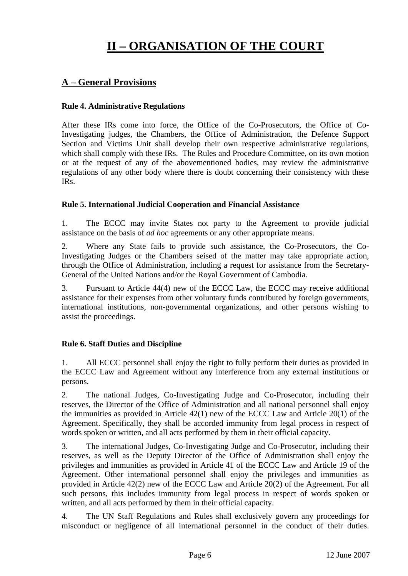# **II – ORGANISATION OF THE COURT**

# <span id="page-6-0"></span>**A – General Provisions**

#### **Rule 4. Administrative Regulations**

After these IRs come into force, the Office of the Co-Prosecutors, the Office of Co-Investigating judges, the Chambers, the Office of Administration, the Defence Support Section and Victims Unit shall develop their own respective administrative regulations, which shall comply with these IRs. The Rules and Procedure Committee, on its own motion or at the request of any of the abovementioned bodies, may review the administrative regulations of any other body where there is doubt concerning their consistency with these IRs.

#### **Rule 5. International Judicial Cooperation and Financial Assistance**

1. The ECCC may invite States not party to the Agreement to provide judicial assistance on the basis of *ad hoc* agreements or any other appropriate means.

2. Where any State fails to provide such assistance, the Co-Prosecutors, the Co-Investigating Judges or the Chambers seised of the matter may take appropriate action, through the Office of Administration, including a request for assistance from the Secretary-General of the United Nations and/or the Royal Government of Cambodia.

3. Pursuant to Article 44(4) new of the ECCC Law, the ECCC may receive additional assistance for their expenses from other voluntary funds contributed by foreign governments, international institutions, non-governmental organizations, and other persons wishing to assist the proceedings.

#### **Rule 6. Staff Duties and Discipline**

1. All ECCC personnel shall enjoy the right to fully perform their duties as provided in the ECCC Law and Agreement without any interference from any external institutions or persons.

2. The national Judges, Co-Investigating Judge and Co-Prosecutor, including their reserves, the Director of the Office of Administration and all national personnel shall enjoy the immunities as provided in Article 42(1) new of the ECCC Law and Article 20(1) of the Agreement. Specifically, they shall be accorded immunity from legal process in respect of words spoken or written, and all acts performed by them in their official capacity.

3. The international Judges, Co-Investigating Judge and Co-Prosecutor, including their reserves, as well as the Deputy Director of the Office of Administration shall enjoy the privileges and immunities as provided in Article 41 of the ECCC Law and Article 19 of the Agreement. Other international personnel shall enjoy the privileges and immunities as provided in Article 42(2) new of the ECCC Law and Article 20(2) of the Agreement. For all such persons, this includes immunity from legal process in respect of words spoken or written, and all acts performed by them in their official capacity.

4. The UN Staff Regulations and Rules shall exclusively govern any proceedings for misconduct or negligence of all international personnel in the conduct of their duties.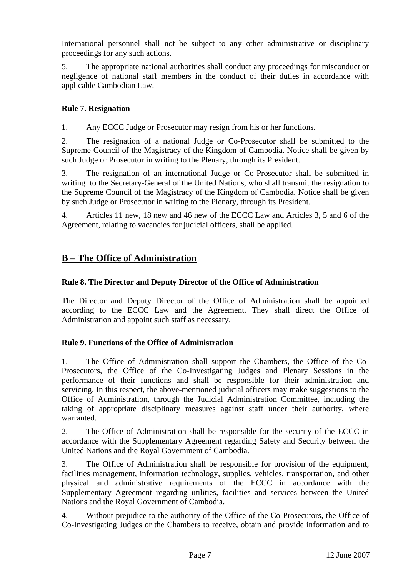<span id="page-7-0"></span>International personnel shall not be subject to any other administrative or disciplinary proceedings for any such actions.

5. The appropriate national authorities shall conduct any proceedings for misconduct or negligence of national staff members in the conduct of their duties in accordance with applicable Cambodian Law.

#### **Rule 7. Resignation**

1. Any ECCC Judge or Prosecutor may resign from his or her functions.

2. The resignation of a national Judge or Co-Prosecutor shall be submitted to the Supreme Council of the Magistracy of the Kingdom of Cambodia. Notice shall be given by such Judge or Prosecutor in writing to the Plenary, through its President.

3. The resignation of an international Judge or Co-Prosecutor shall be submitted in writing to the Secretary-General of the United Nations, who shall transmit the resignation to the Supreme Council of the Magistracy of the Kingdom of Cambodia. Notice shall be given by such Judge or Prosecutor in writing to the Plenary, through its President.

4. Articles 11 new, 18 new and 46 new of the ECCC Law and Articles 3, 5 and 6 of the Agreement, relating to vacancies for judicial officers, shall be applied.

# **B – The Office of Administration**

#### **Rule 8. The Director and Deputy Director of the Office of Administration**

The Director and Deputy Director of the Office of Administration shall be appointed according to the ECCC Law and the Agreement. They shall direct the Office of Administration and appoint such staff as necessary.

#### **Rule 9. Functions of the Office of Administration**

1. The Office of Administration shall support the Chambers, the Office of the Co-Prosecutors, the Office of the Co-Investigating Judges and Plenary Sessions in the performance of their functions and shall be responsible for their administration and servicing. In this respect, the above-mentioned judicial officers may make suggestions to the Office of Administration, through the Judicial Administration Committee, including the taking of appropriate disciplinary measures against staff under their authority, where warranted.

2. The Office of Administration shall be responsible for the security of the ECCC in accordance with the Supplementary Agreement regarding Safety and Security between the United Nations and the Royal Government of Cambodia.

3. The Office of Administration shall be responsible for provision of the equipment, facilities management, information technology, supplies, vehicles, transportation, and other physical and administrative requirements of the ECCC in accordance with the Supplementary Agreement regarding utilities, facilities and services between the United Nations and the Royal Government of Cambodia.

4. Without prejudice to the authority of the Office of the Co-Prosecutors, the Office of Co-Investigating Judges or the Chambers to receive, obtain and provide information and to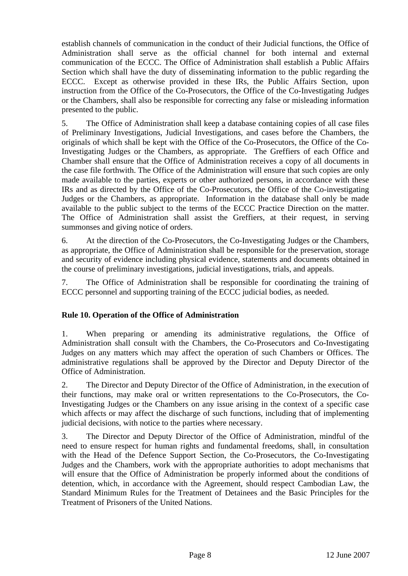<span id="page-8-0"></span>establish channels of communication in the conduct of their Judicial functions, the Office of Administration shall serve as the official channel for both internal and external communication of the ECCC. The Office of Administration shall establish a Public Affairs Section which shall have the duty of disseminating information to the public regarding the ECCC. Except as otherwise provided in these IRs, the Public Affairs Section, upon instruction from the Office of the Co-Prosecutors, the Office of the Co-Investigating Judges or the Chambers, shall also be responsible for correcting any false or misleading information presented to the public.

5. The Office of Administration shall keep a database containing copies of all case files of Preliminary Investigations, Judicial Investigations, and cases before the Chambers, the originals of which shall be kept with the Office of the Co-Prosecutors, the Office of the Co-Investigating Judges or the Chambers, as appropriate. The Greffiers of each Office and Chamber shall ensure that the Office of Administration receives a copy of all documents in the case file forthwith. The Office of the Administration will ensure that such copies are only made available to the parties, experts or other authorized persons, in accordance with these IRs and as directed by the Office of the Co-Prosecutors, the Office of the Co-investigating Judges or the Chambers, as appropriate. Information in the database shall only be made available to the public subject to the terms of the ECCC Practice Direction on the matter. The Office of Administration shall assist the Greffiers, at their request, in serving summonses and giving notice of orders.

6. At the direction of the Co-Prosecutors, the Co-Investigating Judges or the Chambers, as appropriate, the Office of Administration shall be responsible for the preservation, storage and security of evidence including physical evidence, statements and documents obtained in the course of preliminary investigations, judicial investigations, trials, and appeals.

7. The Office of Administration shall be responsible for coordinating the training of ECCC personnel and supporting training of the ECCC judicial bodies, as needed.

#### **Rule 10. Operation of the Office of Administration**

1. When preparing or amending its administrative regulations, the Office of Administration shall consult with the Chambers, the Co-Prosecutors and Co-Investigating Judges on any matters which may affect the operation of such Chambers or Offices. The administrative regulations shall be approved by the Director and Deputy Director of the Office of Administration.

2. The Director and Deputy Director of the Office of Administration, in the execution of their functions, may make oral or written representations to the Co-Prosecutors, the Co-Investigating Judges or the Chambers on any issue arising in the context of a specific case which affects or may affect the discharge of such functions, including that of implementing judicial decisions, with notice to the parties where necessary.

3. The Director and Deputy Director of the Office of Administration, mindful of the need to ensure respect for human rights and fundamental freedoms, shall, in consultation with the Head of the Defence Support Section, the Co-Prosecutors, the Co-Investigating Judges and the Chambers, work with the appropriate authorities to adopt mechanisms that will ensure that the Office of Administration be properly informed about the conditions of detention, which, in accordance with the Agreement, should respect Cambodian Law, the Standard Minimum Rules for the Treatment of Detainees and the Basic Principles for the Treatment of Prisoners of the United Nations.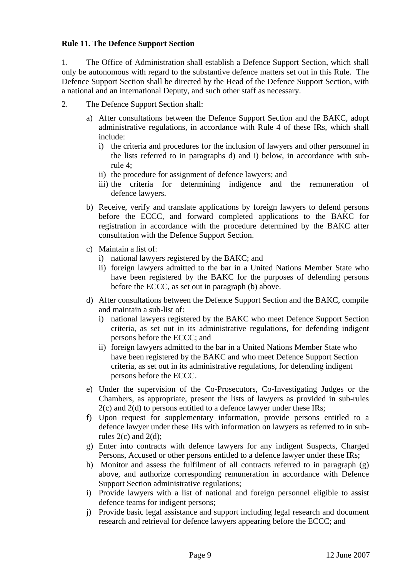#### <span id="page-9-0"></span>**Rule 11. The Defence Support Section**

1. The Office of Administration shall establish a Defence Support Section, which shall only be autonomous with regard to the substantive defence matters set out in this Rule. The Defence Support Section shall be directed by the Head of the Defence Support Section, with a national and an international Deputy, and such other staff as necessary.

- 2. The Defence Support Section shall:
	- a) After consultations between the Defence Support Section and the BAKC, adopt administrative regulations, in accordance with Rule 4 of these IRs, which shall include:
		- i) the criteria and procedures for the inclusion of lawyers and other personnel in the lists referred to in paragraphs d) and i) below, in accordance with subrule 4;
		- ii) the procedure for assignment of defence lawyers; and
		- iii) the criteria for determining indigence and the remuneration of defence lawyers.
	- b) Receive, verify and translate applications by foreign lawyers to defend persons before the ECCC, and forward completed applications to the BAKC for registration in accordance with the procedure determined by the BAKC after consultation with the Defence Support Section.
	- c) Maintain a list of:
		- i) national lawyers registered by the BAKC; and
		- ii) foreign lawyers admitted to the bar in a United Nations Member State who have been registered by the BAKC for the purposes of defending persons before the ECCC, as set out in paragraph (b) above.
	- d) After consultations between the Defence Support Section and the BAKC, compile and maintain a sub-list of:
		- i) national lawyers registered by the BAKC who meet Defence Support Section criteria, as set out in its administrative regulations, for defending indigent persons before the ECCC; and
		- ii) foreign lawyers admitted to the bar in a United Nations Member State who have been registered by the BAKC and who meet Defence Support Section criteria, as set out in its administrative regulations, for defending indigent persons before the ECCC.
	- e) Under the supervision of the Co-Prosecutors, Co-Investigating Judges or the Chambers, as appropriate, present the lists of lawyers as provided in sub-rules 2(c) and 2(d) to persons entitled to a defence lawyer under these IRs;
	- f) Upon request for supplementary information, provide persons entitled to a defence lawyer under these IRs with information on lawyers as referred to in subrules  $2(c)$  and  $2(d)$ ;
	- g) Enter into contracts with defence lawyers for any indigent Suspects, Charged Persons, Accused or other persons entitled to a defence lawyer under these IRs;
	- h) Monitor and assess the fulfilment of all contracts referred to in paragraph (g) above, and authorize corresponding remuneration in accordance with Defence Support Section administrative regulations;
	- i) Provide lawyers with a list of national and foreign personnel eligible to assist defence teams for indigent persons;
	- j) Provide basic legal assistance and support including legal research and document research and retrieval for defence lawyers appearing before the ECCC; and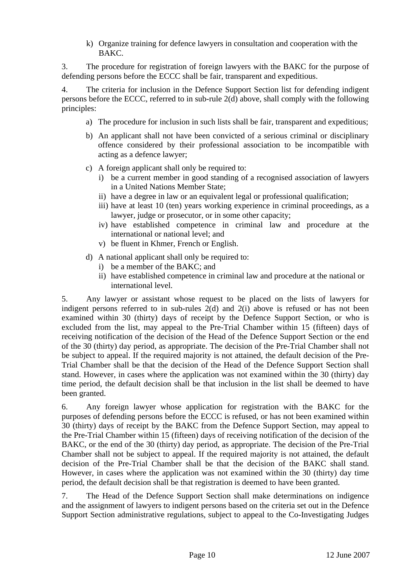k) Organize training for defence lawyers in consultation and cooperation with the BAKC.

3. The procedure for registration of foreign lawyers with the BAKC for the purpose of defending persons before the ECCC shall be fair, transparent and expeditious.

4. The criteria for inclusion in the Defence Support Section list for defending indigent persons before the ECCC, referred to in sub-rule 2(d) above, shall comply with the following principles:

- a) The procedure for inclusion in such lists shall be fair, transparent and expeditious;
- b) An applicant shall not have been convicted of a serious criminal or disciplinary offence considered by their professional association to be incompatible with acting as a defence lawyer;
- c) A foreign applicant shall only be required to:
	- i) be a current member in good standing of a recognised association of lawyers in a United Nations Member State;
	- ii) have a degree in law or an equivalent legal or professional qualification;
	- iii) have at least 10 (ten) years working experience in criminal proceedings, as a lawyer, judge or prosecutor, or in some other capacity;
	- iv) have established competence in criminal law and procedure at the international or national level; and
	- v) be fluent in Khmer, French or English.
- d) A national applicant shall only be required to:
	- i) be a member of the BAKC; and
	- ii) have established competence in criminal law and procedure at the national or international level.

5. Any lawyer or assistant whose request to be placed on the lists of lawyers for indigent persons referred to in sub-rules 2(d) and 2(i) above is refused or has not been examined within 30 (thirty) days of receipt by the Defence Support Section, or who is excluded from the list, may appeal to the Pre-Trial Chamber within 15 (fifteen) days of receiving notification of the decision of the Head of the Defence Support Section or the end of the 30 (thirty) day period, as appropriate. The decision of the Pre-Trial Chamber shall not be subject to appeal. If the required majority is not attained, the default decision of the Pre-Trial Chamber shall be that the decision of the Head of the Defence Support Section shall stand. However, in cases where the application was not examined within the 30 (thirty) day time period, the default decision shall be that inclusion in the list shall be deemed to have been granted.

6. Any foreign lawyer whose application for registration with the BAKC for the purposes of defending persons before the ECCC is refused, or has not been examined within 30 (thirty) days of receipt by the BAKC from the Defence Support Section, may appeal to the Pre-Trial Chamber within 15 (fifteen) days of receiving notification of the decision of the BAKC, or the end of the 30 (thirty) day period, as appropriate. The decision of the Pre-Trial Chamber shall not be subject to appeal. If the required majority is not attained, the default decision of the Pre-Trial Chamber shall be that the decision of the BAKC shall stand. However, in cases where the application was not examined within the 30 (thirty) day time period, the default decision shall be that registration is deemed to have been granted.

7. The Head of the Defence Support Section shall make determinations on indigence and the assignment of lawyers to indigent persons based on the criteria set out in the Defence Support Section administrative regulations, subject to appeal to the Co-Investigating Judges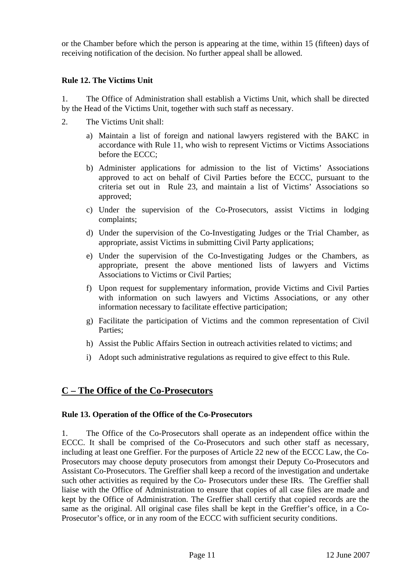<span id="page-11-0"></span>or the Chamber before which the person is appearing at the time, within 15 (fifteen) days of receiving notification of the decision. No further appeal shall be allowed.

#### **Rule 12. The Victims Unit**

1. The Office of Administration shall establish a Victims Unit, which shall be directed by the Head of the Victims Unit, together with such staff as necessary.

- 2. The Victims Unit shall:
	- a) Maintain a list of foreign and national lawyers registered with the BAKC in accordance with Rule 11, who wish to represent Victims or Victims Associations before the ECCC;
	- b) Administer applications for admission to the list of Victims' Associations approved to act on behalf of Civil Parties before the ECCC, pursuant to the criteria set out in Rule 23, and maintain a list of Victims' Associations so approved;
	- c) Under the supervision of the Co-Prosecutors, assist Victims in lodging complaints;
	- d) Under the supervision of the Co-Investigating Judges or the Trial Chamber, as appropriate, assist Victims in submitting Civil Party applications;
	- e) Under the supervision of the Co-Investigating Judges or the Chambers, as appropriate, present the above mentioned lists of lawyers and Victims Associations to Victims or Civil Parties;
	- f) Upon request for supplementary information, provide Victims and Civil Parties with information on such lawyers and Victims Associations, or any other information necessary to facilitate effective participation;
	- g) Facilitate the participation of Victims and the common representation of Civil Parties;
	- h) Assist the Public Affairs Section in outreach activities related to victims; and
	- i) Adopt such administrative regulations as required to give effect to this Rule.

# **C – The Office of the Co-Prosecutors**

#### **Rule 13. Operation of the Office of the Co-Prosecutors**

1. The Office of the Co-Prosecutors shall operate as an independent office within the ECCC. It shall be comprised of the Co-Prosecutors and such other staff as necessary, including at least one Greffier. For the purposes of Article 22 new of the ECCC Law, the Co-Prosecutors may choose deputy prosecutors from amongst their Deputy Co-Prosecutors and Assistant Co-Prosecutors. The Greffier shall keep a record of the investigation and undertake such other activities as required by the Co- Prosecutors under these IRs. The Greffier shall liaise with the Office of Administration to ensure that copies of all case files are made and kept by the Office of Administration. The Greffier shall certify that copied records are the same as the original. All original case files shall be kept in the Greffier's office, in a Co-Prosecutor's office, or in any room of the ECCC with sufficient security conditions.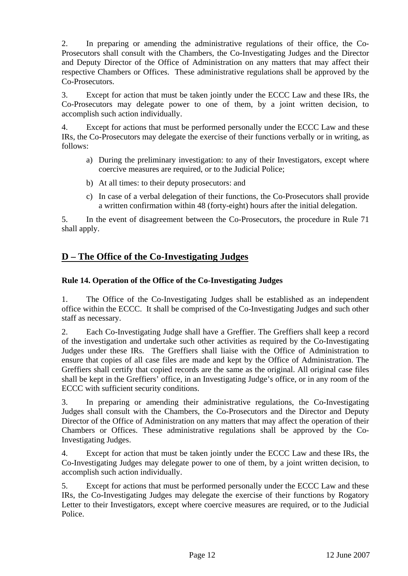<span id="page-12-0"></span>2. In preparing or amending the administrative regulations of their office, the Co-Prosecutors shall consult with the Chambers, the Co-Investigating Judges and the Director and Deputy Director of the Office of Administration on any matters that may affect their respective Chambers or Offices. These administrative regulations shall be approved by the Co-Prosecutors.

3. Except for action that must be taken jointly under the ECCC Law and these IRs, the Co-Prosecutors may delegate power to one of them, by a joint written decision, to accomplish such action individually.

4. Except for actions that must be performed personally under the ECCC Law and these IRs, the Co-Prosecutors may delegate the exercise of their functions verbally or in writing, as follows:

- a) During the preliminary investigation: to any of their Investigators, except where coercive measures are required, or to the Judicial Police;
- b) At all times: to their deputy prosecutors: and
- c) In case of a verbal delegation of their functions, the Co-Prosecutors shall provide a written confirmation within 48 (forty-eight) hours after the initial delegation.

5. In the event of disagreement between the Co-Prosecutors, the procedure in Rule 71 shall apply.

# **D – The Office of the Co-Investigating Judges**

#### **Rule 14. Operation of the Office of the Co-Investigating Judges**

1. The Office of the Co-Investigating Judges shall be established as an independent office within the ECCC. It shall be comprised of the Co-Investigating Judges and such other staff as necessary.

2. Each Co-Investigating Judge shall have a Greffier. The Greffiers shall keep a record of the investigation and undertake such other activities as required by the Co-Investigating Judges under these IRs. The Greffiers shall liaise with the Office of Administration to ensure that copies of all case files are made and kept by the Office of Administration. The Greffiers shall certify that copied records are the same as the original. All original case files shall be kept in the Greffiers' office, in an Investigating Judge's office, or in any room of the ECCC with sufficient security conditions.

3. In preparing or amending their administrative regulations, the Co-Investigating Judges shall consult with the Chambers, the Co-Prosecutors and the Director and Deputy Director of the Office of Administration on any matters that may affect the operation of their Chambers or Offices. These administrative regulations shall be approved by the Co-Investigating Judges.

4. Except for action that must be taken jointly under the ECCC Law and these IRs, the Co-Investigating Judges may delegate power to one of them, by a joint written decision, to accomplish such action individually.

5. Except for actions that must be performed personally under the ECCC Law and these IRs, the Co-Investigating Judges may delegate the exercise of their functions by Rogatory Letter to their Investigators, except where coercive measures are required, or to the Judicial Police.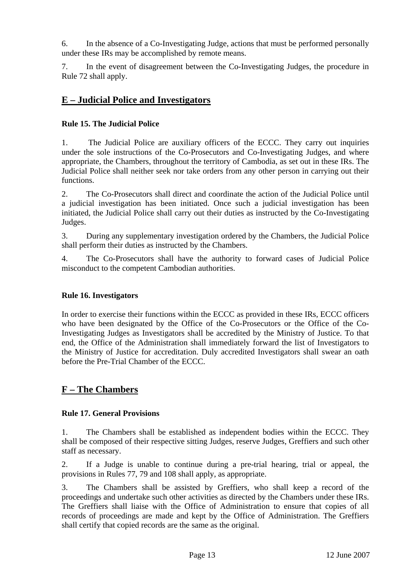<span id="page-13-0"></span>6. In the absence of a Co-Investigating Judge, actions that must be performed personally under these IRs may be accomplished by remote means.

7. In the event of disagreement between the Co-Investigating Judges, the procedure in Rule 72 shall apply.

# **E – Judicial Police and Investigators**

## **Rule 15. The Judicial Police**

1. The Judicial Police are auxiliary officers of the ECCC. They carry out inquiries under the sole instructions of the Co-Prosecutors and Co-Investigating Judges, and where appropriate, the Chambers, throughout the territory of Cambodia, as set out in these IRs. The Judicial Police shall neither seek nor take orders from any other person in carrying out their functions.

2. The Co-Prosecutors shall direct and coordinate the action of the Judicial Police until a judicial investigation has been initiated. Once such a judicial investigation has been initiated, the Judicial Police shall carry out their duties as instructed by the Co-Investigating Judges.

3. During any supplementary investigation ordered by the Chambers, the Judicial Police shall perform their duties as instructed by the Chambers.

4. The Co-Prosecutors shall have the authority to forward cases of Judicial Police misconduct to the competent Cambodian authorities.

## **Rule 16. Investigators**

In order to exercise their functions within the ECCC as provided in these IRs, ECCC officers who have been designated by the Office of the Co-Prosecutors or the Office of the Co-Investigating Judges as Investigators shall be accredited by the Ministry of Justice. To that end, the Office of the Administration shall immediately forward the list of Investigators to the Ministry of Justice for accreditation. Duly accredited Investigators shall swear an oath before the Pre-Trial Chamber of the ECCC.

# **F – The Chambers**

## **Rule 17. General Provisions**

1. The Chambers shall be established as independent bodies within the ECCC. They shall be composed of their respective sitting Judges, reserve Judges, Greffiers and such other staff as necessary.

2. If a Judge is unable to continue during a pre-trial hearing, trial or appeal, the provisions in Rules 77, 79 and 108 shall apply, as appropriate.

3. The Chambers shall be assisted by Greffiers, who shall keep a record of the proceedings and undertake such other activities as directed by the Chambers under these IRs. The Greffiers shall liaise with the Office of Administration to ensure that copies of all records of proceedings are made and kept by the Office of Administration. The Greffiers shall certify that copied records are the same as the original.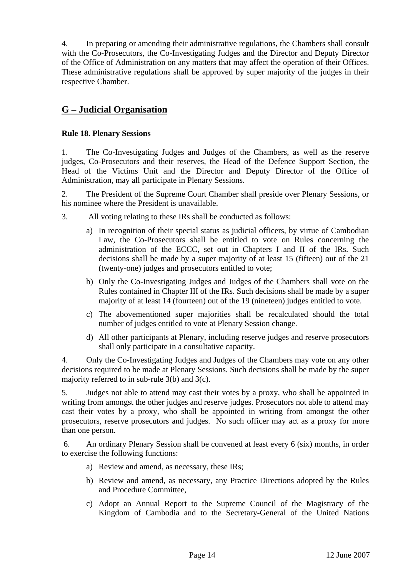<span id="page-14-0"></span>4. In preparing or amending their administrative regulations, the Chambers shall consult with the Co-Prosecutors, the Co-Investigating Judges and the Director and Deputy Director of the Office of Administration on any matters that may affect the operation of their Offices. These administrative regulations shall be approved by super majority of the judges in their respective Chamber.

# **G – Judicial Organisation**

#### **Rule 18. Plenary Sessions**

1. The Co-Investigating Judges and Judges of the Chambers, as well as the reserve judges, Co-Prosecutors and their reserves, the Head of the Defence Support Section, the Head of the Victims Unit and the Director and Deputy Director of the Office of Administration, may all participate in Plenary Sessions.

2. The President of the Supreme Court Chamber shall preside over Plenary Sessions, or his nominee where the President is unavailable.

- 3. All voting relating to these IRs shall be conducted as follows:
	- a) In recognition of their special status as judicial officers, by virtue of Cambodian Law, the Co-Prosecutors shall be entitled to vote on Rules concerning the administration of the ECCC, set out in Chapters I and II of the IRs. Such decisions shall be made by a super majority of at least 15 (fifteen) out of the 21 (twenty-one) judges and prosecutors entitled to vote;
	- b) Only the Co-Investigating Judges and Judges of the Chambers shall vote on the Rules contained in Chapter III of the IRs. Such decisions shall be made by a super majority of at least 14 (fourteen) out of the 19 (nineteen) judges entitled to vote.
	- c) The abovementioned super majorities shall be recalculated should the total number of judges entitled to vote at Plenary Session change.
	- d) All other participants at Plenary, including reserve judges and reserve prosecutors shall only participate in a consultative capacity.

4. Only the Co-Investigating Judges and Judges of the Chambers may vote on any other decisions required to be made at Plenary Sessions. Such decisions shall be made by the super majority referred to in sub-rule 3(b) and 3(c).

5. Judges not able to attend may cast their votes by a proxy, who shall be appointed in writing from amongst the other judges and reserve judges. Prosecutors not able to attend may cast their votes by a proxy, who shall be appointed in writing from amongst the other prosecutors, reserve prosecutors and judges. No such officer may act as a proxy for more than one person.

6. An ordinary Plenary Session shall be convened at least every 6 (six) months, in order to exercise the following functions:

- a) Review and amend, as necessary, these IRs;
- b) Review and amend, as necessary, any Practice Directions adopted by the Rules and Procedure Committee,
- c) Adopt an Annual Report to the Supreme Council of the Magistracy of the Kingdom of Cambodia and to the Secretary-General of the United Nations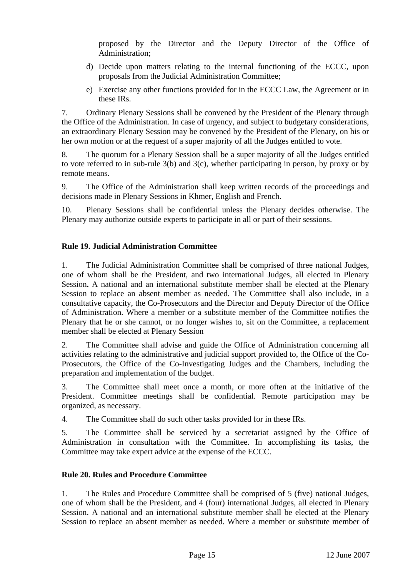<span id="page-15-0"></span>proposed by the Director and the Deputy Director of the Office of Administration;

- d) Decide upon matters relating to the internal functioning of the ECCC, upon proposals from the Judicial Administration Committee;
- e) Exercise any other functions provided for in the ECCC Law, the Agreement or in these IRs.

7. Ordinary Plenary Sessions shall be convened by the President of the Plenary through the Office of the Administration. In case of urgency, and subject to budgetary considerations, an extraordinary Plenary Session may be convened by the President of the Plenary, on his or her own motion or at the request of a super majority of all the Judges entitled to vote.

8. The quorum for a Plenary Session shall be a super majority of all the Judges entitled to vote referred to in sub-rule 3(b) and 3(c), whether participating in person, by proxy or by remote means.

9. The Office of the Administration shall keep written records of the proceedings and decisions made in Plenary Sessions in Khmer, English and French.

10. Plenary Sessions shall be confidential unless the Plenary decides otherwise. The Plenary may authorize outside experts to participate in all or part of their sessions.

#### **Rule 19. Judicial Administration Committee**

1. The Judicial Administration Committee shall be comprised of three national Judges, one of whom shall be the President, and two international Judges, all elected in Plenary Session**.** A national and an international substitute member shall be elected at the Plenary Session to replace an absent member as needed. The Committee shall also include, in a consultative capacity, the Co-Prosecutors and the Director and Deputy Director of the Office of Administration. Where a member or a substitute member of the Committee notifies the Plenary that he or she cannot, or no longer wishes to, sit on the Committee, a replacement member shall be elected at Plenary Session

2. The Committee shall advise and guide the Office of Administration concerning all activities relating to the administrative and judicial support provided to, the Office of the Co-Prosecutors, the Office of the Co-Investigating Judges and the Chambers, including the preparation and implementation of the budget.

3. The Committee shall meet once a month, or more often at the initiative of the President. Committee meetings shall be confidential. Remote participation may be organized, as necessary.

4. The Committee shall do such other tasks provided for in these IRs.

5. The Committee shall be serviced by a secretariat assigned by the Office of Administration in consultation with the Committee. In accomplishing its tasks, the Committee may take expert advice at the expense of the ECCC.

#### **Rule 20. Rules and Procedure Committee**

1. The Rules and Procedure Committee shall be comprised of 5 (five) national Judges, one of whom shall be the President, and 4 (four) international Judges, all elected in Plenary Session. A national and an international substitute member shall be elected at the Plenary Session to replace an absent member as needed. Where a member or substitute member of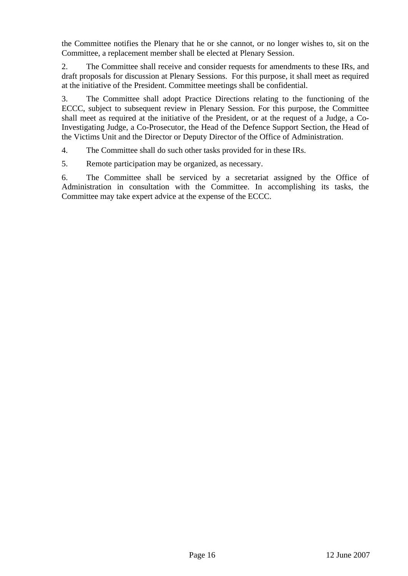the Committee notifies the Plenary that he or she cannot, or no longer wishes to, sit on the Committee, a replacement member shall be elected at Plenary Session.

2. The Committee shall receive and consider requests for amendments to these IRs, and draft proposals for discussion at Plenary Sessions. For this purpose, it shall meet as required at the initiative of the President. Committee meetings shall be confidential.

3. The Committee shall adopt Practice Directions relating to the functioning of the ECCC, subject to subsequent review in Plenary Session. For this purpose, the Committee shall meet as required at the initiative of the President, or at the request of a Judge, a Co-Investigating Judge, a Co-Prosecutor, the Head of the Defence Support Section, the Head of the Victims Unit and the Director or Deputy Director of the Office of Administration.

4. The Committee shall do such other tasks provided for in these IRs.

5. Remote participation may be organized, as necessary.

6. The Committee shall be serviced by a secretariat assigned by the Office of Administration in consultation with the Committee. In accomplishing its tasks, the Committee may take expert advice at the expense of the ECCC.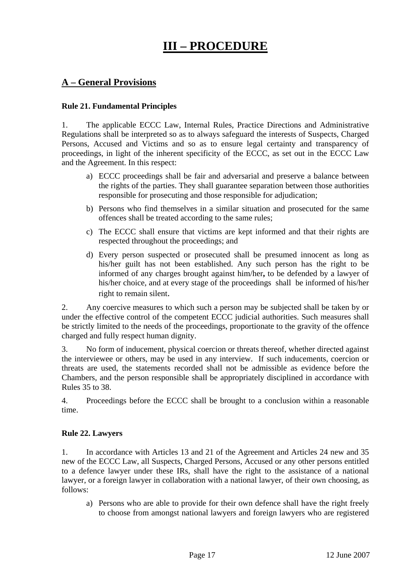# **III – PROCEDURE**

# <span id="page-17-0"></span>**A – General Provisions**

#### **Rule 21. Fundamental Principles**

1. The applicable ECCC Law, Internal Rules, Practice Directions and Administrative Regulations shall be interpreted so as to always safeguard the interests of Suspects, Charged Persons, Accused and Victims and so as to ensure legal certainty and transparency of proceedings, in light of the inherent specificity of the ECCC, as set out in the ECCC Law and the Agreement. In this respect:

- a) ECCC proceedings shall be fair and adversarial and preserve a balance between the rights of the parties. They shall guarantee separation between those authorities responsible for prosecuting and those responsible for adjudication;
- b) Persons who find themselves in a similar situation and prosecuted for the same offences shall be treated according to the same rules;
- c) The ECCC shall ensure that victims are kept informed and that their rights are respected throughout the proceedings; and
- d) Every person suspected or prosecuted shall be presumed innocent as long as his/her guilt has not been established. Any such person has the right to be informed of any charges brought against him/her**,** to be defended by a lawyer of his/her choice, and at every stage of the proceedings shall be informed of his/her right to remain silent.

2. Any coercive measures to which such a person may be subjected shall be taken by or under the effective control of the competent ECCC judicial authorities. Such measures shall be strictly limited to the needs of the proceedings, proportionate to the gravity of the offence charged and fully respect human dignity.

3. No form of inducement, physical coercion or threats thereof, whether directed against the interviewee or others, may be used in any interview. If such inducements, coercion or threats are used, the statements recorded shall not be admissible as evidence before the Chambers, and the person responsible shall be appropriately disciplined in accordance with Rules 35 to 38.

4. Proceedings before the ECCC shall be brought to a conclusion within a reasonable time.

#### **Rule 22. Lawyers**

1. In accordance with Articles 13 and 21 of the Agreement and Articles 24 new and 35 new of the ECCC Law, all Suspects, Charged Persons, Accused or any other persons entitled to a defence lawyer under these IRs, shall have the right to the assistance of a national lawyer, or a foreign lawyer in collaboration with a national lawyer, of their own choosing, as follows:

a) Persons who are able to provide for their own defence shall have the right freely to choose from amongst national lawyers and foreign lawyers who are registered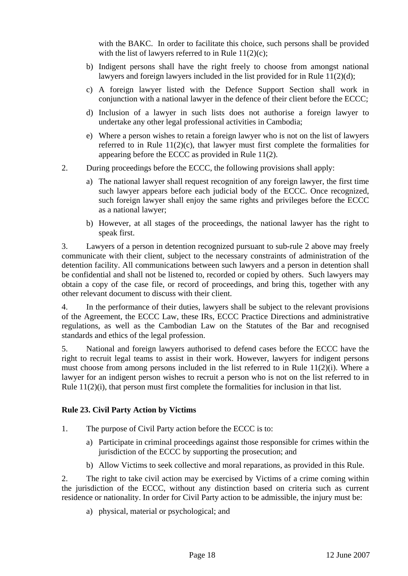<span id="page-18-0"></span>with the BAKC. In order to facilitate this choice, such persons shall be provided with the list of lawyers referred to in Rule  $11(2)(c)$ ;

- b) Indigent persons shall have the right freely to choose from amongst national lawyers and foreign lawyers included in the list provided for in Rule 11(2)(d);
- c) A foreign lawyer listed with the Defence Support Section shall work in conjunction with a national lawyer in the defence of their client before the ECCC;
- d) Inclusion of a lawyer in such lists does not authorise a foreign lawyer to undertake any other legal professional activities in Cambodia;
- e) Where a person wishes to retain a foreign lawyer who is not on the list of lawyers referred to in Rule  $11(2)(c)$ , that lawyer must first complete the formalities for appearing before the ECCC as provided in Rule 11(2).
- 2. During proceedings before the ECCC, the following provisions shall apply:
	- a) The national lawyer shall request recognition of any foreign lawyer, the first time such lawyer appears before each judicial body of the ECCC. Once recognized, such foreign lawyer shall enjoy the same rights and privileges before the ECCC as a national lawyer;
	- b) However, at all stages of the proceedings, the national lawyer has the right to speak first.

3. Lawyers of a person in detention recognized pursuant to sub-rule 2 above may freely communicate with their client, subject to the necessary constraints of administration of the detention facility. All communications between such lawyers and a person in detention shall be confidential and shall not be listened to, recorded or copied by others. Such lawyers may obtain a copy of the case file, or record of proceedings, and bring this, together with any other relevant document to discuss with their client.

4. In the performance of their duties, lawyers shall be subject to the relevant provisions of the Agreement, the ECCC Law, these IRs, ECCC Practice Directions and administrative regulations, as well as the Cambodian Law on the Statutes of the Bar and recognised standards and ethics of the legal profession.

5. National and foreign lawyers authorised to defend cases before the ECCC have the right to recruit legal teams to assist in their work. However, lawyers for indigent persons must choose from among persons included in the list referred to in Rule 11(2)(i). Where a lawyer for an indigent person wishes to recruit a person who is not on the list referred to in Rule 11(2)(i), that person must first complete the formalities for inclusion in that list.

#### **Rule 23. Civil Party Action by Victims**

- 1. The purpose of Civil Party action before the ECCC is to:
	- a) Participate in criminal proceedings against those responsible for crimes within the jurisdiction of the ECCC by supporting the prosecution; and
	- b) Allow Victims to seek collective and moral reparations, as provided in this Rule.

2. The right to take civil action may be exercised by Victims of a crime coming within the jurisdiction of the ECCC, without any distinction based on criteria such as current residence or nationality. In order for Civil Party action to be admissible, the injury must be:

a) physical, material or psychological; and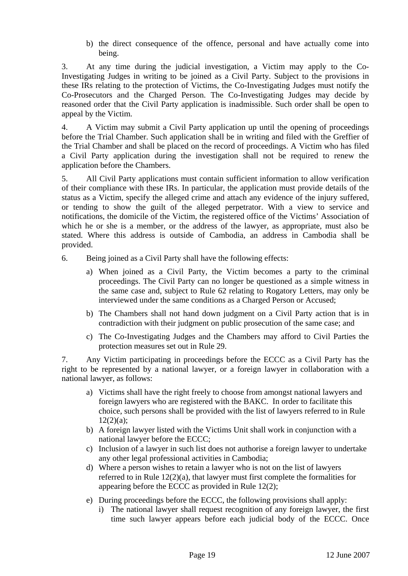b) the direct consequence of the offence, personal and have actually come into being.

3. At any time during the judicial investigation, a Victim may apply to the Co-Investigating Judges in writing to be joined as a Civil Party. Subject to the provisions in these IRs relating to the protection of Victims, the Co-Investigating Judges must notify the Co-Prosecutors and the Charged Person. The Co-Investigating Judges may decide by reasoned order that the Civil Party application is inadmissible. Such order shall be open to appeal by the Victim.

4. A Victim may submit a Civil Party application up until the opening of proceedings before the Trial Chamber. Such application shall be in writing and filed with the Greffier of the Trial Chamber and shall be placed on the record of proceedings. A Victim who has filed a Civil Party application during the investigation shall not be required to renew the application before the Chambers.

5. All Civil Party applications must contain sufficient information to allow verification of their compliance with these IRs. In particular, the application must provide details of the status as a Victim, specify the alleged crime and attach any evidence of the injury suffered, or tending to show the guilt of the alleged perpetrator. With a view to service and notifications, the domicile of the Victim, the registered office of the Victims' Association of which he or she is a member, or the address of the lawyer, as appropriate, must also be stated. Where this address is outside of Cambodia, an address in Cambodia shall be provided.

- 6. Being joined as a Civil Party shall have the following effects:
	- a) When joined as a Civil Party, the Victim becomes a party to the criminal proceedings. The Civil Party can no longer be questioned as a simple witness in the same case and, subject to Rule 62 relating to Rogatory Letters, may only be interviewed under the same conditions as a Charged Person or Accused;
	- b) The Chambers shall not hand down judgment on a Civil Party action that is in contradiction with their judgment on public prosecution of the same case; and
	- c) The Co-Investigating Judges and the Chambers may afford to Civil Parties the protection measures set out in Rule 29.

7. Any Victim participating in proceedings before the ECCC as a Civil Party has the right to be represented by a national lawyer, or a foreign lawyer in collaboration with a national lawyer, as follows:

- a) Victims shall have the right freely to choose from amongst national lawyers and foreign lawyers who are registered with the BAKC. In order to facilitate this choice, such persons shall be provided with the list of lawyers referred to in Rule  $12(2)(a)$ ;
- b) A foreign lawyer listed with the Victims Unit shall work in conjunction with a national lawyer before the ECCC;
- c) Inclusion of a lawyer in such list does not authorise a foreign lawyer to undertake any other legal professional activities in Cambodia;
- d) Where a person wishes to retain a lawyer who is not on the list of lawyers referred to in Rule 12(2)(a), that lawyer must first complete the formalities for appearing before the ECCC as provided in Rule 12(2);
- e) During proceedings before the ECCC, the following provisions shall apply:
	- i) The national lawyer shall request recognition of any foreign lawyer, the first time such lawyer appears before each judicial body of the ECCC. Once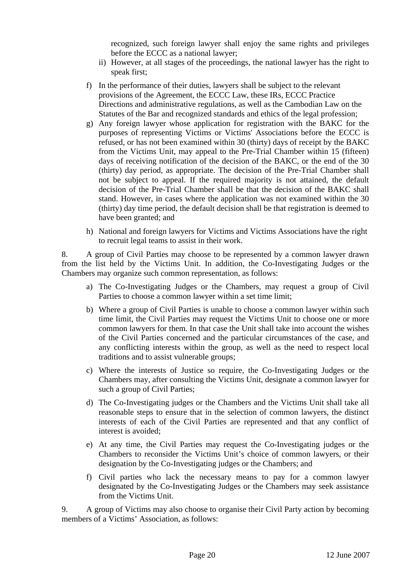recognized, such foreign lawyer shall enjoy the same rights and privileges before the ECCC as a national lawyer;

- ii) However, at all stages of the proceedings, the national lawyer has the right to speak first;
- f) In the performance of their duties, lawyers shall be subject to the relevant provisions of the Agreement, the ECCC Law, these IRs, ECCC Practice Directions and administrative regulations, as well as the Cambodian Law on the Statutes of the Bar and recognized standards and ethics of the legal profession;
- g) Any foreign lawyer whose application for registration with the BAKC for the purposes of representing Victims or Victims' Associations before the ECCC is refused, or has not been examined within 30 (thirty) days of receipt by the BAKC from the Victims Unit, may appeal to the Pre-Trial Chamber within 15 (fifteen) days of receiving notification of the decision of the BAKC, or the end of the 30 (thirty) day period, as appropriate. The decision of the Pre-Trial Chamber shall not be subject to appeal. If the required majority is not attained, the default decision of the Pre-Trial Chamber shall be that the decision of the BAKC shall stand. However, in cases where the application was not examined within the 30 (thirty) day time period, the default decision shall be that registration is deemed to have been granted; and
- h) National and foreign lawyers for Victims and Victims Associations have the right to recruit legal teams to assist in their work.

8. A group of Civil Parties may choose to be represented by a common lawyer drawn from the list held by the Victims Unit. In addition, the Co-Investigating Judges or the Chambers may organize such common representation, as follows:

- a) The Co-Investigating Judges or the Chambers, may request a group of Civil Parties to choose a common lawyer within a set time limit;
- b) Where a group of Civil Parties is unable to choose a common lawyer within such time limit, the Civil Parties may request the Victims Unit to choose one or more common lawyers for them. In that case the Unit shall take into account the wishes of the Civil Parties concerned and the particular circumstances of the case, and any conflicting interests within the group, as well as the need to respect local traditions and to assist vulnerable groups;
- c) Where the interests of Justice so require, the Co-Investigating Judges or the Chambers may, after consulting the Victims Unit, designate a common lawyer for such a group of Civil Parties;
- d) The Co-Investigating judges or the Chambers and the Victims Unit shall take all reasonable steps to ensure that in the selection of common lawyers, the distinct interests of each of the Civil Parties are represented and that any conflict of interest is avoided;
- e) At any time, the Civil Parties may request the Co-Investigating judges or the Chambers to reconsider the Victims Unit's choice of common lawyers, or their designation by the Co-Investigating judges or the Chambers; and
- f) Civil parties who lack the necessary means to pay for a common lawyer designated by the Co-Investigating Judges or the Chambers may seek assistance from the Victims Unit.

9. A group of Victims may also choose to organise their Civil Party action by becoming members of a Victims' Association, as follows: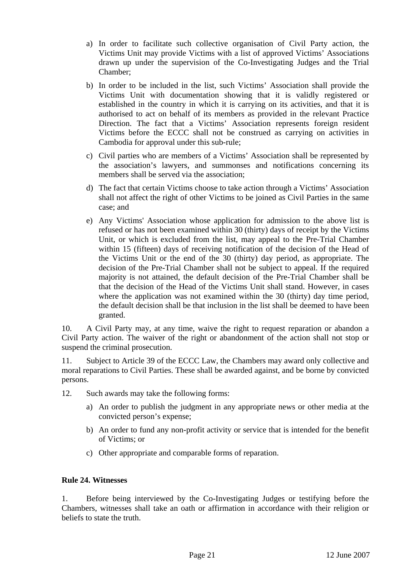- <span id="page-21-0"></span>a) In order to facilitate such collective organisation of Civil Party action, the Victims Unit may provide Victims with a list of approved Victims' Associations drawn up under the supervision of the Co-Investigating Judges and the Trial Chamber;
- b) In order to be included in the list, such Victims' Association shall provide the Victims Unit with documentation showing that it is validly registered or established in the country in which it is carrying on its activities, and that it is authorised to act on behalf of its members as provided in the relevant Practice Direction. The fact that a Victims' Association represents foreign resident Victims before the ECCC shall not be construed as carrying on activities in Cambodia for approval under this sub-rule;
- c) Civil parties who are members of a Victims' Association shall be represented by the association's lawyers, and summonses and notifications concerning its members shall be served via the association;
- d) The fact that certain Victims choose to take action through a Victims' Association shall not affect the right of other Victims to be joined as Civil Parties in the same case; and
- e) Any Victims' Association whose application for admission to the above list is refused or has not been examined within 30 (thirty) days of receipt by the Victims Unit, or which is excluded from the list, may appeal to the Pre-Trial Chamber within 15 (fifteen) days of receiving notification of the decision of the Head of the Victims Unit or the end of the 30 (thirty) day period, as appropriate. The decision of the Pre-Trial Chamber shall not be subject to appeal. If the required majority is not attained, the default decision of the Pre-Trial Chamber shall be that the decision of the Head of the Victims Unit shall stand. However, in cases where the application was not examined within the 30 (thirty) day time period, the default decision shall be that inclusion in the list shall be deemed to have been granted.

10. A Civil Party may, at any time, waive the right to request reparation or abandon a Civil Party action. The waiver of the right or abandonment of the action shall not stop or suspend the criminal prosecution.

11. Subject to Article 39 of the ECCC Law, the Chambers may award only collective and moral reparations to Civil Parties. These shall be awarded against, and be borne by convicted persons.

- 12. Such awards may take the following forms:
	- a) An order to publish the judgment in any appropriate news or other media at the convicted person's expense;
	- b) An order to fund any non-profit activity or service that is intended for the benefit of Victims; or
	- c) Other appropriate and comparable forms of reparation.

#### **Rule 24. Witnesses**

1. Before being interviewed by the Co-Investigating Judges or testifying before the Chambers, witnesses shall take an oath or affirmation in accordance with their religion or beliefs to state the truth.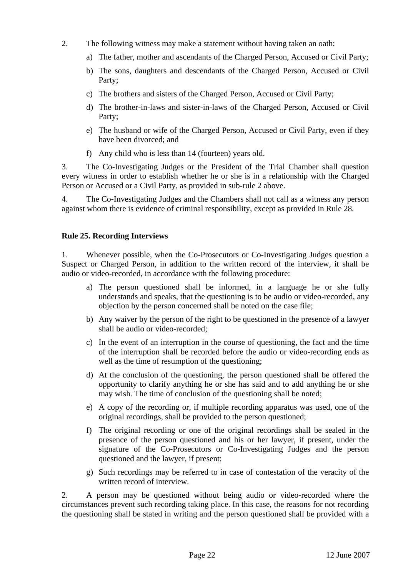- <span id="page-22-0"></span>2. The following witness may make a statement without having taken an oath:
	- a) The father, mother and ascendants of the Charged Person, Accused or Civil Party;
	- b) The sons, daughters and descendants of the Charged Person, Accused or Civil Party;
	- c) The brothers and sisters of the Charged Person, Accused or Civil Party;
	- d) The brother-in-laws and sister-in-laws of the Charged Person, Accused or Civil Party;
	- e) The husband or wife of the Charged Person, Accused or Civil Party, even if they have been divorced; and
	- f) Any child who is less than 14 (fourteen) years old.

3. The Co-Investigating Judges or the President of the Trial Chamber shall question every witness in order to establish whether he or she is in a relationship with the Charged Person or Accused or a Civil Party, as provided in sub-rule 2 above.

4. The Co-Investigating Judges and the Chambers shall not call as a witness any person against whom there is evidence of criminal responsibility, except as provided in Rule 28*.* 

#### **Rule 25. Recording Interviews**

1. Whenever possible, when the Co-Prosecutors or Co-Investigating Judges question a Suspect or Charged Person, in addition to the written record of the interview, it shall be audio or video-recorded, in accordance with the following procedure:

- a) The person questioned shall be informed, in a language he or she fully understands and speaks, that the questioning is to be audio or video-recorded, any objection by the person concerned shall be noted on the case file;
- b) Any waiver by the person of the right to be questioned in the presence of a lawyer shall be audio or video-recorded;
- c) In the event of an interruption in the course of questioning, the fact and the time of the interruption shall be recorded before the audio or video-recording ends as well as the time of resumption of the questioning;
- d) At the conclusion of the questioning, the person questioned shall be offered the opportunity to clarify anything he or she has said and to add anything he or she may wish. The time of conclusion of the questioning shall be noted;
- e) A copy of the recording or, if multiple recording apparatus was used, one of the original recordings, shall be provided to the person questioned;
- f) The original recording or one of the original recordings shall be sealed in the presence of the person questioned and his or her lawyer, if present, under the signature of the Co-Prosecutors or Co-Investigating Judges and the person questioned and the lawyer, if present;
- g) Such recordings may be referred to in case of contestation of the veracity of the written record of interview.

2. A person may be questioned without being audio or video-recorded where the circumstances prevent such recording taking place. In this case, the reasons for not recording the questioning shall be stated in writing and the person questioned shall be provided with a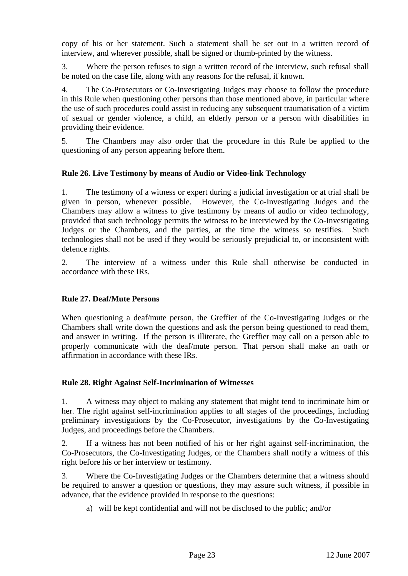<span id="page-23-0"></span>copy of his or her statement. Such a statement shall be set out in a written record of interview, and wherever possible, shall be signed or thumb-printed by the witness.

3. Where the person refuses to sign a written record of the interview, such refusal shall be noted on the case file, along with any reasons for the refusal, if known.

4. The Co-Prosecutors or Co-Investigating Judges may choose to follow the procedure in this Rule when questioning other persons than those mentioned above, in particular where the use of such procedures could assist in reducing any subsequent traumatisation of a victim of sexual or gender violence, a child, an elderly person or a person with disabilities in providing their evidence.

5. The Chambers may also order that the procedure in this Rule be applied to the questioning of any person appearing before them.

#### **Rule 26. Live Testimony by means of Audio or Video-link Technology**

1. The testimony of a witness or expert during a judicial investigation or at trial shall be given in person, whenever possible. However, the Co-Investigating Judges and the Chambers may allow a witness to give testimony by means of audio or video technology, provided that such technology permits the witness to be interviewed by the Co-Investigating Judges or the Chambers, and the parties, at the time the witness so testifies. Such technologies shall not be used if they would be seriously prejudicial to, or inconsistent with defence rights.

2. The interview of a witness under this Rule shall otherwise be conducted in accordance with these IRs.

#### **Rule 27. Deaf/Mute Persons**

When questioning a deaf/mute person, the Greffier of the Co-Investigating Judges or the Chambers shall write down the questions and ask the person being questioned to read them, and answer in writing. If the person is illiterate, the Greffier may call on a person able to properly communicate with the deaf/mute person. That person shall make an oath or affirmation in accordance with these IRs.

#### **Rule 28. Right Against Self-Incrimination of Witnesses**

1. A witness may object to making any statement that might tend to incriminate him or her. The right against self-incrimination applies to all stages of the proceedings, including preliminary investigations by the Co-Prosecutor, investigations by the Co-Investigating Judges, and proceedings before the Chambers.

2. If a witness has not been notified of his or her right against self-incrimination, the Co-Prosecutors, the Co-Investigating Judges, or the Chambers shall notify a witness of this right before his or her interview or testimony.

3. Where the Co-Investigating Judges or the Chambers determine that a witness should be required to answer a question or questions, they may assure such witness, if possible in advance, that the evidence provided in response to the questions:

a) will be kept confidential and will not be disclosed to the public; and/or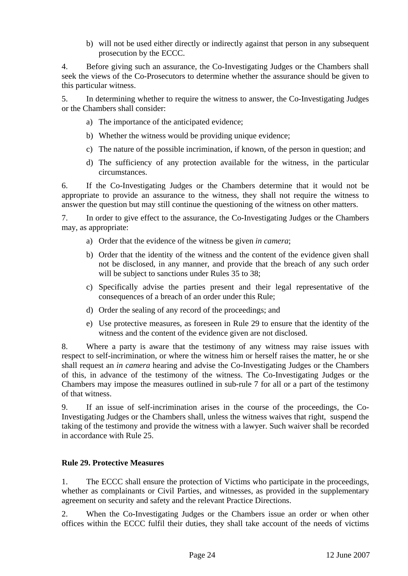b) will not be used either directly or indirectly against that person in any subsequent prosecution by the ECCC.

<span id="page-24-0"></span>4. Before giving such an assurance, the Co-Investigating Judges or the Chambers shall seek the views of the Co-Prosecutors to determine whether the assurance should be given to this particular witness.

5. In determining whether to require the witness to answer, the Co-Investigating Judges or the Chambers shall consider:

- a) The importance of the anticipated evidence;
- b) Whether the witness would be providing unique evidence;
- c) The nature of the possible incrimination, if known, of the person in question; and
- d) The sufficiency of any protection available for the witness, in the particular circumstances.

6. If the Co-Investigating Judges or the Chambers determine that it would not be appropriate to provide an assurance to the witness, they shall not require the witness to answer the question but may still continue the questioning of the witness on other matters.

7. In order to give effect to the assurance, the Co-Investigating Judges or the Chambers may, as appropriate:

- a) Order that the evidence of the witness be given *in camera*;
- b) Order that the identity of the witness and the content of the evidence given shall not be disclosed, in any manner, and provide that the breach of any such order will be subject to sanctions under Rules 35 to 38:
- c) Specifically advise the parties present and their legal representative of the consequences of a breach of an order under this Rule;
- d) Order the sealing of any record of the proceedings; and
- e) Use protective measures, as foreseen in Rule 29 to ensure that the identity of the witness and the content of the evidence given are not disclosed.

8. Where a party is aware that the testimony of any witness may raise issues with respect to self-incrimination, or where the witness him or herself raises the matter, he or she shall request an *in camera* hearing and advise the Co-Investigating Judges or the Chambers of this, in advance of the testimony of the witness. The Co-Investigating Judges or the Chambers may impose the measures outlined in sub-rule 7 for all or a part of the testimony of that witness.

9. If an issue of self-incrimination arises in the course of the proceedings, the Co-Investigating Judges or the Chambers shall, unless the witness waives that right, suspend the taking of the testimony and provide the witness with a lawyer. Such waiver shall be recorded in accordance with Rule 25.

#### **Rule 29. Protective Measures**

1. The ECCC shall ensure the protection of Victims who participate in the proceedings, whether as complainants or Civil Parties, and witnesses, as provided in the supplementary agreement on security and safety and the relevant Practice Directions.

2. When the Co-Investigating Judges or the Chambers issue an order or when other offices within the ECCC fulfil their duties, they shall take account of the needs of victims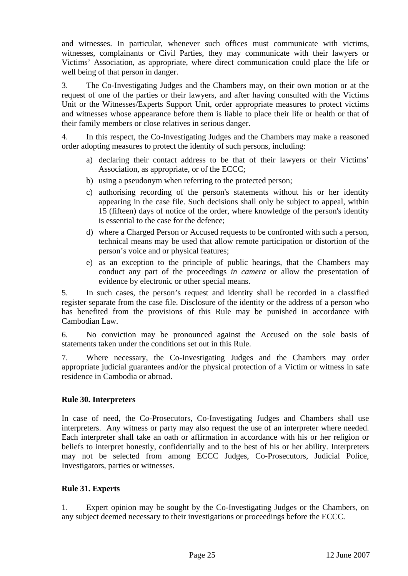<span id="page-25-0"></span>and witnesses. In particular, whenever such offices must communicate with victims, witnesses, complainants or Civil Parties, they may communicate with their lawyers or Victims' Association, as appropriate, where direct communication could place the life or well being of that person in danger.

3. The Co-Investigating Judges and the Chambers may, on their own motion or at the request of one of the parties or their lawyers, and after having consulted with the Victims Unit or the Witnesses/Experts Support Unit, order appropriate measures to protect victims and witnesses whose appearance before them is liable to place their life or health or that of their family members or close relatives in serious danger.

4. In this respect, the Co-Investigating Judges and the Chambers may make a reasoned order adopting measures to protect the identity of such persons, including:

- a) declaring their contact address to be that of their lawyers or their Victims' Association, as appropriate, or of the ECCC;
- b) using a pseudonym when referring to the protected person;
- c) authorising recording of the person's statements without his or her identity appearing in the case file. Such decisions shall only be subject to appeal, within 15 (fifteen) days of notice of the order, where knowledge of the person's identity is essential to the case for the defence;
- d) where a Charged Person or Accused requests to be confronted with such a person, technical means may be used that allow remote participation or distortion of the person's voice and or physical features;
- e) as an exception to the principle of public hearings, that the Chambers may conduct any part of the proceedings *in camera* or allow the presentation of evidence by electronic or other special means.

5. In such cases, the person's request and identity shall be recorded in a classified register separate from the case file. Disclosure of the identity or the address of a person who has benefited from the provisions of this Rule may be punished in accordance with Cambodian Law.

6.No conviction may be pronounced against the Accused on the sole basis of statements taken under the conditions set out in this Rule.

7. Where necessary, the Co-Investigating Judges and the Chambers may order appropriate judicial guarantees and/or the physical protection of a Victim or witness in safe residence in Cambodia or abroad.

#### **Rule 30. Interpreters**

In case of need, the Co-Prosecutors, Co-Investigating Judges and Chambers shall use interpreters. Any witness or party may also request the use of an interpreter where needed. Each interpreter shall take an oath or affirmation in accordance with his or her religion or beliefs to interpret honestly, confidentially and to the best of his or her ability. Interpreters may not be selected from among ECCC Judges, Co-Prosecutors, Judicial Police, Investigators, parties or witnesses.

#### **Rule 31. Experts**

1. Expert opinion may be sought by the Co-Investigating Judges or the Chambers, on any subject deemed necessary to their investigations or proceedings before the ECCC.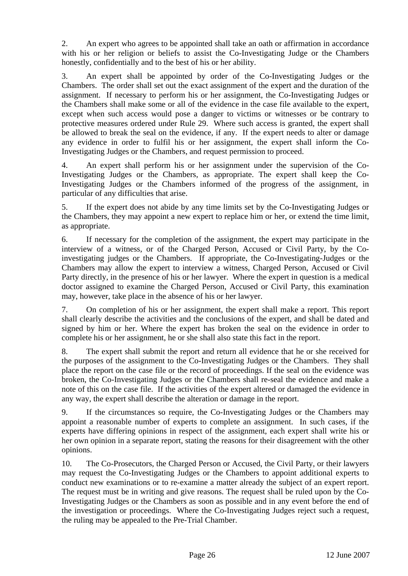2. An expert who agrees to be appointed shall take an oath or affirmation in accordance with his or her religion or beliefs to assist the Co-Investigating Judge or the Chambers honestly, confidentially and to the best of his or her ability.

3. An expert shall be appointed by order of the Co-Investigating Judges or the Chambers. The order shall set out the exact assignment of the expert and the duration of the assignment. If necessary to perform his or her assignment, the Co-Investigating Judges or the Chambers shall make some or all of the evidence in the case file available to the expert, except when such access would pose a danger to victims or witnesses or be contrary to protective measures ordered under Rule 29. Where such access is granted, the expert shall be allowed to break the seal on the evidence, if any. If the expert needs to alter or damage any evidence in order to fulfil his or her assignment, the expert shall inform the Co-Investigating Judges or the Chambers, and request permission to proceed.

4. An expert shall perform his or her assignment under the supervision of the Co-Investigating Judges or the Chambers, as appropriate. The expert shall keep the Co-Investigating Judges or the Chambers informed of the progress of the assignment, in particular of any difficulties that arise.

5. If the expert does not abide by any time limits set by the Co-Investigating Judges or the Chambers, they may appoint a new expert to replace him or her, or extend the time limit, as appropriate.

6. If necessary for the completion of the assignment, the expert may participate in the interview of a witness, or of the Charged Person, Accused or Civil Party, by the Coinvestigating judges or the Chambers. If appropriate, the Co-Investigating-Judges or the Chambers may allow the expert to interview a witness, Charged Person, Accused or Civil Party directly, in the presence of his or her lawyer. Where the expert in question is a medical doctor assigned to examine the Charged Person, Accused or Civil Party, this examination may, however, take place in the absence of his or her lawyer.

7. On completion of his or her assignment, the expert shall make a report. This report shall clearly describe the activities and the conclusions of the expert, and shall be dated and signed by him or her. Where the expert has broken the seal on the evidence in order to complete his or her assignment, he or she shall also state this fact in the report.

8. The expert shall submit the report and return all evidence that he or she received for the purposes of the assignment to the Co-Investigating Judges or the Chambers. They shall place the report on the case file or the record of proceedings. If the seal on the evidence was broken, the Co-Investigating Judges or the Chambers shall re-seal the evidence and make a note of this on the case file. If the activities of the expert altered or damaged the evidence in any way, the expert shall describe the alteration or damage in the report.

9. If the circumstances so require, the Co-Investigating Judges or the Chambers may appoint a reasonable number of experts to complete an assignment. In such cases, if the experts have differing opinions in respect of the assignment, each expert shall write his or her own opinion in a separate report, stating the reasons for their disagreement with the other opinions.

10. The Co-Prosecutors, the Charged Person or Accused, the Civil Party, or their lawyers may request the Co-Investigating Judges or the Chambers to appoint additional experts to conduct new examinations or to re-examine a matter already the subject of an expert report. The request must be in writing and give reasons. The request shall be ruled upon by the Co-Investigating Judges or the Chambers as soon as possible and in any event before the end of the investigation or proceedings. Where the Co-Investigating Judges reject such a request, the ruling may be appealed to the Pre-Trial Chamber.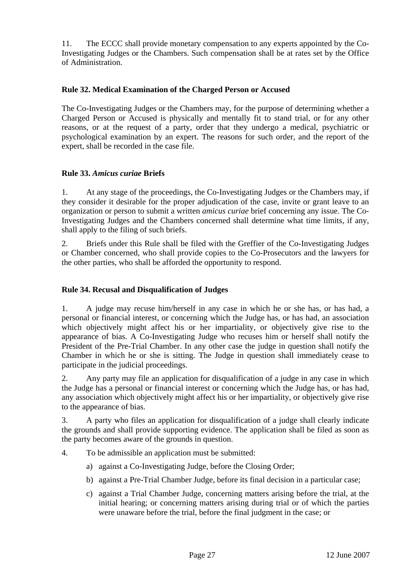<span id="page-27-0"></span>11. The ECCC shall provide monetary compensation to any experts appointed by the Co-Investigating Judges or the Chambers. Such compensation shall be at rates set by the Office of Administration.

#### **Rule 32. Medical Examination of the Charged Person or Accused**

The Co-Investigating Judges or the Chambers may, for the purpose of determining whether a Charged Person or Accused is physically and mentally fit to stand trial, or for any other reasons, or at the request of a party, order that they undergo a medical, psychiatric or psychological examination by an expert. The reasons for such order, and the report of the expert, shall be recorded in the case file.

#### **Rule 33.** *Amicus curiae* **Briefs**

1. At any stage of the proceedings, the Co-Investigating Judges or the Chambers may, if they consider it desirable for the proper adjudication of the case, invite or grant leave to an organization or person to submit a written *amicus curiae* brief concerning any issue. The Co-Investigating Judges and the Chambers concerned shall determine what time limits, if any, shall apply to the filing of such briefs.

2. Briefs under this Rule shall be filed with the Greffier of the Co-Investigating Judges or Chamber concerned, who shall provide copies to the Co-Prosecutors and the lawyers for the other parties, who shall be afforded the opportunity to respond.

#### **Rule 34. Recusal and Disqualification of Judges**

1. A judge may recuse him/herself in any case in which he or she has, or has had, a personal or financial interest, or concerning which the Judge has, or has had, an association which objectively might affect his or her impartiality, or objectively give rise to the appearance of bias. A Co-Investigating Judge who recuses him or herself shall notify the President of the Pre-Trial Chamber. In any other case the judge in question shall notify the Chamber in which he or she is sitting. The Judge in question shall immediately cease to participate in the judicial proceedings.

2. Any party may file an application for disqualification of a judge in any case in which the Judge has a personal or financial interest or concerning which the Judge has, or has had, any association which objectively might affect his or her impartiality, or objectively give rise to the appearance of bias.

3. A party who files an application for disqualification of a judge shall clearly indicate the grounds and shall provide supporting evidence. The application shall be filed as soon as the party becomes aware of the grounds in question.

- 4. To be admissible an application must be submitted:
	- a) against a Co-Investigating Judge, before the Closing Order;
	- b) against a Pre-Trial Chamber Judge, before its final decision in a particular case;
	- c) against a Trial Chamber Judge, concerning matters arising before the trial, at the initial hearing; or concerning matters arising during trial or of which the parties were unaware before the trial, before the final judgment in the case; or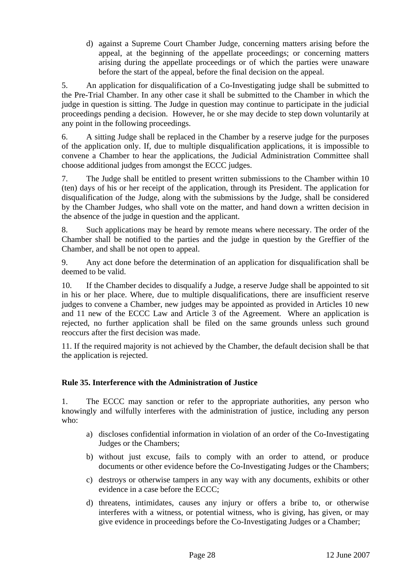<span id="page-28-0"></span>d) against a Supreme Court Chamber Judge, concerning matters arising before the appeal, at the beginning of the appellate proceedings; or concerning matters arising during the appellate proceedings or of which the parties were unaware before the start of the appeal, before the final decision on the appeal.

5. An application for disqualification of a Co-Investigating judge shall be submitted to the Pre-Trial Chamber. In any other case it shall be submitted to the Chamber in which the judge in question is sitting. The Judge in question may continue to participate in the judicial proceedings pending a decision. However, he or she may decide to step down voluntarily at any point in the following proceedings.

6. A sitting Judge shall be replaced in the Chamber by a reserve judge for the purposes of the application only. If, due to multiple disqualification applications, it is impossible to convene a Chamber to hear the applications, the Judicial Administration Committee shall choose additional judges from amongst the ECCC judges.

7. The Judge shall be entitled to present written submissions to the Chamber within 10 (ten) days of his or her receipt of the application, through its President. The application for disqualification of the Judge, along with the submissions by the Judge, shall be considered by the Chamber Judges, who shall vote on the matter, and hand down a written decision in the absence of the judge in question and the applicant.

8. Such applications may be heard by remote means where necessary. The order of the Chamber shall be notified to the parties and the judge in question by the Greffier of the Chamber, and shall be not open to appeal.

9. Any act done before the determination of an application for disqualification shall be deemed to be valid.

10. If the Chamber decides to disqualify a Judge, a reserve Judge shall be appointed to sit in his or her place. Where, due to multiple disqualifications, there are insufficient reserve judges to convene a Chamber, new judges may be appointed as provided in Articles 10 new and 11 new of the ECCC Law and Article 3 of the Agreement.Where an application is rejected, no further application shall be filed on the same grounds unless such ground reoccurs after the first decision was made.

11. If the required majority is not achieved by the Chamber, the default decision shall be that the application is rejected.

#### **Rule 35. Interference with the Administration of Justice**

1. The ECCC may sanction or refer to the appropriate authorities, any person who knowingly and wilfully interferes with the administration of justice, including any person who:

- a) discloses confidential information in violation of an order of the Co-Investigating Judges or the Chambers;
- b) without just excuse, fails to comply with an order to attend, or produce documents or other evidence before the Co-Investigating Judges or the Chambers;
- c) destroys or otherwise tampers in any way with any documents, exhibits or other evidence in a case before the ECCC;
- d) threatens, intimidates, causes any injury or offers a bribe to, or otherwise interferes with a witness, or potential witness, who is giving, has given, or may give evidence in proceedings before the Co-Investigating Judges or a Chamber;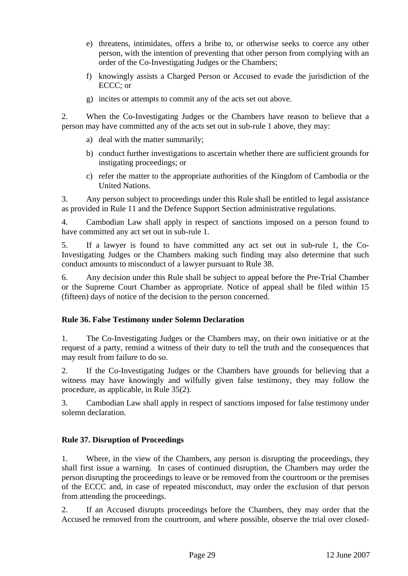- <span id="page-29-0"></span>e) threatens, intimidates, offers a bribe to, or otherwise seeks to coerce any other person, with the intention of preventing that other person from complying with an order of the Co-Investigating Judges or the Chambers;
- f) knowingly assists a Charged Person or Accused to evade the jurisdiction of the ECCC; or
- g) incites or attempts to commit any of the acts set out above.

2. When the Co-Investigating Judges or the Chambers have reason to believe that a person may have committed any of the acts set out in sub-rule 1 above, they may:

- a) deal with the matter summarily;
- b) conduct further investigations to ascertain whether there are sufficient grounds for instigating proceedings; or
- c) refer the matter to the appropriate authorities of the Kingdom of Cambodia or the United Nations.

3. Any person subject to proceedings under this Rule shall be entitled to legal assistance as provided in Rule 11 and the Defence Support Section administrative regulations.

4. Cambodian Law shall apply in respect of sanctions imposed on a person found to have committed any act set out in sub-rule 1.

5. If a lawyer is found to have committed any act set out in sub-rule 1, the Co-Investigating Judges or the Chambers making such finding may also determine that such conduct amounts to misconduct of a lawyer pursuant to Rule 38.

6. Any decision under this Rule shall be subject to appeal before the Pre-Trial Chamber or the Supreme Court Chamber as appropriate. Notice of appeal shall be filed within 15 (fifteen) days of notice of the decision to the person concerned.

## **Rule 36. False Testimony under Solemn Declaration**

1. The Co-Investigating Judges or the Chambers may, on their own initiative or at the request of a party, remind a witness of their duty to tell the truth and the consequences that may result from failure to do so.

2. If the Co-Investigating Judges or the Chambers have grounds for believing that a witness may have knowingly and wilfully given false testimony, they may follow the procedure, as applicable, in Rule 35(2).

3. Cambodian Law shall apply in respect of sanctions imposed for false testimony under solemn declaration.

## **Rule 37. Disruption of Proceedings**

1. Where, in the view of the Chambers, any person is disrupting the proceedings, they shall first issue a warning. In cases of continued disruption, the Chambers may order the person disrupting the proceedings to leave or be removed from the courtroom or the premises of the ECCC and, in case of repeated misconduct, may order the exclusion of that person from attending the proceedings.

2. If an Accused disrupts proceedings before the Chambers, they may order that the Accused be removed from the courtroom, and where possible, observe the trial over closed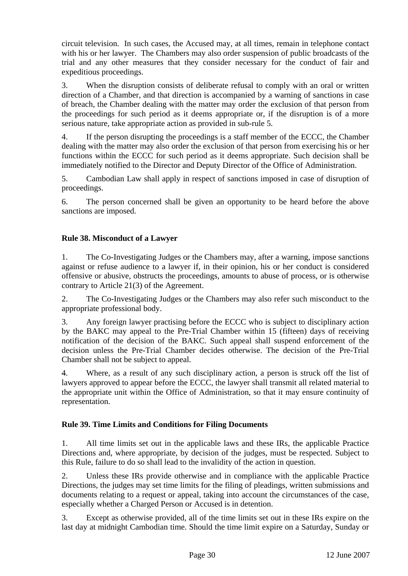<span id="page-30-0"></span>circuit television. In such cases, the Accused may, at all times, remain in telephone contact with his or her lawyer. The Chambers may also order suspension of public broadcasts of the trial and any other measures that they consider necessary for the conduct of fair and expeditious proceedings.

3. When the disruption consists of deliberate refusal to comply with an oral or written direction of a Chamber, and that direction is accompanied by a warning of sanctions in case of breach, the Chamber dealing with the matter may order the exclusion of that person from the proceedings for such period as it deems appropriate or, if the disruption is of a more serious nature, take appropriate action as provided in sub-rule 5.

4. If the person disrupting the proceedings is a staff member of the ECCC, the Chamber dealing with the matter may also order the exclusion of that person from exercising his or her functions within the ECCC for such period as it deems appropriate. Such decision shall be immediately notified to the Director and Deputy Director of the Office of Administration.

5. Cambodian Law shall apply in respect of sanctions imposed in case of disruption of proceedings.

6. The person concerned shall be given an opportunity to be heard before the above sanctions are imposed.

#### **Rule 38. Misconduct of a Lawyer**

1. The Co-Investigating Judges or the Chambers may, after a warning, impose sanctions against or refuse audience to a lawyer if, in their opinion, his or her conduct is considered offensive or abusive, obstructs the proceedings, amounts to abuse of process, or is otherwise contrary to Article 21(3) of the Agreement.

2. The Co-Investigating Judges or the Chambers may also refer such misconduct to the appropriate professional body.

3. Any foreign lawyer practising before the ECCC who is subject to disciplinary action by the BAKC may appeal to the Pre-Trial Chamber within 15 (fifteen) days of receiving notification of the decision of the BAKC. Such appeal shall suspend enforcement of the decision unless the Pre-Trial Chamber decides otherwise. The decision of the Pre-Trial Chamber shall not be subject to appeal.

4. Where, as a result of any such disciplinary action, a person is struck off the list of lawyers approved to appear before the ECCC, the lawyer shall transmit all related material to the appropriate unit within the Office of Administration, so that it may ensure continuity of representation.

#### **Rule 39. Time Limits and Conditions for Filing Documents**

1. All time limits set out in the applicable laws and these IRs, the applicable Practice Directions and, where appropriate, by decision of the judges, must be respected. Subject to this Rule, failure to do so shall lead to the invalidity of the action in question.

2. Unless these IRs provide otherwise and in compliance with the applicable Practice Directions, the judges may set time limits for the filing of pleadings, written submissions and documents relating to a request or appeal, taking into account the circumstances of the case, especially whether a Charged Person or Accused is in detention.

3. Except as otherwise provided, all of the time limits set out in these IRs expire on the last day at midnight Cambodian time. Should the time limit expire on a Saturday, Sunday or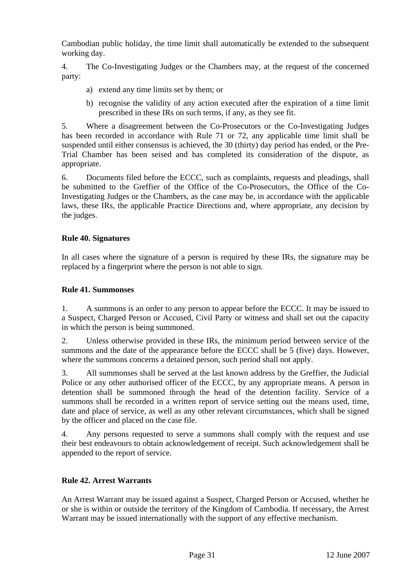<span id="page-31-0"></span>Cambodian public holiday, the time limit shall automatically be extended to the subsequent working day.

4. The Co-Investigating Judges or the Chambers may, at the request of the concerned party:

- a) extend any time limits set by them; or
- b) recognise the validity of any action executed after the expiration of a time limit prescribed in these IRs on such terms, if any, as they see fit.

5. Where a disagreement between the Co-Prosecutors or the Co-Investigating Judges has been recorded in accordance with Rule 71 or 72, any applicable time limit shall be suspended until either consensus is achieved, the 30 (thirty) day period has ended, or the Pre-Trial Chamber has been seised and has completed its consideration of the dispute, as appropriate.

6. Documents filed before the ECCC, such as complaints, requests and pleadings, shall be submitted to the Greffier of the Office of the Co-Prosecutors, the Office of the Co-Investigating Judges or the Chambers, as the case may be, in accordance with the applicable laws, these IRs, the applicable Practice Directions and, where appropriate, any decision by the judges.

#### **Rule 40. Signatures**

In all cases where the signature of a person is required by these IRs, the signature may be replaced by a fingerprint where the person is not able to sign.

#### **Rule 41. Summonses**

1. A summons is an order to any person to appear before the ECCC. It may be issued to a Suspect, Charged Person or Accused, Civil Party or witness and shall set out the capacity in which the person is being summoned.

2. Unless otherwise provided in these IRs, the minimum period between service of the summons and the date of the appearance before the ECCC shall be 5 (five) days. However, where the summons concerns a detained person, such period shall not apply.

3. All summonses shall be served at the last known address by the Greffier, the Judicial Police or any other authorised officer of the ECCC, by any appropriate means. A person in detention shall be summoned through the head of the detention facility. Service of a summons shall be recorded in a written report of service setting out the means used, time, date and place of service, as well as any other relevant circumstances, which shall be signed by the officer and placed on the case file.

4. Any persons requested to serve a summons shall comply with the request and use their best endeavours to obtain acknowledgement of receipt. Such acknowledgement shall be appended to the report of service.

#### **Rule 42. Arrest Warrants**

An Arrest Warrant may be issued against a Suspect, Charged Person or Accused, whether he or she is within or outside the territory of the Kingdom of Cambodia. If necessary, the Arrest Warrant may be issued internationally with the support of any effective mechanism.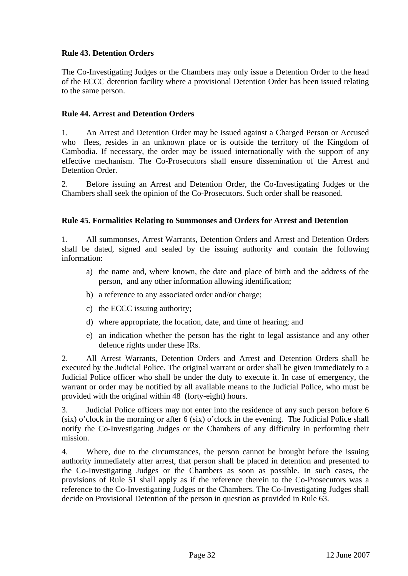#### <span id="page-32-0"></span>**Rule 43. Detention Orders**

The Co-Investigating Judges or the Chambers may only issue a Detention Order to the head of the ECCC detention facility where a provisional Detention Order has been issued relating to the same person.

#### **Rule 44. Arrest and Detention Orders**

1. An Arrest and Detention Order may be issued against a Charged Person or Accused who flees, resides in an unknown place or is outside the territory of the Kingdom of Cambodia. If necessary, the order may be issued internationally with the support of any effective mechanism. The Co-Prosecutors shall ensure dissemination of the Arrest and Detention Order.

2. Before issuing an Arrest and Detention Order, the Co-Investigating Judges or the Chambers shall seek the opinion of the Co-Prosecutors. Such order shall be reasoned.

#### **Rule 45. Formalities Relating to Summonses and Orders for Arrest and Detention**

1. All summonses, Arrest Warrants, Detention Orders and Arrest and Detention Orders shall be dated, signed and sealed by the issuing authority and contain the following information:

- a) the name and, where known, the date and place of birth and the address of the person, and any other information allowing identification;
- b) a reference to any associated order and/or charge;
- c) the ECCC issuing authority;
- d) where appropriate, the location, date, and time of hearing; and
- e) an indication whether the person has the right to legal assistance and any other defence rights under these IRs.

2. All Arrest Warrants, Detention Orders and Arrest and Detention Orders shall be executed by the Judicial Police. The original warrant or order shall be given immediately to a Judicial Police officer who shall be under the duty to execute it. In case of emergency, the warrant or order may be notified by all available means to the Judicial Police, who must be provided with the original within 48 (forty-eight) hours.

3. Judicial Police officers may not enter into the residence of any such person before 6 (six) o'clock in the morning or after 6 (six) o'clock in the evening. The Judicial Police shall notify the Co-Investigating Judges or the Chambers of any difficulty in performing their mission.

4. Where, due to the circumstances, the person cannot be brought before the issuing authority immediately after arrest, that person shall be placed in detention and presented to the Co-Investigating Judges or the Chambers as soon as possible. In such cases, the provisions of Rule 51 shall apply as if the reference therein to the Co-Prosecutors was a reference to the Co-Investigating Judges or the Chambers. The Co-Investigating Judges shall decide on Provisional Detention of the person in question as provided in Rule 63.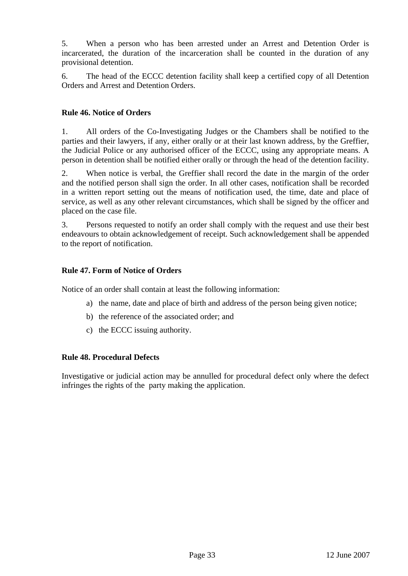<span id="page-33-0"></span>5. When a person who has been arrested under an Arrest and Detention Order is incarcerated, the duration of the incarceration shall be counted in the duration of any provisional detention.

6. The head of the ECCC detention facility shall keep a certified copy of all Detention Orders and Arrest and Detention Orders.

#### **Rule 46. Notice of Orders**

1. All orders of the Co-Investigating Judges or the Chambers shall be notified to the parties and their lawyers, if any, either orally or at their last known address, by the Greffier, the Judicial Police or any authorised officer of the ECCC, using any appropriate means. A person in detention shall be notified either orally or through the head of the detention facility.

2. When notice is verbal, the Greffier shall record the date in the margin of the order and the notified person shall sign the order. In all other cases, notification shall be recorded in a written report setting out the means of notification used, the time, date and place of service, as well as any other relevant circumstances, which shall be signed by the officer and placed on the case file.

3. Persons requested to notify an order shall comply with the request and use their best endeavours to obtain acknowledgement of receipt. Such acknowledgement shall be appended to the report of notification.

#### **Rule 47. Form of Notice of Orders**

Notice of an order shall contain at least the following information:

- a) the name, date and place of birth and address of the person being given notice;
- b) the reference of the associated order; and
- c) the ECCC issuing authority.

#### **Rule 48. Procedural Defects**

Investigative or judicial action may be annulled for procedural defect only where the defect infringes the rights of the party making the application.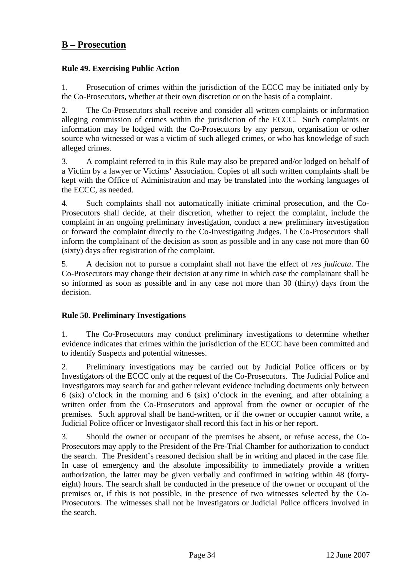## <span id="page-34-0"></span>**B – Prosecution**

#### **Rule 49. Exercising Public Action**

1. Prosecution of crimes within the jurisdiction of the ECCC may be initiated only by the Co-Prosecutors, whether at their own discretion or on the basis of a complaint.

2. The Co-Prosecutors shall receive and consider all written complaints or information alleging commission of crimes within the jurisdiction of the ECCC. Such complaints or information may be lodged with the Co-Prosecutors by any person, organisation or other source who witnessed or was a victim of such alleged crimes, or who has knowledge of such alleged crimes.

3. A complaint referred to in this Rule may also be prepared and/or lodged on behalf of a Victim by a lawyer or Victims' Association. Copies of all such written complaints shall be kept with the Office of Administration and may be translated into the working languages of the ECCC, as needed.

4. Such complaints shall not automatically initiate criminal prosecution, and the Co-Prosecutors shall decide, at their discretion, whether to reject the complaint, include the complaint in an ongoing preliminary investigation, conduct a new preliminary investigation or forward the complaint directly to the Co-Investigating Judges. The Co-Prosecutors shall inform the complainant of the decision as soon as possible and in any case not more than 60 (sixty) days after registration of the complaint.

5. A decision not to pursue a complaint shall not have the effect of *res judicata*. The Co-Prosecutors may change their decision at any time in which case the complainant shall be so informed as soon as possible and in any case not more than 30 (thirty) days from the decision.

#### **Rule 50. Preliminary Investigations**

1. The Co-Prosecutors may conduct preliminary investigations to determine whether evidence indicates that crimes within the jurisdiction of the ECCC have been committed and to identify Suspects and potential witnesses.

2. Preliminary investigations may be carried out by Judicial Police officers or by Investigators of the ECCC only at the request of the Co-Prosecutors. The Judicial Police and Investigators may search for and gather relevant evidence including documents only between 6 (six) o'clock in the morning and 6 (six) o'clock in the evening, and after obtaining a written order from the Co-Prosecutors and approval from the owner or occupier of the premises. Such approval shall be hand-written, or if the owner or occupier cannot write, a Judicial Police officer or Investigator shall record this fact in his or her report.

3. Should the owner or occupant of the premises be absent, or refuse access, the Co-Prosecutors may apply to the President of the Pre-Trial Chamber for authorization to conduct the search. The President's reasoned decision shall be in writing and placed in the case file. In case of emergency and the absolute impossibility to immediately provide a written authorization, the latter may be given verbally and confirmed in writing within 48 (fortyeight) hours. The search shall be conducted in the presence of the owner or occupant of the premises or, if this is not possible, in the presence of two witnesses selected by the Co-Prosecutors. The witnesses shall not be Investigators or Judicial Police officers involved in the search.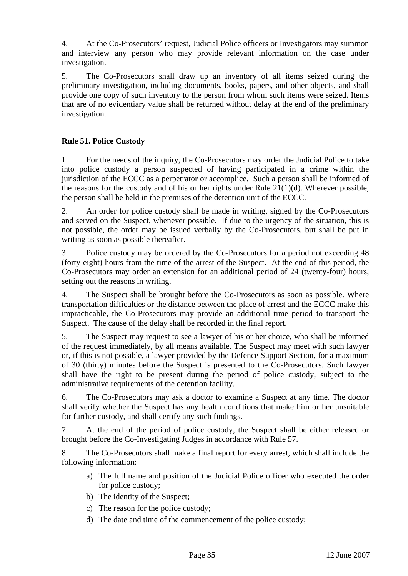<span id="page-35-0"></span>4. At the Co-Prosecutors' request, Judicial Police officers or Investigators may summon and interview any person who may provide relevant information on the case under investigation.

5. The Co-Prosecutors shall draw up an inventory of all items seized during the preliminary investigation, including documents, books, papers, and other objects, and shall provide one copy of such inventory to the person from whom such items were seized. Items that are of no evidentiary value shall be returned without delay at the end of the preliminary investigation.

#### **Rule 51. Police Custody**

1. For the needs of the inquiry, the Co-Prosecutors may order the Judicial Police to take into police custody a person suspected of having participated in a crime within the jurisdiction of the ECCC as a perpetrator or accomplice. Such a person shall be informed of the reasons for the custody and of his or her rights under Rule 21(1)(d). Wherever possible, the person shall be held in the premises of the detention unit of the ECCC.

2. An order for police custody shall be made in writing, signed by the Co-Prosecutors and served on the Suspect, whenever possible. If due to the urgency of the situation, this is not possible, the order may be issued verbally by the Co-Prosecutors, but shall be put in writing as soon as possible thereafter.

3. Police custody may be ordered by the Co-Prosecutors for a period not exceeding 48 (forty-eight) hours from the time of the arrest of the Suspect. At the end of this period, the Co-Prosecutors may order an extension for an additional period of 24 (twenty-four) hours, setting out the reasons in writing.

4. The Suspect shall be brought before the Co-Prosecutors as soon as possible. Where transportation difficulties or the distance between the place of arrest and the ECCC make this impracticable, the Co-Prosecutors may provide an additional time period to transport the Suspect. The cause of the delay shall be recorded in the final report.

5. The Suspect may request to see a lawyer of his or her choice, who shall be informed of the request immediately, by all means available. The Suspect may meet with such lawyer or, if this is not possible, a lawyer provided by the Defence Support Section, for a maximum of 30 (thirty) minutes before the Suspect is presented to the Co-Prosecutors. Such lawyer shall have the right to be present during the period of police custody, subject to the administrative requirements of the detention facility.

6. The Co-Prosecutors may ask a doctor to examine a Suspect at any time. The doctor shall verify whether the Suspect has any health conditions that make him or her unsuitable for further custody, and shall certify any such findings.

7. At the end of the period of police custody, the Suspect shall be either released or brought before the Co-Investigating Judges in accordance with Rule 57.

8. The Co-Prosecutors shall make a final report for every arrest, which shall include the following information:

- a) The full name and position of the Judicial Police officer who executed the order for police custody;
- b) The identity of the Suspect;
- c) The reason for the police custody;
- d) The date and time of the commencement of the police custody;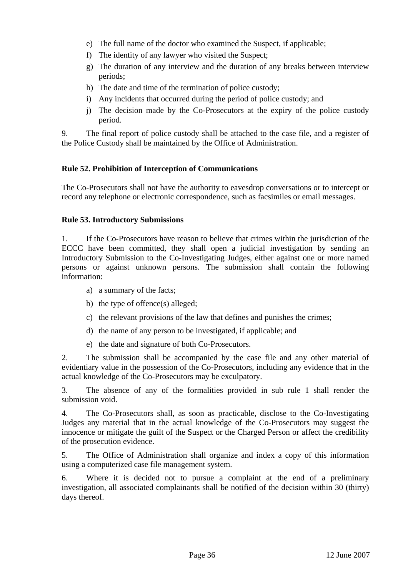- e) The full name of the doctor who examined the Suspect, if applicable;
- f) The identity of any lawyer who visited the Suspect;
- g) The duration of any interview and the duration of any breaks between interview periods;
- h) The date and time of the termination of police custody;
- i) Any incidents that occurred during the period of police custody; and
- j) The decision made by the Co-Prosecutors at the expiry of the police custody period.

9. The final report of police custody shall be attached to the case file, and a register of the Police Custody shall be maintained by the Office of Administration.

#### **Rule 52. Prohibition of Interception of Communications**

The Co-Prosecutors shall not have the authority to eavesdrop conversations or to intercept or record any telephone or electronic correspondence, such as facsimiles or email messages.

#### **Rule 53. Introductory Submissions**

1. If the Co-Prosecutors have reason to believe that crimes within the jurisdiction of the ECCC have been committed, they shall open a judicial investigation by sending an Introductory Submission to the Co-Investigating Judges, either against one or more named persons or against unknown persons. The submission shall contain the following information:

- a) a summary of the facts;
- b) the type of offence(s) alleged;
- c) the relevant provisions of the law that defines and punishes the crimes;
- d) the name of any person to be investigated, if applicable; and
- e) the date and signature of both Co-Prosecutors.

2. The submission shall be accompanied by the case file and any other material of evidentiary value in the possession of the Co-Prosecutors, including any evidence that in the actual knowledge of the Co-Prosecutors may be exculpatory.

3. The absence of any of the formalities provided in sub rule 1 shall render the submission void.

4. The Co-Prosecutors shall, as soon as practicable, disclose to the Co-Investigating Judges any material that in the actual knowledge of the Co-Prosecutors may suggest the innocence or mitigate the guilt of the Suspect or the Charged Person or affect the credibility of the prosecution evidence.

5. The Office of Administration shall organize and index a copy of this information using a computerized case file management system.

6. Where it is decided not to pursue a complaint at the end of a preliminary investigation, all associated complainants shall be notified of the decision within 30 (thirty) days thereof.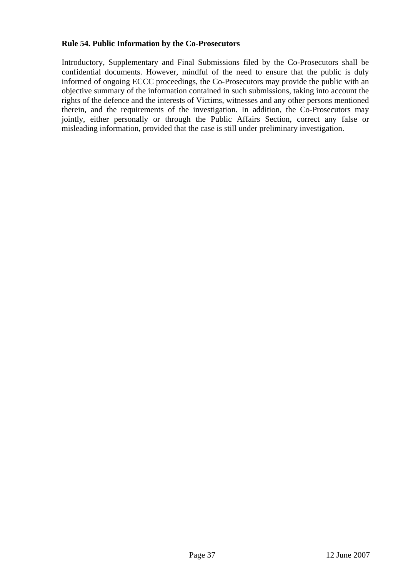#### **Rule 54. Public Information by the Co-Prosecutors**

Introductory, Supplementary and Final Submissions filed by the Co-Prosecutors shall be confidential documents. However, mindful of the need to ensure that the public is duly informed of ongoing ECCC proceedings, the Co-Prosecutors may provide the public with an objective summary of the information contained in such submissions, taking into account the rights of the defence and the interests of Victims, witnesses and any other persons mentioned therein, and the requirements of the investigation. In addition, the Co-Prosecutors may jointly, either personally or through the Public Affairs Section, correct any false or misleading information, provided that the case is still under preliminary investigation.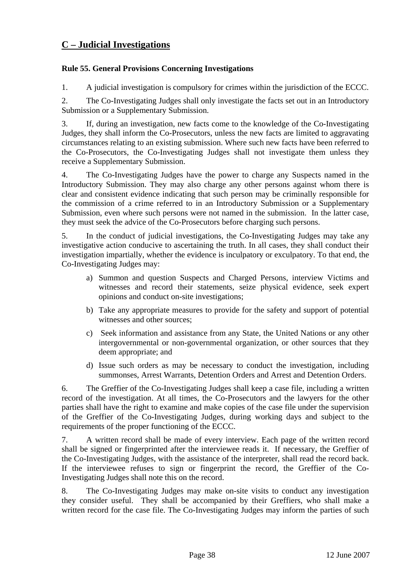### **C – Judicial Investigations**

#### **Rule 55. General Provisions Concerning Investigations**

1. A judicial investigation is compulsory for crimes within the jurisdiction of the ECCC.

2. The Co-Investigating Judges shall only investigate the facts set out in an Introductory Submission or a Supplementary Submission.

3. If, during an investigation, new facts come to the knowledge of the Co-Investigating Judges, they shall inform the Co-Prosecutors, unless the new facts are limited to aggravating circumstances relating to an existing submission. Where such new facts have been referred to the Co-Prosecutors, the Co-Investigating Judges shall not investigate them unless they receive a Supplementary Submission.

4. The Co-Investigating Judges have the power to charge any Suspects named in the Introductory Submission. They may also charge any other persons against whom there is clear and consistent evidence indicating that such person may be criminally responsible for the commission of a crime referred to in an Introductory Submission or a Supplementary Submission, even where such persons were not named in the submission. In the latter case, they must seek the advice of the Co-Prosecutors before charging such persons.

5. In the conduct of judicial investigations, the Co-Investigating Judges may take any investigative action conducive to ascertaining the truth. In all cases, they shall conduct their investigation impartially, whether the evidence is inculpatory or exculpatory. To that end, the Co-Investigating Judges may:

- a) Summon and question Suspects and Charged Persons, interview Victims and witnesses and record their statements, seize physical evidence, seek expert opinions and conduct on-site investigations;
- b) Take any appropriate measures to provide for the safety and support of potential witnesses and other sources;
- c) Seek information and assistance from any State, the United Nations or any other intergovernmental or non-governmental organization, or other sources that they deem appropriate; and
- d) Issue such orders as may be necessary to conduct the investigation, including summonses, Arrest Warrants, Detention Orders and Arrest and Detention Orders.

6. The Greffier of the Co-Investigating Judges shall keep a case file, including a written record of the investigation. At all times, the Co-Prosecutors and the lawyers for the other parties shall have the right to examine and make copies of the case file under the supervision of the Greffier of the Co-Investigating Judges, during working days and subject to the requirements of the proper functioning of the ECCC.

7. A written record shall be made of every interview. Each page of the written record shall be signed or fingerprinted after the interviewee reads it. If necessary, the Greffier of the Co-Investigating Judges, with the assistance of the interpreter, shall read the record back. If the interviewee refuses to sign or fingerprint the record, the Greffier of the Co-Investigating Judges shall note this on the record.

8. The Co-Investigating Judges may make on-site visits to conduct any investigation they consider useful. They shall be accompanied by their Greffiers, who shall make a written record for the case file. The Co-Investigating Judges may inform the parties of such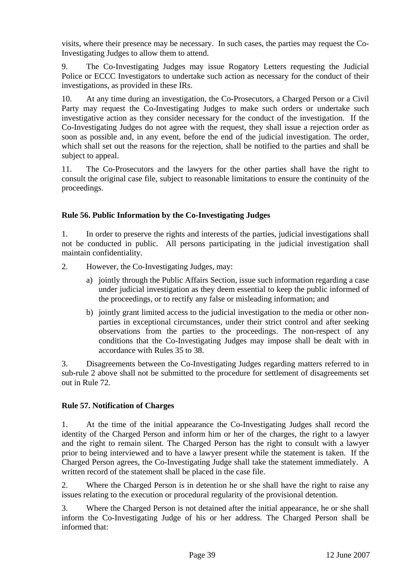visits, where their presence may be necessary. In such cases, the parties may request the Co-Investigating Judges to allow them to attend.

9. The Co-Investigating Judges may issue Rogatory Letters requesting the Judicial Police or ECCC Investigators to undertake such action as necessary for the conduct of their investigations, as provided in these IRs.

10. At any time during an investigation, the Co-Prosecutors, a Charged Person or a Civil Party may request the Co-Investigating Judges to make such orders or undertake such investigative action as they consider necessary for the conduct of the investigation. If the Co-Investigating Judges do not agree with the request, they shall issue a rejection order as soon as possible and, in any event, before the end of the judicial investigation. The order, which shall set out the reasons for the rejection, shall be notified to the parties and shall be subject to appeal.

11. The Co-Prosecutors and the lawyers for the other parties shall have the right to consult the original case file, subject to reasonable limitations to ensure the continuity of the proceedings.

#### **Rule 56. Public Information by the Co-Investigating Judges**

1. In order to preserve the rights and interests of the parties, judicial investigations shall not be conducted in public. All persons participating in the judicial investigation shall maintain confidentiality.

2. However, the Co-Investigating Judges, may:

- a) jointly through the Public Affairs Section, issue such information regarding a case under judicial investigation as they deem essential to keep the public informed of the proceedings, or to rectify any false or misleading information; and
- b) jointly grant limited access to the judicial investigation to the media or other nonparties in exceptional circumstances, under their strict control and after seeking observations from the parties to the proceedings. The non-respect of any conditions that the Co-Investigating Judges may impose shall be dealt with in accordance with Rules 35 to 38.

3. Disagreements between the Co-Investigating Judges regarding matters referred to in sub-rule 2 above shall not be submitted to the procedure for settlement of disagreements set out in Rule 72.

#### **Rule 57. Notification of Charges**

1. At the time of the initial appearance the Co-Investigating Judges shall record the identity of the Charged Person and inform him or her of the charges, the right to a lawyer and the right to remain silent. The Charged Person has the right to consult with a lawyer prior to being interviewed and to have a lawyer present while the statement is taken. If the Charged Person agrees, the Co-Investigating Judge shall take the statement immediately. A written record of the statement shall be placed in the case file.

2. Where the Charged Person is in detention he or she shall have the right to raise any issues relating to the execution or procedural regularity of the provisional detention.

3. Where the Charged Person is not detained after the initial appearance, he or she shall inform the Co-Investigating Judge of his or her address. The Charged Person shall be informed that: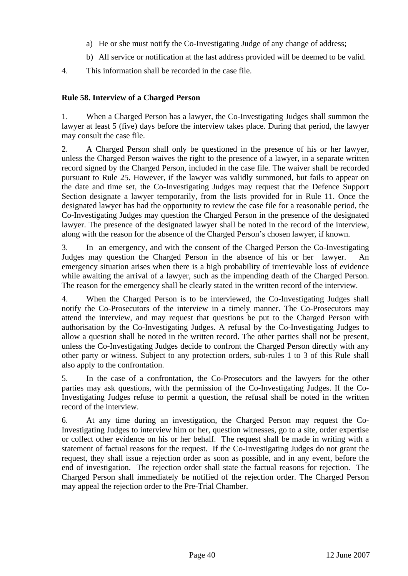- a) He or she must notify the Co-Investigating Judge of any change of address;
- b) All service or notification at the last address provided will be deemed to be valid.
- 4. This information shall be recorded in the case file.

#### **Rule 58. Interview of a Charged Person**

1. When a Charged Person has a lawyer, the Co-Investigating Judges shall summon the lawyer at least 5 (five) days before the interview takes place. During that period, the lawyer may consult the case file.

2. A Charged Person shall only be questioned in the presence of his or her lawyer, unless the Charged Person waives the right to the presence of a lawyer, in a separate written record signed by the Charged Person, included in the case file. The waiver shall be recorded pursuant to Rule 25. However, if the lawyer was validly summoned, but fails to appear on the date and time set, the Co-Investigating Judges may request that the Defence Support Section designate a lawyer temporarily, from the lists provided for in Rule 11. Once the designated lawyer has had the opportunity to review the case file for a reasonable period, the Co-Investigating Judges may question the Charged Person in the presence of the designated lawyer. The presence of the designated lawyer shall be noted in the record of the interview, along with the reason for the absence of the Charged Person's chosen lawyer, if known.

3. In an emergency, and with the consent of the Charged Person the Co-Investigating Judges may question the Charged Person in the absence of his or her lawyer. An emergency situation arises when there is a high probability of irretrievable loss of evidence while awaiting the arrival of a lawyer, such as the impending death of the Charged Person. The reason for the emergency shall be clearly stated in the written record of the interview.

4. When the Charged Person is to be interviewed, the Co-Investigating Judges shall notify the Co-Prosecutors of the interview in a timely manner. The Co-Prosecutors may attend the interview, and may request that questions be put to the Charged Person with authorisation by the Co-Investigating Judges. A refusal by the Co-Investigating Judges to allow a question shall be noted in the written record. The other parties shall not be present, unless the Co-Investigating Judges decide to confront the Charged Person directly with any other party or witness. Subject to any protection orders, sub-rules 1 to 3 of this Rule shall also apply to the confrontation.

5. In the case of a confrontation, the Co-Prosecutors and the lawyers for the other parties may ask questions, with the permission of the Co-Investigating Judges. If the Co-Investigating Judges refuse to permit a question, the refusal shall be noted in the written record of the interview.

6. At any time during an investigation, the Charged Person may request the Co-Investigating Judges to interview him or her, question witnesses, go to a site, order expertise or collect other evidence on his or her behalf. The request shall be made in writing with a statement of factual reasons for the request. If the Co-Investigating Judges do not grant the request, they shall issue a rejection order as soon as possible, and in any event, before the end of investigation. The rejection order shall state the factual reasons for rejection. The Charged Person shall immediately be notified of the rejection order. The Charged Person may appeal the rejection order to the Pre-Trial Chamber.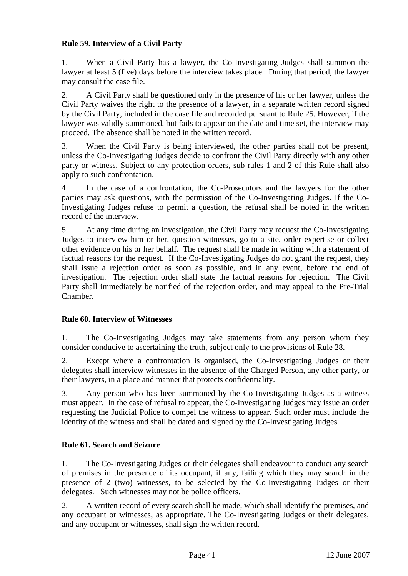#### **Rule 59. Interview of a Civil Party**

1. When a Civil Party has a lawyer, the Co-Investigating Judges shall summon the lawyer at least 5 (five) days before the interview takes place. During that period, the lawyer may consult the case file.

2. A Civil Party shall be questioned only in the presence of his or her lawyer, unless the Civil Party waives the right to the presence of a lawyer, in a separate written record signed by the Civil Party, included in the case file and recorded pursuant to Rule 25. However, if the lawyer was validly summoned, but fails to appear on the date and time set, the interview may proceed. The absence shall be noted in the written record.

3. When the Civil Party is being interviewed, the other parties shall not be present, unless the Co-Investigating Judges decide to confront the Civil Party directly with any other party or witness. Subject to any protection orders, sub-rules 1 and 2 of this Rule shall also apply to such confrontation.

4. In the case of a confrontation, the Co-Prosecutors and the lawyers for the other parties may ask questions, with the permission of the Co-Investigating Judges. If the Co-Investigating Judges refuse to permit a question, the refusal shall be noted in the written record of the interview.

5. At any time during an investigation, the Civil Party may request the Co-Investigating Judges to interview him or her, question witnesses, go to a site, order expertise or collect other evidence on his or her behalf. The request shall be made in writing with a statement of factual reasons for the request. If the Co-Investigating Judges do not grant the request, they shall issue a rejection order as soon as possible, and in any event, before the end of investigation. The rejection order shall state the factual reasons for rejection. The Civil Party shall immediately be notified of the rejection order, and may appeal to the Pre-Trial Chamber.

#### **Rule 60. Interview of Witnesses**

1. The Co-Investigating Judges may take statements from any person whom they consider conducive to ascertaining the truth, subject only to the provisions of Rule 28.

2. Except where a confrontation is organised, the Co-Investigating Judges or their delegates shall interview witnesses in the absence of the Charged Person, any other party, or their lawyers, in a place and manner that protects confidentiality.

3. Any person who has been summoned by the Co-Investigating Judges as a witness must appear. In the case of refusal to appear, the Co-Investigating Judges may issue an order requesting the Judicial Police to compel the witness to appear. Such order must include the identity of the witness and shall be dated and signed by the Co-Investigating Judges.

#### **Rule 61. Search and Seizure**

1. The Co-Investigating Judges or their delegates shall endeavour to conduct any search of premises in the presence of its occupant, if any, failing which they may search in the presence of 2 (two) witnesses, to be selected by the Co-Investigating Judges or their delegates. Such witnesses may not be police officers.

2. A written record of every search shall be made, which shall identify the premises, and any occupant or witnesses, as appropriate. The Co-Investigating Judges or their delegates, and any occupant or witnesses, shall sign the written record.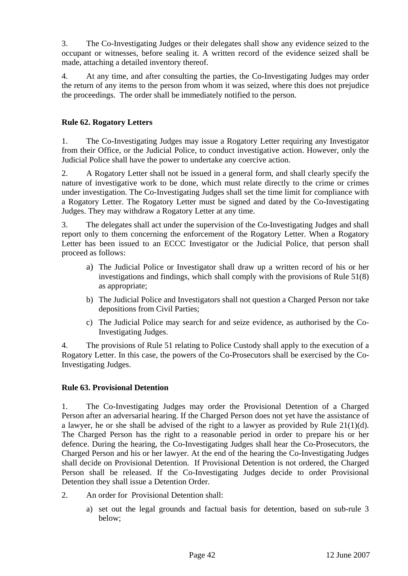3. The Co-Investigating Judges or their delegates shall show any evidence seized to the occupant or witnesses, before sealing it. A written record of the evidence seized shall be made, attaching a detailed inventory thereof.

4. At any time, and after consulting the parties, the Co-Investigating Judges may order the return of any items to the person from whom it was seized, where this does not prejudice the proceedings. The order shall be immediately notified to the person.

#### **Rule 62. Rogatory Letters**

1. The Co-Investigating Judges may issue a Rogatory Letter requiring any Investigator from their Office, or the Judicial Police, to conduct investigative action. However, only the Judicial Police shall have the power to undertake any coercive action.

2. A Rogatory Letter shall not be issued in a general form, and shall clearly specify the nature of investigative work to be done, which must relate directly to the crime or crimes under investigation. The Co-Investigating Judges shall set the time limit for compliance with a Rogatory Letter. The Rogatory Letter must be signed and dated by the Co-Investigating Judges. They may withdraw a Rogatory Letter at any time.

3. The delegates shall act under the supervision of the Co-Investigating Judges and shall report only to them concerning the enforcement of the Rogatory Letter. When a Rogatory Letter has been issued to an ECCC Investigator or the Judicial Police, that person shall proceed as follows:

- a) The Judicial Police or Investigator shall draw up a written record of his or her investigations and findings, which shall comply with the provisions of Rule 51(8) as appropriate;
- b) The Judicial Police and Investigators shall not question a Charged Person nor take depositions from Civil Parties;
- c) The Judicial Police may search for and seize evidence, as authorised by the Co-Investigating Judges.

4. The provisions of Rule 51 relating to Police Custody shall apply to the execution of a Rogatory Letter. In this case, the powers of the Co-Prosecutors shall be exercised by the Co-Investigating Judges.

#### **Rule 63. Provisional Detention**

1. The Co-Investigating Judges may order the Provisional Detention of a Charged Person after an adversarial hearing. If the Charged Person does not yet have the assistance of a lawyer, he or she shall be advised of the right to a lawyer as provided by Rule 21(1)(d). The Charged Person has the right to a reasonable period in order to prepare his or her defence. During the hearing, the Co-Investigating Judges shall hear the Co-Prosecutors, the Charged Person and his or her lawyer. At the end of the hearing the Co-Investigating Judges shall decide on Provisional Detention. If Provisional Detention is not ordered, the Charged Person shall be released. If the Co-Investigating Judges decide to order Provisional Detention they shall issue a Detention Order.

- 2. An order for Provisional Detention shall:
	- a) set out the legal grounds and factual basis for detention, based on sub-rule 3 below;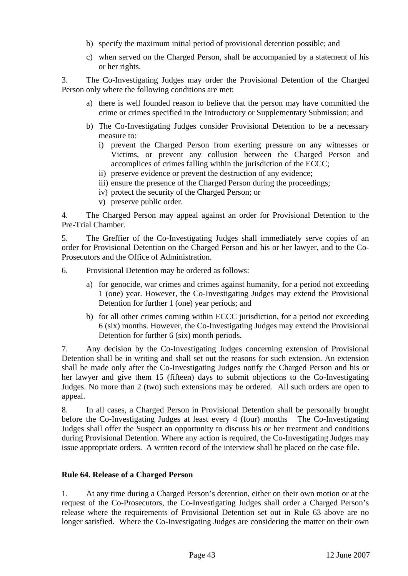- b) specify the maximum initial period of provisional detention possible; and
- c) when served on the Charged Person, shall be accompanied by a statement of his or her rights.

3. The Co-Investigating Judges may order the Provisional Detention of the Charged Person only where the following conditions are met:

- a) there is well founded reason to believe that the person may have committed the crime or crimes specified in the Introductory or Supplementary Submission; and
- b) The Co-Investigating Judges consider Provisional Detention to be a necessary measure to:
	- i) prevent the Charged Person from exerting pressure on any witnesses or Victims, or prevent any collusion between the Charged Person and accomplices of crimes falling within the jurisdiction of the ECCC;
	- ii) preserve evidence or prevent the destruction of any evidence;
	- iii) ensure the presence of the Charged Person during the proceedings;
	- iv) protect the security of the Charged Person; or
	- v) preserve public order.

4. The Charged Person may appeal against an order for Provisional Detention to the Pre-Trial Chamber.

5. The Greffier of the Co-Investigating Judges shall immediately serve copies of an order for Provisional Detention on the Charged Person and his or her lawyer, and to the Co-Prosecutors and the Office of Administration.

- 6. Provisional Detention may be ordered as follows:
	- a) for genocide, war crimes and crimes against humanity, for a period not exceeding 1 (one) year. However, the Co-Investigating Judges may extend the Provisional Detention for further 1 (one) year periods; and
	- b) for all other crimes coming within ECCC jurisdiction, for a period not exceeding 6 (six) months. However, the Co-Investigating Judges may extend the Provisional Detention for further 6 (six) month periods.

7. Any decision by the Co-Investigating Judges concerning extension of Provisional Detention shall be in writing and shall set out the reasons for such extension. An extension shall be made only after the Co-Investigating Judges notify the Charged Person and his or her lawyer and give them 15 (fifteen) days to submit objections to the Co-Investigating Judges. No more than 2 (two) such extensions may be ordered. All such orders are open to appeal.

8. In all cases, a Charged Person in Provisional Detention shall be personally brought before the Co-Investigating Judges at least every 4 (four) months The Co-Investigating Judges shall offer the Suspect an opportunity to discuss his or her treatment and conditions during Provisional Detention. Where any action is required, the Co-Investigating Judges may issue appropriate orders. A written record of the interview shall be placed on the case file.

#### **Rule 64. Release of a Charged Person**

1. At any time during a Charged Person's detention, either on their own motion or at the request of the Co-Prosecutors, the Co-Investigating Judges shall order a Charged Person's release where the requirements of Provisional Detention set out in Rule 63 above are no longer satisfied. Where the Co-Investigating Judges are considering the matter on their own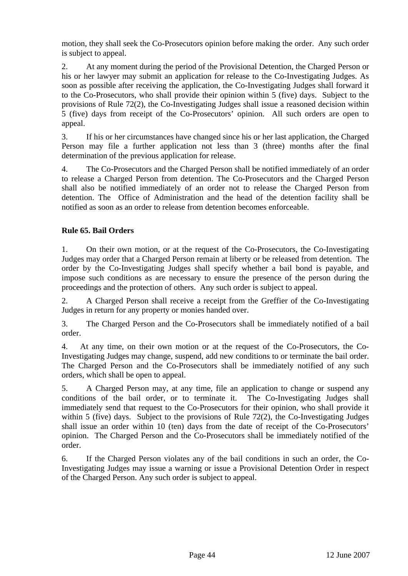motion, they shall seek the Co-Prosecutors opinion before making the order. Any such order is subject to appeal.

2. At any moment during the period of the Provisional Detention, the Charged Person or his or her lawyer may submit an application for release to the Co-Investigating Judges. As soon as possible after receiving the application, the Co-Investigating Judges shall forward it to the Co-Prosecutors, who shall provide their opinion within 5 (five) days. Subject to the provisions of Rule 72(2), the Co-Investigating Judges shall issue a reasoned decision within 5 (five) days from receipt of the Co-Prosecutors' opinion. All such orders are open to appeal.

3. If his or her circumstances have changed since his or her last application, the Charged Person may file a further application not less than 3 (three) months after the final determination of the previous application for release.

4. The Co-Prosecutors and the Charged Person shall be notified immediately of an order to release a Charged Person from detention. The Co-Prosecutors and the Charged Person shall also be notified immediately of an order not to release the Charged Person from detention. The Office of Administration and the head of the detention facility shall be notified as soon as an order to release from detention becomes enforceable.

#### **Rule 65. Bail Orders**

1. On their own motion, or at the request of the Co-Prosecutors, the Co-Investigating Judges may order that a Charged Person remain at liberty or be released from detention. The order by the Co-Investigating Judges shall specify whether a bail bond is payable, and impose such conditions as are necessary to ensure the presence of the person during the proceedings and the protection of others. Any such order is subject to appeal.

2. A Charged Person shall receive a receipt from the Greffier of the Co-Investigating Judges in return for any property or monies handed over.

3. The Charged Person and the Co-Prosecutors shall be immediately notified of a bail order.

4. At any time, on their own motion or at the request of the Co-Prosecutors, the Co-Investigating Judges may change, suspend, add new conditions to or terminate the bail order. The Charged Person and the Co-Prosecutors shall be immediately notified of any such orders, which shall be open to appeal.

5. A Charged Person may, at any time, file an application to change or suspend any conditions of the bail order, or to terminate it. The Co-Investigating Judges shall immediately send that request to the Co-Prosecutors for their opinion, who shall provide it within 5 (five) days. Subject to the provisions of Rule 72(2), the Co-Investigating Judges shall issue an order within 10 (ten) days from the date of receipt of the Co-Prosecutors' opinion. The Charged Person and the Co-Prosecutors shall be immediately notified of the order.

6. If the Charged Person violates any of the bail conditions in such an order, the Co-Investigating Judges may issue a warning or issue a Provisional Detention Order in respect of the Charged Person. Any such order is subject to appeal.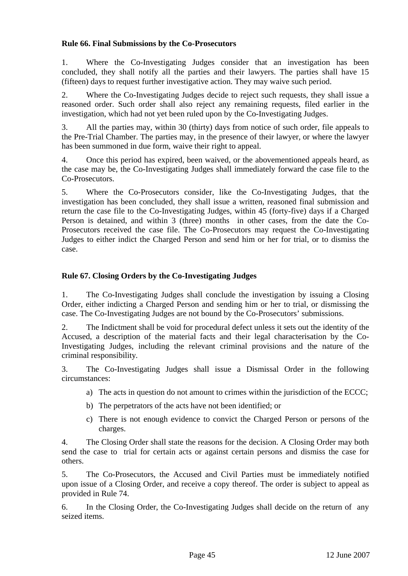#### **Rule 66. Final Submissions by the Co-Prosecutors**

1. Where the Co-Investigating Judges consider that an investigation has been concluded, they shall notify all the parties and their lawyers. The parties shall have 15 (fifteen) days to request further investigative action. They may waive such period.

2. Where the Co-Investigating Judges decide to reject such requests, they shall issue a reasoned order. Such order shall also reject any remaining requests, filed earlier in the investigation, which had not yet been ruled upon by the Co-Investigating Judges.

3. All the parties may, within 30 (thirty) days from notice of such order, file appeals to the Pre-Trial Chamber. The parties may, in the presence of their lawyer, or where the lawyer has been summoned in due form, waive their right to appeal.

4. Once this period has expired, been waived, or the abovementioned appeals heard, as the case may be, the Co-Investigating Judges shall immediately forward the case file to the Co-Prosecutors.

5. Where the Co-Prosecutors consider, like the Co-Investigating Judges, that the investigation has been concluded, they shall issue a written, reasoned final submission and return the case file to the Co-Investigating Judges, within 45 (forty-five) days if a Charged Person is detained, and within 3 (three) months in other cases, from the date the Co-Prosecutors received the case file. The Co-Prosecutors may request the Co-Investigating Judges to either indict the Charged Person and send him or her for trial, or to dismiss the case.

#### **Rule 67. Closing Orders by the Co-Investigating Judges**

1. The Co-Investigating Judges shall conclude the investigation by issuing a Closing Order, either indicting a Charged Person and sending him or her to trial, or dismissing the case. The Co-Investigating Judges are not bound by the Co-Prosecutors' submissions.

2. The Indictment shall be void for procedural defect unless it sets out the identity of the Accused, a description of the material facts and their legal characterisation by the Co-Investigating Judges, including the relevant criminal provisions and the nature of the criminal responsibility*.*

3. The Co-Investigating Judges shall issue a Dismissal Order in the following circumstances:

- a) The acts in question do not amount to crimes within the jurisdiction of the ECCC;
- b) The perpetrators of the acts have not been identified; or
- c) There is not enough evidence to convict the Charged Person or persons of the charges.

4. The Closing Order shall state the reasons for the decision. A Closing Order may both send the case to trial for certain acts or against certain persons and dismiss the case for others.

5. The Co-Prosecutors, the Accused and Civil Parties must be immediately notified upon issue of a Closing Order, and receive a copy thereof. The order is subject to appeal as provided in Rule 74.

6. In the Closing Order, the Co-Investigating Judges shall decide on the return of any seized items.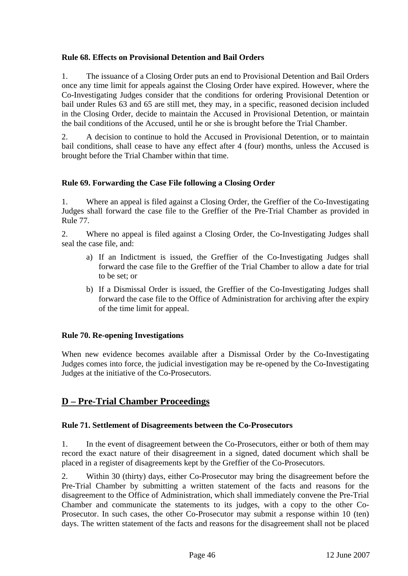#### **Rule 68. Effects on Provisional Detention and Bail Orders**

1. The issuance of a Closing Order puts an end to Provisional Detention and Bail Orders once any time limit for appeals against the Closing Order have expired. However, where the Co-Investigating Judges consider that the conditions for ordering Provisional Detention or bail under Rules 63 and 65 are still met, they may, in a specific, reasoned decision included in the Closing Order, decide to maintain the Accused in Provisional Detention, or maintain the bail conditions of the Accused, until he or she is brought before the Trial Chamber.

2. A decision to continue to hold the Accused in Provisional Detention, or to maintain bail conditions, shall cease to have any effect after 4 (four) months, unless the Accused is brought before the Trial Chamber within that time.

#### **Rule 69. Forwarding the Case File following a Closing Order**

1. Where an appeal is filed against a Closing Order, the Greffier of the Co-Investigating Judges shall forward the case file to the Greffier of the Pre-Trial Chamber as provided in Rule 77.

2. Where no appeal is filed against a Closing Order, the Co-Investigating Judges shall seal the case file, and:

- a) If an Indictment is issued, the Greffier of the Co-Investigating Judges shall forward the case file to the Greffier of the Trial Chamber to allow a date for trial to be set; or
- b) If a Dismissal Order is issued, the Greffier of the Co-Investigating Judges shall forward the case file to the Office of Administration for archiving after the expiry of the time limit for appeal.

#### **Rule 70. Re-opening Investigations**

When new evidence becomes available after a Dismissal Order by the Co-Investigating Judges comes into force, the judicial investigation may be re-opened by the Co-Investigating Judges at the initiative of the Co-Prosecutors.

### **D – Pre-Trial Chamber Proceedings**

#### **Rule 71. Settlement of Disagreements between the Co-Prosecutors**

1. In the event of disagreement between the Co-Prosecutors, either or both of them may record the exact nature of their disagreement in a signed, dated document which shall be placed in a register of disagreements kept by the Greffier of the Co-Prosecutors.

2. Within 30 (thirty) days, either Co-Prosecutor may bring the disagreement before the Pre-Trial Chamber by submitting a written statement of the facts and reasons for the disagreement to the Office of Administration, which shall immediately convene the Pre-Trial Chamber and communicate the statements to its judges, with a copy to the other Co-Prosecutor. In such cases, the other Co-Prosecutor may submit a response within 10 (ten) days. The written statement of the facts and reasons for the disagreement shall not be placed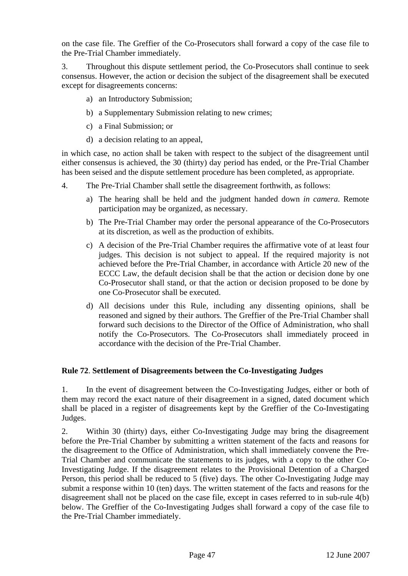on the case file. The Greffier of the Co-Prosecutors shall forward a copy of the case file to the Pre-Trial Chamber immediately.

3. Throughout this dispute settlement period, the Co-Prosecutors shall continue to seek consensus. However, the action or decision the subject of the disagreement shall be executed except for disagreements concerns:

- a) an Introductory Submission;
- b) a Supplementary Submission relating to new crimes;
- c) a Final Submission; or
- d) a decision relating to an appeal,

in which case, no action shall be taken with respect to the subject of the disagreement until either consensus is achieved, the 30 (thirty) day period has ended, or the Pre-Trial Chamber has been seised and the dispute settlement procedure has been completed, as appropriate.

- 4. The Pre-Trial Chamber shall settle the disagreement forthwith, as follows:
	- a) The hearing shall be held and the judgment handed down *in camera*. Remote participation may be organized, as necessary.
	- b) The Pre-Trial Chamber may order the personal appearance of the Co-Prosecutors at its discretion, as well as the production of exhibits.
	- c) A decision of the Pre-Trial Chamber requires the affirmative vote of at least four judges. This decision is not subject to appeal. If the required majority is not achieved before the Pre-Trial Chamber, in accordance with Article 20 new of the ECCC Law, the default decision shall be that the action or decision done by one Co-Prosecutor shall stand, or that the action or decision proposed to be done by one Co-Prosecutor shall be executed.
	- d) All decisions under this Rule, including any dissenting opinions, shall be reasoned and signed by their authors. The Greffier of the Pre-Trial Chamber shall forward such decisions to the Director of the Office of Administration, who shall notify the Co-Prosecutors. The Co-Prosecutors shall immediately proceed in accordance with the decision of the Pre-Trial Chamber.

#### **Rule 72**. **Settlement of Disagreements between the Co-Investigating Judges**

1. In the event of disagreement between the Co-Investigating Judges, either or both of them may record the exact nature of their disagreement in a signed, dated document which shall be placed in a register of disagreements kept by the Greffier of the Co-Investigating Judges.

2. Within 30 (thirty) days, either Co-Investigating Judge may bring the disagreement before the Pre-Trial Chamber by submitting a written statement of the facts and reasons for the disagreement to the Office of Administration, which shall immediately convene the Pre-Trial Chamber and communicate the statements to its judges, with a copy to the other Co-Investigating Judge. If the disagreement relates to the Provisional Detention of a Charged Person, this period shall be reduced to 5 (five) days. The other Co-Investigating Judge may submit a response within 10 (ten) days. The written statement of the facts and reasons for the disagreement shall not be placed on the case file, except in cases referred to in sub-rule 4(b) below. The Greffier of the Co-Investigating Judges shall forward a copy of the case file to the Pre-Trial Chamber immediately.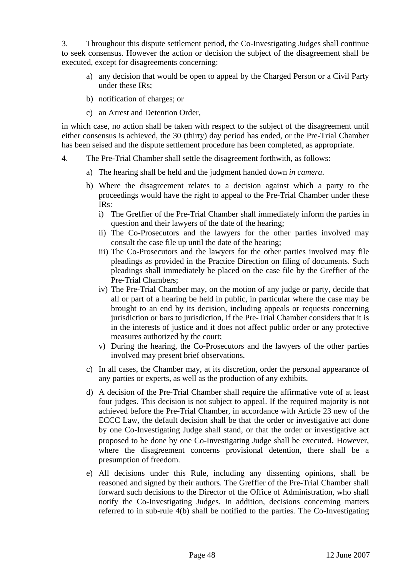3. Throughout this dispute settlement period, the Co-Investigating Judges shall continue to seek consensus. However the action or decision the subject of the disagreement shall be executed, except for disagreements concerning:

- a) any decision that would be open to appeal by the Charged Person or a Civil Party under these IRs;
- b) notification of charges; or
- c) an Arrest and Detention Order,

in which case, no action shall be taken with respect to the subject of the disagreement until either consensus is achieved, the 30 (thirty) day period has ended, or the Pre-Trial Chamber has been seised and the dispute settlement procedure has been completed, as appropriate.

- 4. The Pre-Trial Chamber shall settle the disagreement forthwith, as follows:
	- a) The hearing shall be held and the judgment handed down *in camera*.
	- b) Where the disagreement relates to a decision against which a party to the proceedings would have the right to appeal to the Pre-Trial Chamber under these IRs:
		- i) The Greffier of the Pre-Trial Chamber shall immediately inform the parties in question and their lawyers of the date of the hearing;
		- ii) The Co-Prosecutors and the lawyers for the other parties involved may consult the case file up until the date of the hearing;
		- iii) The Co-Prosecutors and the lawyers for the other parties involved may file pleadings as provided in the Practice Direction on filing of documents. Such pleadings shall immediately be placed on the case file by the Greffier of the Pre-Trial Chambers;
		- iv) The Pre-Trial Chamber may, on the motion of any judge or party, decide that all or part of a hearing be held in public, in particular where the case may be brought to an end by its decision, including appeals or requests concerning jurisdiction or bars to jurisdiction, if the Pre-Trial Chamber considers that it is in the interests of justice and it does not affect public order or any protective measures authorized by the court;
		- v) During the hearing, the Co-Prosecutors and the lawyers of the other parties involved may present brief observations.
	- c) In all cases, the Chamber may, at its discretion, order the personal appearance of any parties or experts, as well as the production of any exhibits.
	- d) A decision of the Pre-Trial Chamber shall require the affirmative vote of at least four judges. This decision is not subject to appeal. If the required majority is not achieved before the Pre-Trial Chamber, in accordance with Article 23 new of the ECCC Law, the default decision shall be that the order or investigative act done by one Co-Investigating Judge shall stand, or that the order or investigative act proposed to be done by one Co-Investigating Judge shall be executed. However, where the disagreement concerns provisional detention, there shall be a presumption of freedom.
	- e) All decisions under this Rule, including any dissenting opinions, shall be reasoned and signed by their authors. The Greffier of the Pre-Trial Chamber shall forward such decisions to the Director of the Office of Administration, who shall notify the Co-Investigating Judges. In addition, decisions concerning matters referred to in sub-rule 4(b) shall be notified to the parties*.* The Co-Investigating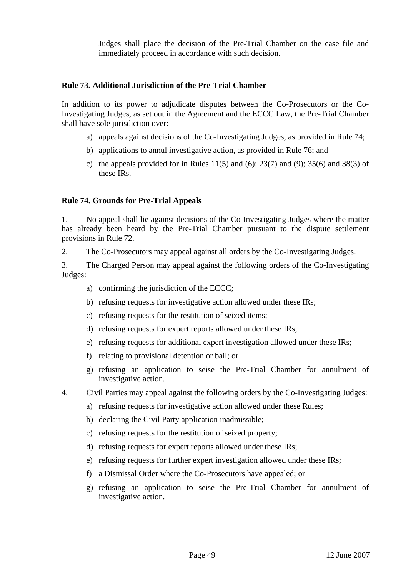Judges shall place the decision of the Pre-Trial Chamber on the case file and immediately proceed in accordance with such decision.

#### **Rule 73. Additional Jurisdiction of the Pre-Trial Chamber**

In addition to its power to adjudicate disputes between the Co-Prosecutors or the Co-Investigating Judges, as set out in the Agreement and the ECCC Law, the Pre-Trial Chamber shall have sole jurisdiction over:

- a) appeals against decisions of the Co-Investigating Judges, as provided in Rule 74;
- b) applications to annul investigative action, as provided in Rule 76; and
- c) the appeals provided for in Rules 11(5) and (6); 23(7) and (9); 35(6) and 38(3) of these IRs.

#### **Rule 74. Grounds for Pre-Trial Appeals**

1. No appeal shall lie against decisions of the Co-Investigating Judges where the matter has already been heard by the Pre-Trial Chamber pursuant to the dispute settlement provisions in Rule 72.

2. The Co-Prosecutors may appeal against all orders by the Co-Investigating Judges.

3. The Charged Person may appeal against the following orders of the Co-Investigating Judges:

- a) confirming the jurisdiction of the ECCC;
- b) refusing requests for investigative action allowed under these IRs;
- c) refusing requests for the restitution of seized items;
- d) refusing requests for expert reports allowed under these IRs;
- e) refusing requests for additional expert investigation allowed under these IRs;
- f) relating to provisional detention or bail; or
- g) refusing an application to seise the Pre-Trial Chamber for annulment of investigative action.
- 4. Civil Parties may appeal against the following orders by the Co-Investigating Judges:
	- a) refusing requests for investigative action allowed under these Rules;
	- b) declaring the Civil Party application inadmissible;
	- c) refusing requests for the restitution of seized property;
	- d) refusing requests for expert reports allowed under these IRs;
	- e) refusing requests for further expert investigation allowed under these IRs;
	- f) a Dismissal Order where the Co-Prosecutors have appealed; or
	- g) refusing an application to seise the Pre-Trial Chamber for annulment of investigative action.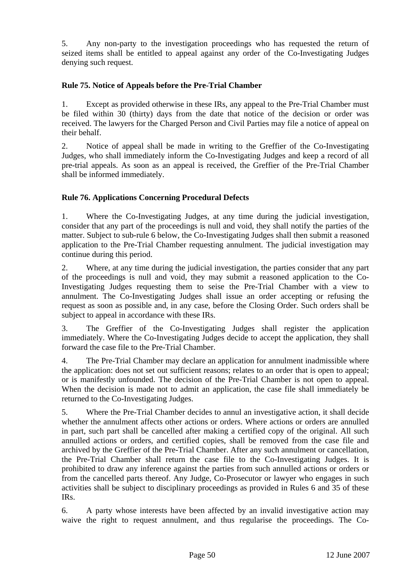5. Any non-party to the investigation proceedings who has requested the return of seized items shall be entitled to appeal against any order of the Co-Investigating Judges denying such request.

#### **Rule 75. Notice of Appeals before the Pre-Trial Chamber**

1. Except as provided otherwise in these IRs, any appeal to the Pre-Trial Chamber must be filed within 30 (thirty) days from the date that notice of the decision or order was received. The lawyers for the Charged Person and Civil Parties may file a notice of appeal on their behalf.

2. Notice of appeal shall be made in writing to the Greffier of the Co-Investigating Judges, who shall immediately inform the Co-Investigating Judges and keep a record of all pre-trial appeals. As soon as an appeal is received, the Greffier of the Pre-Trial Chamber shall be informed immediately.

#### **Rule 76. Applications Concerning Procedural Defects**

1. Where the Co-Investigating Judges, at any time during the judicial investigation, consider that any part of the proceedings is null and void, they shall notify the parties of the matter. Subject to sub-rule 6 below, the Co-Investigating Judges shall then submit a reasoned application to the Pre-Trial Chamber requesting annulment. The judicial investigation may continue during this period.

2. Where, at any time during the judicial investigation, the parties consider that any part of the proceedings is null and void, they may submit a reasoned application to the Co-Investigating Judges requesting them to seise the Pre-Trial Chamber with a view to annulment. The Co-Investigating Judges shall issue an order accepting or refusing the request as soon as possible and, in any case, before the Closing Order. Such orders shall be subject to appeal in accordance with these IRs.

3. The Greffier of the Co-Investigating Judges shall register the application immediately. Where the Co-Investigating Judges decide to accept the application, they shall forward the case file to the Pre-Trial Chamber.

4. The Pre-Trial Chamber may declare an application for annulment inadmissible where the application: does not set out sufficient reasons; relates to an order that is open to appeal; or is manifestly unfounded. The decision of the Pre-Trial Chamber is not open to appeal. When the decision is made not to admit an application, the case file shall immediately be returned to the Co-Investigating Judges.

5. Where the Pre-Trial Chamber decides to annul an investigative action, it shall decide whether the annulment affects other actions or orders. Where actions or orders are annulled in part, such part shall be cancelled after making a certified copy of the original. All such annulled actions or orders, and certified copies, shall be removed from the case file and archived by the Greffier of the Pre-Trial Chamber. After any such annulment or cancellation, the Pre-Trial Chamber shall return the case file to the Co-Investigating Judges. It is prohibited to draw any inference against the parties from such annulled actions or orders or from the cancelled parts thereof. Any Judge, Co-Prosecutor or lawyer who engages in such activities shall be subject to disciplinary proceedings as provided in Rules 6 and 35 of these IRs.

6. A party whose interests have been affected by an invalid investigative action may waive the right to request annulment, and thus regularise the proceedings. The Co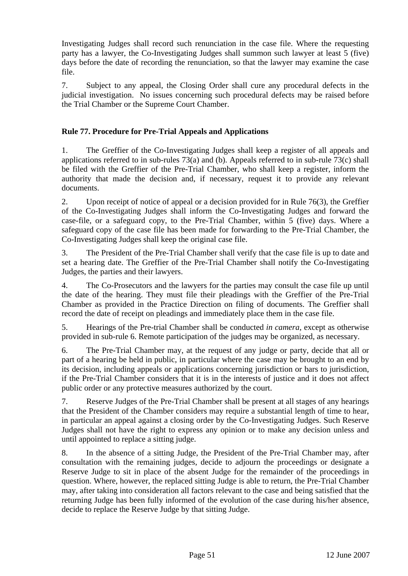Investigating Judges shall record such renunciation in the case file. Where the requesting party has a lawyer, the Co-Investigating Judges shall summon such lawyer at least 5 (five) days before the date of recording the renunciation, so that the lawyer may examine the case file.

7. Subject to any appeal, the Closing Order shall cure any procedural defects in the judicial investigation. No issues concerning such procedural defects may be raised before the Trial Chamber or the Supreme Court Chamber.

#### **Rule 77. Procedure for Pre-Trial Appeals and Applications**

1. The Greffier of the Co-Investigating Judges shall keep a register of all appeals and applications referred to in sub-rules 73(a) and (b). Appeals referred to in sub-rule 73(c) shall be filed with the Greffier of the Pre-Trial Chamber, who shall keep a register, inform the authority that made the decision and, if necessary, request it to provide any relevant documents.

2. Upon receipt of notice of appeal or a decision provided for in Rule 76(3), the Greffier of the Co-Investigating Judges shall inform the Co-Investigating Judges and forward the case-file, or a safeguard copy, to the Pre-Trial Chamber, within 5 (five) days. Where a safeguard copy of the case file has been made for forwarding to the Pre-Trial Chamber, the Co-Investigating Judges shall keep the original case file.

3. The President of the Pre-Trial Chamber shall verify that the case file is up to date and set a hearing date. The Greffier of the Pre-Trial Chamber shall notify the Co-Investigating Judges, the parties and their lawyers.

4. The Co-Prosecutors and the lawyers for the parties may consult the case file up until the date of the hearing. They must file their pleadings with the Greffier of the Pre-Trial Chamber as provided in the Practice Direction on filing of documents. The Greffier shall record the date of receipt on pleadings and immediately place them in the case file.

5. Hearings of the Pre-trial Chamber shall be conducted *in camera*, except as otherwise provided in sub-rule 6. Remote participation of the judges may be organized, as necessary.

6. The Pre-Trial Chamber may, at the request of any judge or party, decide that all or part of a hearing be held in public, in particular where the case may be brought to an end by its decision, including appeals or applications concerning jurisdiction or bars to jurisdiction, if the Pre-Trial Chamber considers that it is in the interests of justice and it does not affect public order or any protective measures authorized by the court.

7. Reserve Judges of the Pre-Trial Chamber shall be present at all stages of any hearings that the President of the Chamber considers may require a substantial length of time to hear, in particular an appeal against a closing order by the Co-Investigating Judges. Such Reserve Judges shall not have the right to express any opinion or to make any decision unless and until appointed to replace a sitting judge.

8. In the absence of a sitting Judge, the President of the Pre-Trial Chamber may, after consultation with the remaining judges, decide to adjourn the proceedings or designate a Reserve Judge to sit in place of the absent Judge for the remainder of the proceedings in question. Where, however, the replaced sitting Judge is able to return, the Pre-Trial Chamber may, after taking into consideration all factors relevant to the case and being satisfied that the returning Judge has been fully informed of the evolution of the case during his/her absence, decide to replace the Reserve Judge by that sitting Judge.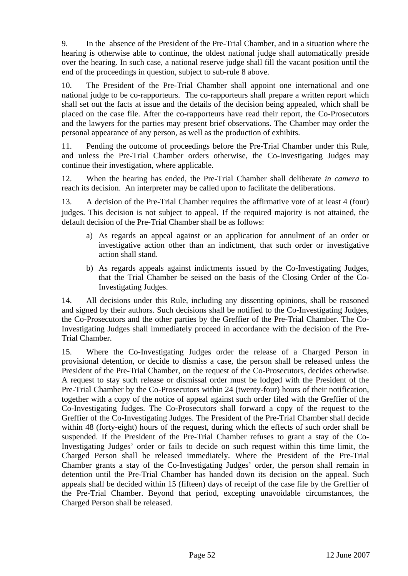9. In the absence of the President of the Pre-Trial Chamber, and in a situation where the hearing is otherwise able to continue, the oldest national judge shall automatically preside over the hearing. In such case, a national reserve judge shall fill the vacant position until the end of the proceedings in question, subject to sub-rule 8 above.

10. The President of the Pre-Trial Chamber shall appoint one international and one national judge to be co-rapporteurs. The co-rapporteurs shall prepare a written report which shall set out the facts at issue and the details of the decision being appealed, which shall be placed on the case file. After the co-rapporteurs have read their report, the Co-Prosecutors and the lawyers for the parties may present brief observations. The Chamber may order the personal appearance of any person, as well as the production of exhibits.

11. Pending the outcome of proceedings before the Pre-Trial Chamber under this Rule, and unless the Pre-Trial Chamber orders otherwise, the Co-Investigating Judges may continue their investigation, where applicable.

12. When the hearing has ended, the Pre-Trial Chamber shall deliberate *in camera* to reach its decision. An interpreter may be called upon to facilitate the deliberations.

13. A decision of the Pre-Trial Chamber requires the affirmative vote of at least 4 (four) judges. This decision is not subject to appeal. If the required majority is not attained, the default decision of the Pre-Trial Chamber shall be as follows:

- a) As regards an appeal against or an application for annulment of an order or investigative action other than an indictment, that such order or investigative action shall stand.
- b) As regards appeals against indictments issued by the Co-Investigating Judges, that the Trial Chamber be seised on the basis of the Closing Order of the Co-Investigating Judges.

14. All decisions under this Rule, including any dissenting opinions, shall be reasoned and signed by their authors. Such decisions shall be notified to the Co-Investigating Judges, the Co-Prosecutors and the other parties by the Greffier of the Pre-Trial Chamber. The Co-Investigating Judges shall immediately proceed in accordance with the decision of the Pre-Trial Chamber.

15. Where the Co-Investigating Judges order the release of a Charged Person in provisional detention, or decide to dismiss a case, the person shall be released unless the President of the Pre-Trial Chamber, on the request of the Co-Prosecutors, decides otherwise. A request to stay such release or dismissal order must be lodged with the President of the Pre-Trial Chamber by the Co-Prosecutors within 24 (twenty-four) hours of their notification, together with a copy of the notice of appeal against such order filed with the Greffier of the Co-Investigating Judges. The Co-Prosecutors shall forward a copy of the request to the Greffier of the Co-Investigating Judges. The President of the Pre-Trial Chamber shall decide within 48 (forty-eight) hours of the request, during which the effects of such order shall be suspended. If the President of the Pre-Trial Chamber refuses to grant a stay of the Co-Investigating Judges' order or fails to decide on such request within this time limit, the Charged Person shall be released immediately. Where the President of the Pre-Trial Chamber grants a stay of the Co-Investigating Judges' order, the person shall remain in detention until the Pre-Trial Chamber has handed down its decision on the appeal. Such appeals shall be decided within 15 (fifteen) days of receipt of the case file by the Greffier of the Pre-Trial Chamber. Beyond that period, excepting unavoidable circumstances, the Charged Person shall be released.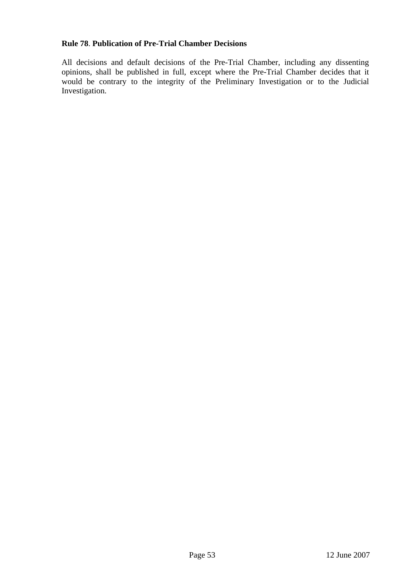#### **Rule 78**. **Publication of Pre-Trial Chamber Decisions**

All decisions and default decisions of the Pre-Trial Chamber, including any dissenting opinions, shall be published in full, except where the Pre-Trial Chamber decides that it would be contrary to the integrity of the Preliminary Investigation or to the Judicial Investigation.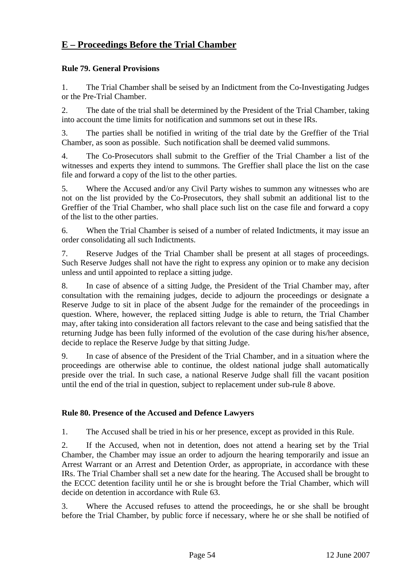### **E – Proceedings Before the Trial Chamber**

#### **Rule 79. General Provisions**

1. The Trial Chamber shall be seised by an Indictment from the Co-Investigating Judges or the Pre-Trial Chamber.

2. The date of the trial shall be determined by the President of the Trial Chamber, taking into account the time limits for notification and summons set out in these IRs.

3. The parties shall be notified in writing of the trial date by the Greffier of the Trial Chamber, as soon as possible. Such notification shall be deemed valid summons.

4. The Co-Prosecutors shall submit to the Greffier of the Trial Chamber a list of the witnesses and experts they intend to summons. The Greffier shall place the list on the case file and forward a copy of the list to the other parties.

5. Where the Accused and/or any Civil Party wishes to summon any witnesses who are not on the list provided by the Co-Prosecutors, they shall submit an additional list to the Greffier of the Trial Chamber, who shall place such list on the case file and forward a copy of the list to the other parties.

6. When the Trial Chamber is seised of a number of related Indictments, it may issue an order consolidating all such Indictments.

7. Reserve Judges of the Trial Chamber shall be present at all stages of proceedings. Such Reserve Judges shall not have the right to express any opinion or to make any decision unless and until appointed to replace a sitting judge.

8. In case of absence of a sitting Judge, the President of the Trial Chamber may, after consultation with the remaining judges, decide to adjourn the proceedings or designate a Reserve Judge to sit in place of the absent Judge for the remainder of the proceedings in question. Where, however, the replaced sitting Judge is able to return, the Trial Chamber may, after taking into consideration all factors relevant to the case and being satisfied that the returning Judge has been fully informed of the evolution of the case during his/her absence, decide to replace the Reserve Judge by that sitting Judge.

9. In case of absence of the President of the Trial Chamber, and in a situation where the proceedings are otherwise able to continue, the oldest national judge shall automatically preside over the trial. In such case, a national Reserve Judge shall fill the vacant position until the end of the trial in question, subject to replacement under sub-rule 8 above.

#### **Rule 80. Presence of the Accused and Defence Lawyers**

1. The Accused shall be tried in his or her presence, except as provided in this Rule.

2. If the Accused, when not in detention, does not attend a hearing set by the Trial Chamber, the Chamber may issue an order to adjourn the hearing temporarily and issue an Arrest Warrant or an Arrest and Detention Order, as appropriate, in accordance with these IRs. The Trial Chamber shall set a new date for the hearing. The Accused shall be brought to the ECCC detention facility until he or she is brought before the Trial Chamber, which will decide on detention in accordance with Rule 63.

3. Where the Accused refuses to attend the proceedings, he or she shall be brought before the Trial Chamber, by public force if necessary, where he or she shall be notified of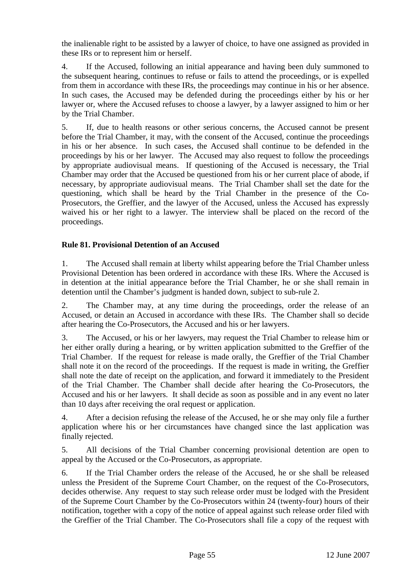the inalienable right to be assisted by a lawyer of choice, to have one assigned as provided in these IRs or to represent him or herself.

4. If the Accused, following an initial appearance and having been duly summoned to the subsequent hearing, continues to refuse or fails to attend the proceedings, or is expelled from them in accordance with these IRs, the proceedings may continue in his or her absence. In such cases, the Accused may be defended during the proceedings either by his or her lawyer or, where the Accused refuses to choose a lawyer, by a lawyer assigned to him or her by the Trial Chamber.

5. If, due to health reasons or other serious concerns, the Accused cannot be present before the Trial Chamber, it may, with the consent of the Accused, continue the proceedings in his or her absence. In such cases, the Accused shall continue to be defended in the proceedings by his or her lawyer. The Accused may also request to follow the proceedings by appropriate audiovisual means. If questioning of the Accused is necessary, the Trial Chamber may order that the Accused be questioned from his or her current place of abode, if necessary, by appropriate audiovisual means. The Trial Chamber shall set the date for the questioning, which shall be heard by the Trial Chamber in the presence of the Co-Prosecutors, the Greffier, and the lawyer of the Accused, unless the Accused has expressly waived his or her right to a lawyer. The interview shall be placed on the record of the proceedings.

#### **Rule 81. Provisional Detention of an Accused**

1. The Accused shall remain at liberty whilst appearing before the Trial Chamber unless Provisional Detention has been ordered in accordance with these IRs. Where the Accused is in detention at the initial appearance before the Trial Chamber, he or she shall remain in detention until the Chamber's judgment is handed down, subject to sub-rule 2.

2. The Chamber may, at any time during the proceedings, order the release of an Accused, or detain an Accused in accordance with these IRs. The Chamber shall so decide after hearing the Co-Prosecutors, the Accused and his or her lawyers.

3. The Accused, or his or her lawyers, may request the Trial Chamber to release him or her either orally during a hearing, or by written application submitted to the Greffier of the Trial Chamber. If the request for release is made orally, the Greffier of the Trial Chamber shall note it on the record of the proceedings. If the request is made in writing, the Greffier shall note the date of receipt on the application, and forward it immediately to the President of the Trial Chamber. The Chamber shall decide after hearing the Co-Prosecutors, the Accused and his or her lawyers. It shall decide as soon as possible and in any event no later than 10 days after receiving the oral request or application.

4. After a decision refusing the release of the Accused, he or she may only file a further application where his or her circumstances have changed since the last application was finally rejected.

5. All decisions of the Trial Chamber concerning provisional detention are open to appeal by the Accused or the Co-Prosecutors, as appropriate.

6. If the Trial Chamber orders the release of the Accused, he or she shall be released unless the President of the Supreme Court Chamber, on the request of the Co-Prosecutors, decides otherwise. Any request to stay such release order must be lodged with the President of the Supreme Court Chamber by the Co-Prosecutors within 24 (twenty-four) hours of their notification, together with a copy of the notice of appeal against such release order filed with the Greffier of the Trial Chamber. The Co-Prosecutors shall file a copy of the request with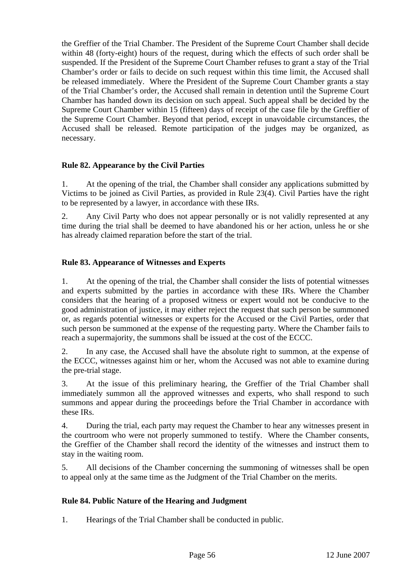the Greffier of the Trial Chamber. The President of the Supreme Court Chamber shall decide within 48 (forty-eight) hours of the request, during which the effects of such order shall be suspended. If the President of the Supreme Court Chamber refuses to grant a stay of the Trial Chamber's order or fails to decide on such request within this time limit, the Accused shall be released immediately. Where the President of the Supreme Court Chamber grants a stay of the Trial Chamber's order, the Accused shall remain in detention until the Supreme Court Chamber has handed down its decision on such appeal. Such appeal shall be decided by the Supreme Court Chamber within 15 (fifteen) days of receipt of the case file by the Greffier of the Supreme Court Chamber. Beyond that period, except in unavoidable circumstances, the Accused shall be released. Remote participation of the judges may be organized, as necessary.

#### **Rule 82. Appearance by the Civil Parties**

1. At the opening of the trial, the Chamber shall consider any applications submitted by Victims to be joined as Civil Parties, as provided in Rule 23(4). Civil Parties have the right to be represented by a lawyer, in accordance with these IRs.

2. Any Civil Party who does not appear personally or is not validly represented at any time during the trial shall be deemed to have abandoned his or her action, unless he or she has already claimed reparation before the start of the trial.

#### **Rule 83. Appearance of Witnesses and Experts**

1. At the opening of the trial, the Chamber shall consider the lists of potential witnesses and experts submitted by the parties in accordance with these IRs. Where the Chamber considers that the hearing of a proposed witness or expert would not be conducive to the good administration of justice, it may either reject the request that such person be summoned or, as regards potential witnesses or experts for the Accused or the Civil Parties, order that such person be summoned at the expense of the requesting party. Where the Chamber fails to reach a supermajority, the summons shall be issued at the cost of the ECCC.

2. In any case, the Accused shall have the absolute right to summon, at the expense of the ECCC, witnesses against him or her, whom the Accused was not able to examine during the pre-trial stage.

3. At the issue of this preliminary hearing, the Greffier of the Trial Chamber shall immediately summon all the approved witnesses and experts, who shall respond to such summons and appear during the proceedings before the Trial Chamber in accordance with these IRs.

4. During the trial, each party may request the Chamber to hear any witnesses present in the courtroom who were not properly summoned to testify.Where the Chamber consents, the Greffier of the Chamber shall record the identity of the witnesses and instruct them to stay in the waiting room.

5. All decisions of the Chamber concerning the summoning of witnesses shall be open to appeal only at the same time as the Judgment of the Trial Chamber on the merits.

#### **Rule 84. Public Nature of the Hearing and Judgment**

1. Hearings of the Trial Chamber shall be conducted in public.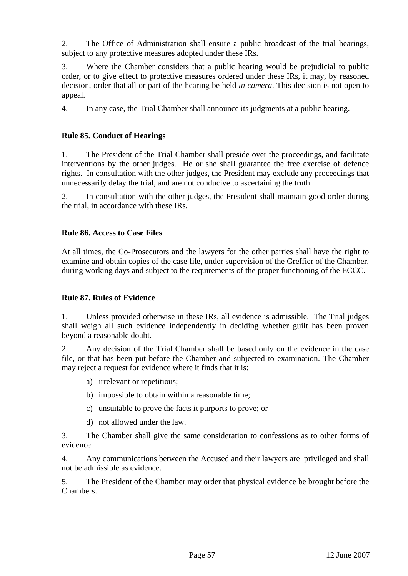2. The Office of Administration shall ensure a public broadcast of the trial hearings, subject to any protective measures adopted under these IRs.

3. Where the Chamber considers that a public hearing would be prejudicial to public order, or to give effect to protective measures ordered under these IRs, it may, by reasoned decision, order that all or part of the hearing be held *in camera*. This decision is not open to appeal.

4. In any case, the Trial Chamber shall announce its judgments at a public hearing.

#### **Rule 85. Conduct of Hearings**

1. The President of the Trial Chamber shall preside over the proceedings, and facilitate interventions by the other judges. He or she shall guarantee the free exercise of defence rights. In consultation with the other judges, the President may exclude any proceedings that unnecessarily delay the trial, and are not conducive to ascertaining the truth.

2. In consultation with the other judges, the President shall maintain good order during the trial, in accordance with these IRs.

#### **Rule 86. Access to Case Files**

At all times, the Co-Prosecutors and the lawyers for the other parties shall have the right to examine and obtain copies of the case file, under supervision of the Greffier of the Chamber, during working days and subject to the requirements of the proper functioning of the ECCC.

#### **Rule 87. Rules of Evidence**

1. Unless provided otherwise in these IRs, all evidence is admissible. The Trial judges shall weigh all such evidence independently in deciding whether guilt has been proven beyond a reasonable doubt.

2. Any decision of the Trial Chamber shall be based only on the evidence in the case file, or that has been put before the Chamber and subjected to examination. The Chamber may reject a request for evidence where it finds that it is:

- a) irrelevant or repetitious;
- b) impossible to obtain within a reasonable time;
- c) unsuitable to prove the facts it purports to prove; or
- d) not allowed under the law.

3. The Chamber shall give the same consideration to confessions as to other forms of evidence.

4. Any communications between the Accused and their lawyers are privileged and shall not be admissible as evidence.

5. The President of the Chamber may order that physical evidence be brought before the Chambers.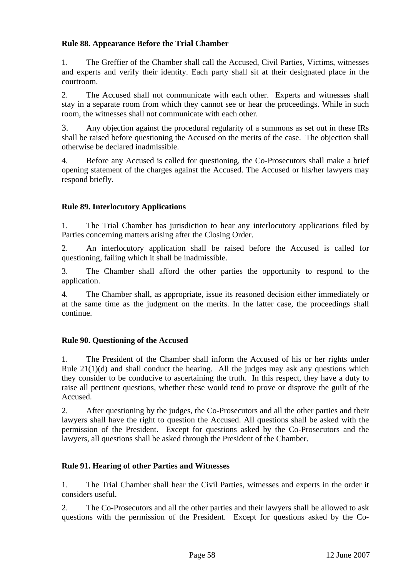#### **Rule 88. Appearance Before the Trial Chamber**

1. The Greffier of the Chamber shall call the Accused, Civil Parties, Victims, witnesses and experts and verify their identity. Each party shall sit at their designated place in the courtroom.

2. The Accused shall not communicate with each other. Experts and witnesses shall stay in a separate room from which they cannot see or hear the proceedings. While in such room, the witnesses shall not communicate with each other.

3. Any objection against the procedural regularity of a summons as set out in these IRs shall be raised before questioning the Accused on the merits of the case. The objection shall otherwise be declared inadmissible.

4. Before any Accused is called for questioning, the Co-Prosecutors shall make a brief opening statement of the charges against the Accused. The Accused or his/her lawyers may respond briefly.

#### **Rule 89. Interlocutory Applications**

1. The Trial Chamber has jurisdiction to hear any interlocutory applications filed by Parties concerning matters arising after the Closing Order.

2. An interlocutory application shall be raised before the Accused is called for questioning*,* failing which it shall be inadmissible.

3. The Chamber shall afford the other parties the opportunity to respond to the application.

4. The Chamber shall, as appropriate, issue its reasoned decision either immediately or at the same time as the judgment on the merits. In the latter case, the proceedings shall continue.

#### **Rule 90. Questioning of the Accused**

1. The President of the Chamber shall inform the Accused of his or her rights under Rule  $21(1)(d)$  and shall conduct the hearing. All the judges may ask any questions which they consider to be conducive to ascertaining the truth. In this respect, they have a duty to raise all pertinent questions, whether these would tend to prove or disprove the guilt of the Accused.

2. After questioning by the judges, the Co-Prosecutors and all the other parties and their lawyers shall have the right to question the Accused. All questions shall be asked with the permission of the President. Except for questions asked by the Co-Prosecutors and the lawyers, all questions shall be asked through the President of the Chamber.

#### **Rule 91. Hearing of other Parties and Witnesses**

1. The Trial Chamber shall hear the Civil Parties, witnesses and experts in the order it considers useful.

2. The Co-Prosecutors and all the other parties and their lawyers shall be allowed to ask questions with the permission of the President. Except for questions asked by the Co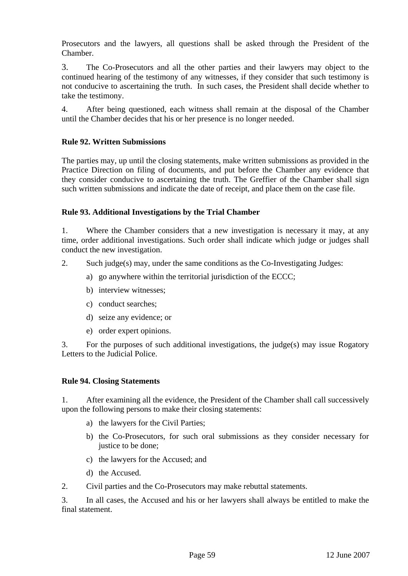Prosecutors and the lawyers, all questions shall be asked through the President of the Chamber.

3. The Co-Prosecutors and all the other parties and their lawyers may object to the continued hearing of the testimony of any witnesses, if they consider that such testimony is not conducive to ascertaining the truth. In such cases, the President shall decide whether to take the testimony.

4. After being questioned, each witness shall remain at the disposal of the Chamber until the Chamber decides that his or her presence is no longer needed.

#### **Rule 92. Written Submissions**

The parties may, up until the closing statements, make written submissions as provided in the Practice Direction on filing of documents, and put before the Chamber any evidence that they consider conducive to ascertaining the truth. The Greffier of the Chamber shall sign such written submissions and indicate the date of receipt, and place them on the case file.

#### **Rule 93. Additional Investigations by the Trial Chamber**

1. Where the Chamber considers that a new investigation is necessary it may, at any time, order additional investigations. Such order shall indicate which judge or judges shall conduct the new investigation.

- 2. Such judge(s) may, under the same conditions as the Co-Investigating Judges:
	- a) go anywhere within the territorial jurisdiction of the ECCC;
	- b) interview witnesses;
	- c) conduct searches;
	- d) seize any evidence; or
	- e) order expert opinions.

3. For the purposes of such additional investigations, the judge(s) may issue Rogatory Letters to the Judicial Police.

#### **Rule 94. Closing Statements**

1. After examining all the evidence, the President of the Chamber shall call successively upon the following persons to make their closing statements:

- a) the lawyers for the Civil Parties;
- b) the Co-Prosecutors, for such oral submissions as they consider necessary for justice to be done:
- c) the lawyers for the Accused; and
- d) the Accused.
- 2. Civil parties and the Co-Prosecutors may make rebuttal statements.

3. In all cases, the Accused and his or her lawyers shall always be entitled to make the final statement.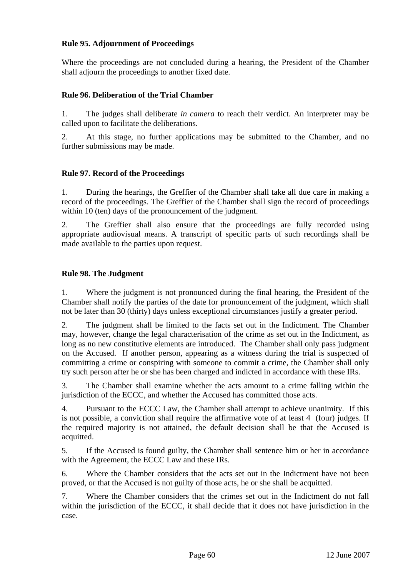#### **Rule 95. Adjournment of Proceedings**

Where the proceedings are not concluded during a hearing, the President of the Chamber shall adjourn the proceedings to another fixed date.

#### **Rule 96. Deliberation of the Trial Chamber**

1. The judges shall deliberate *in camera* to reach their verdict. An interpreter may be called upon to facilitate the deliberations.

2. At this stage, no further applications may be submitted to the Chamber, and no further submissions may be made.

#### **Rule 97. Record of the Proceedings**

1. During the hearings, the Greffier of the Chamber shall take all due care in making a record of the proceedings. The Greffier of the Chamber shall sign the record of proceedings within 10 (ten) days of the pronouncement of the judgment.

2. The Greffier shall also ensure that the proceedings are fully recorded using appropriate audiovisual means. A transcript of specific parts of such recordings shall be made available to the parties upon request.

#### **Rule 98. The Judgment**

1. Where the judgment is not pronounced during the final hearing, the President of the Chamber shall notify the parties of the date for pronouncement of the judgment, which shall not be later than 30 (thirty) days unless exceptional circumstances justify a greater period.

2. The judgment shall be limited to the facts set out in the Indictment. The Chamber may, however, change the legal characterisation of the crime as set out in the Indictment, as long as no new constitutive elements are introduced. The Chamber shall only pass judgment on the Accused. If another person, appearing as a witness during the trial is suspected of committing a crime or conspiring with someone to commit a crime, the Chamber shall only try such person after he or she has been charged and indicted in accordance with these IRs.

3. The Chamber shall examine whether the acts amount to a crime falling within the jurisdiction of the ECCC, and whether the Accused has committed those acts.

4. Pursuant to the ECCC Law, the Chamber shall attempt to achieve unanimity. If this is not possible, a conviction shall require the affirmative vote of at least 4 (four) judges. If the required majority is not attained, the default decision shall be that the Accused is acquitted.

5. If the Accused is found guilty, the Chamber shall sentence him or her in accordance with the Agreement, the ECCC Law and these IRs.

6. Where the Chamber considers that the acts set out in the Indictment have not been proved, or that the Accused is not guilty of those acts, he or she shall be acquitted.

7. Where the Chamber considers that the crimes set out in the Indictment do not fall within the jurisdiction of the ECCC, it shall decide that it does not have jurisdiction in the case.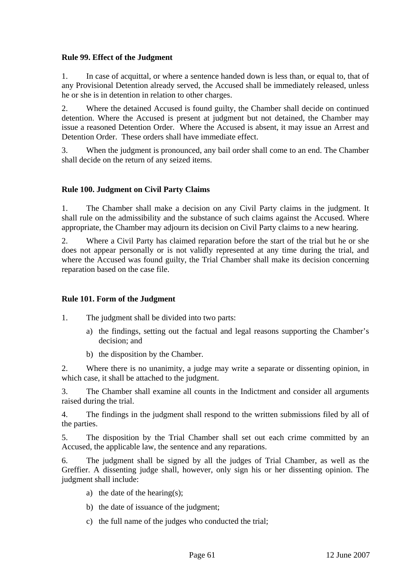#### **Rule 99. Effect of the Judgment**

1. In case of acquittal, or where a sentence handed down is less than, or equal to, that of any Provisional Detention already served, the Accused shall be immediately released, unless he or she is in detention in relation to other charges.

2. Where the detained Accused is found guilty, the Chamber shall decide on continued detention. Where the Accused is present at judgment but not detained, the Chamber may issue a reasoned Detention Order. Where the Accused is absent, it may issue an Arrest and Detention Order. These orders shall have immediate effect.

3. When the judgment is pronounced, any bail order shall come to an end. The Chamber shall decide on the return of any seized items.

#### **Rule 100. Judgment on Civil Party Claims**

1. The Chamber shall make a decision on any Civil Party claims in the judgment. It shall rule on the admissibility and the substance of such claims against the Accused. Where appropriate, the Chamber may adjourn its decision on Civil Party claims to a new hearing.

2. Where a Civil Party has claimed reparation before the start of the trial but he or she does not appear personally or is not validly represented at any time during the trial, and where the Accused was found guilty, the Trial Chamber shall make its decision concerning reparation based on the case file.

#### **Rule 101. Form of the Judgment**

1. The judgment shall be divided into two parts:

- a) the findings, setting out the factual and legal reasons supporting the Chamber's decision; and
- b) the disposition by the Chamber.

2. Where there is no unanimity, a judge may write a separate or dissenting opinion, in which case, it shall be attached to the judgment.

3. The Chamber shall examine all counts in the Indictment and consider all arguments raised during the trial.

4. The findings in the judgment shall respond to the written submissions filed by all of the parties.

5. The disposition by the Trial Chamber shall set out each crime committed by an Accused, the applicable law, the sentence and any reparations.

6. The judgment shall be signed by all the judges of Trial Chamber, as well as the Greffier. A dissenting judge shall, however, only sign his or her dissenting opinion. The judgment shall include:

- a) the date of the hearing(s);
- b) the date of issuance of the judgment;
- c) the full name of the judges who conducted the trial;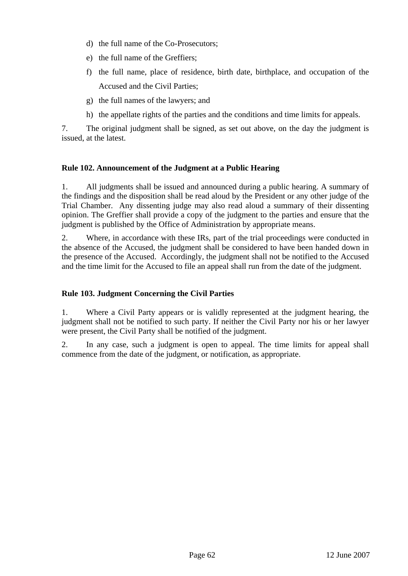- d) the full name of the Co-Prosecutors;
- e) the full name of the Greffiers;
- f) the full name, place of residence, birth date, birthplace, and occupation of the Accused and the Civil Parties;
- g) the full names of the lawyers; and
- h) the appellate rights of the parties and the conditions and time limits for appeals.

7. The original judgment shall be signed, as set out above, on the day the judgment is issued, at the latest.

#### **Rule 102. Announcement of the Judgment at a Public Hearing**

1. All judgments shall be issued and announced during a public hearing. A summary of the findings and the disposition shall be read aloud by the President or any other judge of the Trial Chamber. Any dissenting judge may also read aloud a summary of their dissenting opinion. The Greffier shall provide a copy of the judgment to the parties and ensure that the judgment is published by the Office of Administration by appropriate means.

2. Where, in accordance with these IRs, part of the trial proceedings were conducted in the absence of the Accused, the judgment shall be considered to have been handed down in the presence of the Accused. Accordingly, the judgment shall not be notified to the Accused and the time limit for the Accused to file an appeal shall run from the date of the judgment.

#### **Rule 103. Judgment Concerning the Civil Parties**

1. Where a Civil Party appears or is validly represented at the judgment hearing, the judgment shall not be notified to such party. If neither the Civil Party nor his or her lawyer were present, the Civil Party shall be notified of the judgment.

2. In any case, such a judgment is open to appeal. The time limits for appeal shall commence from the date of the judgment, or notification, as appropriate.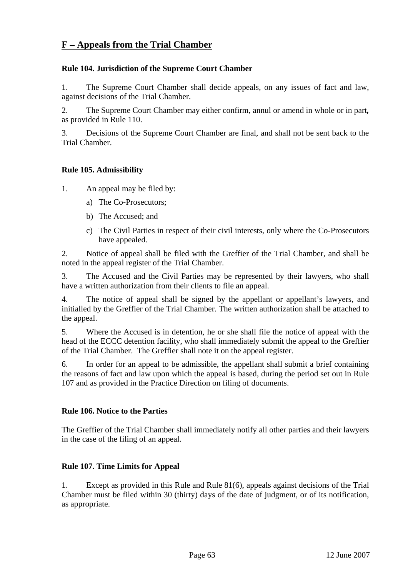### **F – Appeals from the Trial Chamber**

#### **Rule 104. Jurisdiction of the Supreme Court Chamber**

1. The Supreme Court Chamber shall decide appeals, on any issues of fact and law, against decisions of the Trial Chamber.

2. The Supreme Court Chamber may either confirm, annul or amend in whole or in part*,*  as provided in Rule 110.

3. Decisions of the Supreme Court Chamber are final, and shall not be sent back to the Trial Chamber.

#### **Rule 105. Admissibility**

1. An appeal may be filed by:

- a) The Co-Prosecutors;
- b) The Accused; and
- c) The Civil Parties in respect of their civil interests, only where the Co-Prosecutors have appealed.

2. Notice of appeal shall be filed with the Greffier of the Trial Chamber, and shall be noted in the appeal register of the Trial Chamber.

3. The Accused and the Civil Parties may be represented by their lawyers, who shall have a written authorization from their clients to file an appeal.

4. The notice of appeal shall be signed by the appellant or appellant's lawyers, and initialled by the Greffier of the Trial Chamber. The written authorization shall be attached to the appeal.

5. Where the Accused is in detention, he or she shall file the notice of appeal with the head of the ECCC detention facility, who shall immediately submit the appeal to the Greffier of the Trial Chamber. The Greffier shall note it on the appeal register.

6. In order for an appeal to be admissible, the appellant shall submit a brief containing the reasons of fact and law upon which the appeal is based, during the period set out in Rule 107 and as provided in the Practice Direction on filing of documents.

#### **Rule 106. Notice to the Parties**

The Greffier of the Trial Chamber shall immediately notify all other parties and their lawyers in the case of the filing of an appeal.

#### **Rule 107. Time Limits for Appeal**

1. Except as provided in this Rule and Rule 81(6), appeals against decisions of the Trial Chamber must be filed within 30 (thirty) days of the date of judgment, or of its notification, as appropriate.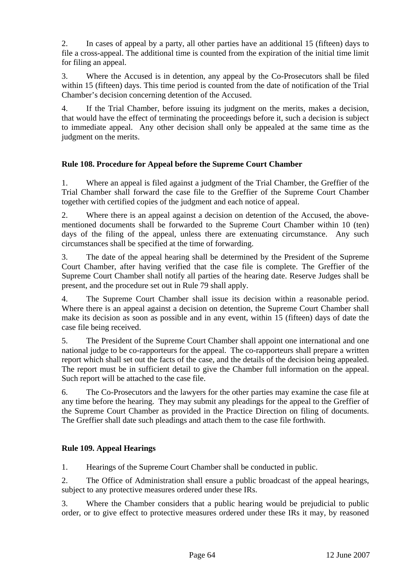2. In cases of appeal by a party, all other parties have an additional 15 (fifteen) days to file a cross-appeal. The additional time is counted from the expiration of the initial time limit for filing an appeal.

3. Where the Accused is in detention, any appeal by the Co-Prosecutors shall be filed within 15 (fifteen) days. This time period is counted from the date of notification of the Trial Chamber's decision concerning detention of the Accused.

4. If the Trial Chamber, before issuing its judgment on the merits, makes a decision, that would have the effect of terminating the proceedings before it, such a decision is subject to immediate appeal. Any other decision shall only be appealed at the same time as the judgment on the merits.

#### **Rule 108. Procedure for Appeal before the Supreme Court Chamber**

1. Where an appeal is filed against a judgment of the Trial Chamber, the Greffier of the Trial Chamber shall forward the case file to the Greffier of the Supreme Court Chamber together with certified copies of the judgment and each notice of appeal.

2. Where there is an appeal against a decision on detention of the Accused, the abovementioned documents shall be forwarded to the Supreme Court Chamber within 10 (ten) days of the filing of the appeal, unless there are extenuating circumstance. Any such circumstances shall be specified at the time of forwarding.

3. The date of the appeal hearing shall be determined by the President of the Supreme Court Chamber, after having verified that the case file is complete. The Greffier of the Supreme Court Chamber shall notify all parties of the hearing date. Reserve Judges shall be present, and the procedure set out in Rule 79 shall apply.

4. The Supreme Court Chamber shall issue its decision within a reasonable period. Where there is an appeal against a decision on detention, the Supreme Court Chamber shall make its decision as soon as possible and in any event, within 15 (fifteen) days of date the case file being received.

5. The President of the Supreme Court Chamber shall appoint one international and one national judge to be co-rapporteurs for the appeal. The co-rapporteurs shall prepare a written report which shall set out the facts of the case, and the details of the decision being appealed. The report must be in sufficient detail to give the Chamber full information on the appeal. Such report will be attached to the case file.

6. The Co-Prosecutors and the lawyers for the other parties may examine the case file at any time before the hearing. They may submit any pleadings for the appeal to the Greffier of the Supreme Court Chamber as provided in the Practice Direction on filing of documents. The Greffier shall date such pleadings and attach them to the case file forthwith.

#### **Rule 109. Appeal Hearings**

1. Hearings of the Supreme Court Chamber shall be conducted in public.

2. The Office of Administration shall ensure a public broadcast of the appeal hearings, subject to any protective measures ordered under these IRs.

3. Where the Chamber considers that a public hearing would be prejudicial to public order, or to give effect to protective measures ordered under these IRs it may, by reasoned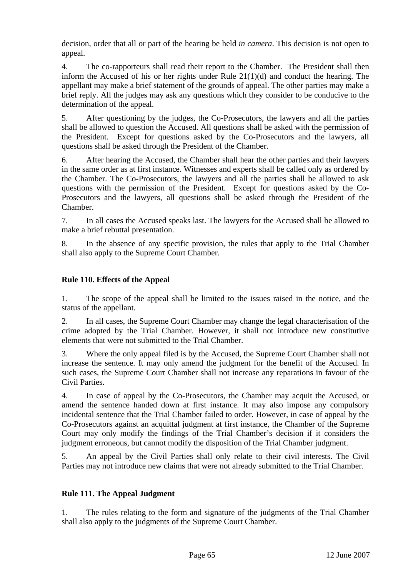decision, order that all or part of the hearing be held *in camera*. This decision is not open to appeal.

4. The co-rapporteurs shall read their report to the Chamber. The President shall then inform the Accused of his or her rights under Rule 21(1)(d) and conduct the hearing. The appellant may make a brief statement of the grounds of appeal. The other parties may make a brief reply. All the judges may ask any questions which they consider to be conducive to the determination of the appeal.

5. After questioning by the judges, the Co-Prosecutors, the lawyers and all the parties shall be allowed to question the Accused. All questions shall be asked with the permission of the President. Except for questions asked by the Co-Prosecutors and the lawyers, all questions shall be asked through the President of the Chamber.

6. After hearing the Accused, the Chamber shall hear the other parties and their lawyers in the same order as at first instance. Witnesses and experts shall be called only as ordered by the Chamber. The Co-Prosecutors, the lawyers and all the parties shall be allowed to ask questions with the permission of the President. Except for questions asked by the Co-Prosecutors and the lawyers, all questions shall be asked through the President of the Chamber.

7. In all cases the Accused speaks last. The lawyers for the Accused shall be allowed to make a brief rebuttal presentation.

8. In the absence of any specific provision, the rules that apply to the Trial Chamber shall also apply to the Supreme Court Chamber.

#### **Rule 110. Effects of the Appeal**

1. The scope of the appeal shall be limited to the issues raised in the notice, and the status of the appellant.

2. In all cases, the Supreme Court Chamber may change the legal characterisation of the crime adopted by the Trial Chamber. However, it shall not introduce new constitutive elements that were not submitted to the Trial Chamber.

3. Where the only appeal filed is by the Accused, the Supreme Court Chamber shall not increase the sentence. It may only amend the judgment for the benefit of the Accused. In such cases, the Supreme Court Chamber shall not increase any reparations in favour of the Civil Parties.

4. In case of appeal by the Co-Prosecutors, the Chamber may acquit the Accused, or amend the sentence handed down at first instance. It may also impose any compulsory incidental sentence that the Trial Chamber failed to order. However, in case of appeal by the Co-Prosecutors against an acquittal judgment at first instance, the Chamber of the Supreme Court may only modify the findings of the Trial Chamber's decision if it considers the judgment erroneous, but cannot modify the disposition of the Trial Chamber judgment.

5. An appeal by the Civil Parties shall only relate to their civil interests. The Civil Parties may not introduce new claims that were not already submitted to the Trial Chamber.

#### **Rule 111. The Appeal Judgment**

1. The rules relating to the form and signature of the judgments of the Trial Chamber shall also apply to the judgments of the Supreme Court Chamber.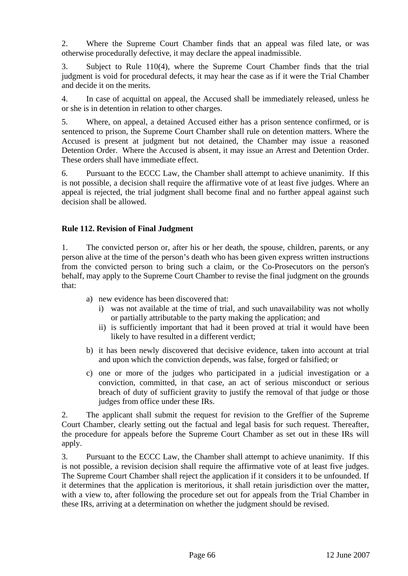2. Where the Supreme Court Chamber finds that an appeal was filed late, or was otherwise procedurally defective, it may declare the appeal inadmissible.

3. Subject to Rule 110(4), where the Supreme Court Chamber finds that the trial judgment is void for procedural defects, it may hear the case as if it were the Trial Chamber and decide it on the merits.

4. In case of acquittal on appeal, the Accused shall be immediately released, unless he or she is in detention in relation to other charges.

5. Where, on appeal, a detained Accused either has a prison sentence confirmed, or is sentenced to prison, the Supreme Court Chamber shall rule on detention matters. Where the Accused is present at judgment but not detained, the Chamber may issue a reasoned Detention Order. Where the Accused is absent, it may issue an Arrest and Detention Order. These orders shall have immediate effect.

6. Pursuant to the ECCC Law, the Chamber shall attempt to achieve unanimity. If this is not possible, a decision shall require the affirmative vote of at least five judges. Where an appeal is rejected, the trial judgment shall become final and no further appeal against such decision shall be allowed.

#### **Rule 112. Revision of Final Judgment**

1. The convicted person or, after his or her death, the spouse, children, parents, or any person alive at the time of the person's death who has been given express written instructions from the convicted person to bring such a claim, or the Co-Prosecutors on the person's behalf, may apply to the Supreme Court Chamber to revise the final judgment on the grounds that:

- a) new evidence has been discovered that:
	- i) was not available at the time of trial, and such unavailability was not wholly or partially attributable to the party making the application; and
	- ii) is sufficiently important that had it been proved at trial it would have been likely to have resulted in a different verdict;
- b) it has been newly discovered that decisive evidence, taken into account at trial and upon which the conviction depends, was false, forged or falsified; or
- c) one or more of the judges who participated in a judicial investigation or a conviction, committed, in that case, an act of serious misconduct or serious breach of duty of sufficient gravity to justify the removal of that judge or those judges from office under these IRs.

2. The applicant shall submit the request for revision to the Greffier of the Supreme Court Chamber, clearly setting out the factual and legal basis for such request. Thereafter, the procedure for appeals before the Supreme Court Chamber as set out in these IRs will apply.

3. Pursuant to the ECCC Law, the Chamber shall attempt to achieve unanimity. If this is not possible, a revision decision shall require the affirmative vote of at least five judges. The Supreme Court Chamber shall reject the application if it considers it to be unfounded. If it determines that the application is meritorious, it shall retain jurisdiction over the matter, with a view to, after following the procedure set out for appeals from the Trial Chamber in these IRs, arriving at a determination on whether the judgment should be revised.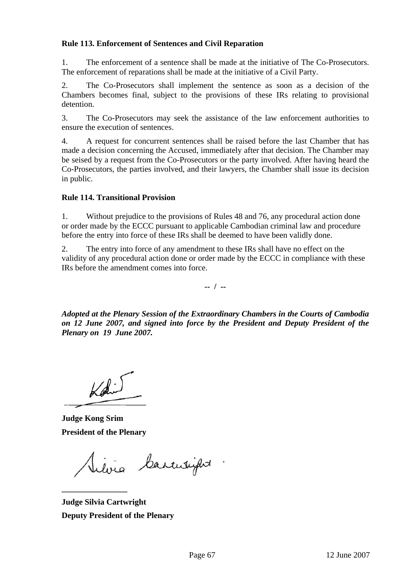#### **Rule 113. Enforcement of Sentences and Civil Reparation**

1. The enforcement of a sentence shall be made at the initiative of The Co-Prosecutors. The enforcement of reparations shall be made at the initiative of a Civil Party.

2. The Co-Prosecutors shall implement the sentence as soon as a decision of the Chambers becomes final, subject to the provisions of these IRs relating to provisional detention.

3. The Co-Prosecutors may seek the assistance of the law enforcement authorities to ensure the execution of sentences.

4. A request for concurrent sentences shall be raised before the last Chamber that has made a decision concerning the Accused, immediately after that decision. The Chamber may be seised by a request from the Co-Prosecutors or the party involved. After having heard the Co-Prosecutors, the parties involved, and their lawyers, the Chamber shall issue its decision in public.

#### **Rule 114. Transitional Provision**

1. Without prejudice to the provisions of Rules 48 and 76, any procedural action done or order made by the ECCC pursuant to applicable Cambodian criminal law and procedure before the entry into force of these IRs shall be deemed to have been validly done.

2. The entry into force of any amendment to these IRs shall have no effect on the validity of any procedural action done or order made by the ECCC in compliance with these IRs before the amendment comes into force.

**-- / --** 

*Adopted at the Plenary Session of the Extraordinary Chambers in the Courts of Cambodia on 12 June 2007, and signed into force by the President and Deputy President of the Plenary on 19 June 2007.* 

Kolin

**Judge Kong Srim President of the Plenary** 

**\_\_\_\_\_\_\_\_\_\_\_\_\_\_\_\_** 

ilvia barcusipos

**Judge Silvia Cartwright Deputy President of the Plenary**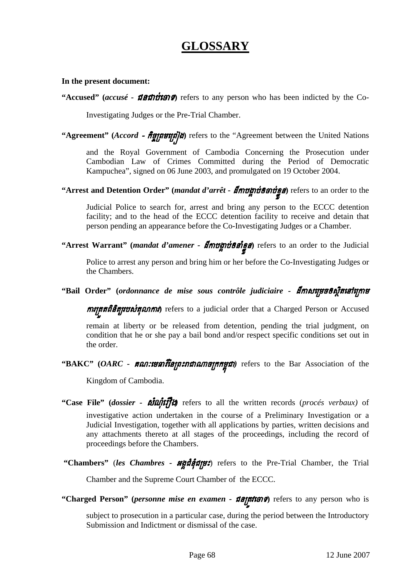# **GLOSSARY**

#### **In the present document:**

"Accused" (*accusé - ជនជាប់ពេច*) refers to any person who has been indicted by the Co-

Investigating Judges or the Pre-Trial Chamber.

"Agreement" (*Accord - figurenci)a*) refers to the "Agreement between the United Nations

and the Royal Government of Cambodia Concerning the Prosecution under Cambodian Law of Crimes Committed during the Period of Democratic Kampuchea", signed on 06 June 2003, and promulgated on 19 October 2004.

"Arrest and Detention Order" (*mandat d'arrêt - ដីកាបង្គាប់ឲចាប់ខ្លួន*) refers to an order to the

Judicial Police to search for, arrest and bring any person to the ECCC detention facility; and to the head of the ECCC detention facility to receive and detain that person pending an appearance before the Co-Investigating Judges or a Chamber.

"Arrest Warrant" (*mandat d'amener - ដីកាបង្គាប់ឲនាំខ្លួន*) refers to an order to the Judicial

Police to arrest any person and bring him or her before the Co-Investigating Judges or the Chambers.

"Bail Order" (ordonnance de mise sous contrôle judiciaire - **ដីកាសមុម្រចឲស្ថិតនៅក្រោម** 

ការរតតពួ ិនិតយរបស់តុលាការ**)** refers to a judicial order that a Charged Person or Accused

remain at liberty or be released from detention, pending the trial judgment, on condition that he or she pay a bail bond and/or respect specific conditions set out in the order.

"BAKC" (OARC - **គណៈ មេធាវីនៃព្រះរាជាណាចក្រកម្ពុជា**) refers to the Bar Association of the

Kingdom of Cambodia.

- "Case File" (*dossier binnifft*) refers to all the written records (*procés verbaux*) of investigative action undertaken in the course of a Preliminary Investigation or a Judicial Investigation, together with all applications by parties, written decisions and any attachments thereto at all stages of the proceedings, including the record of proceedings before the Chambers.
- **"Chambers"** (*les Chambres* អងគជំនុំជរមះ) refers to the Pre-Trial Chamber, the Trial

Chamber and the Supreme Court Chamber of the ECCC.

**"Charged Person"** (*personne mise en examen - ជន្រ្តរេមាទ*) refers to any person who is

subject to prosecution in a particular case, during the period between the Introductory Submission and Indictment or dismissal of the case.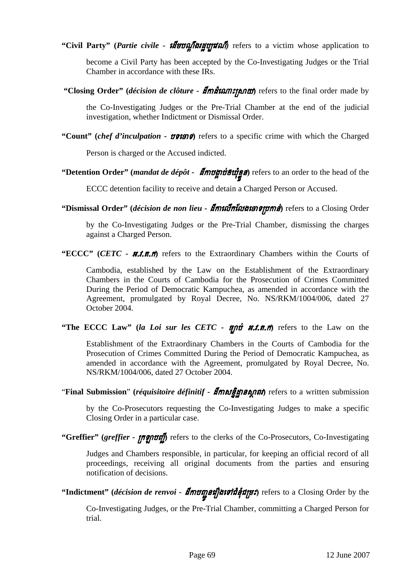"Civil Party" (Partie civile - thereof have not refers to a victim whose application to

become a Civil Party has been accepted by the Co-Investigating Judges or the Trial Chamber in accordance with these IRs.

"Closing Order" (*décision de clôture - ដីកាដំណោះស្រាយ)* refers to the final order made by

the Co-Investigating Judges or the Pre-Trial Chamber at the end of the judicial investigation, whether Indictment or Dismissal Order.

"Count" (*chef d'inculpation - vetene*) refers to a specific crime with which the Charged

Person is charged or the Accused indicted.

## "Detention Order" (*mandat de dépôt - ដីកាបង្គាប់ឲឃុំខ្លួន*) refers to an order to the head of the

ECCC detention facility to receive and detain a Charged Person or Accused.

"Dismissal Order" (*décision de non lieu - ដីកាណើកលែងចោទប្រកាន់)* refers to a Closing Order

by the Co-Investigating Judges or the Pre-Trial Chamber, dismissing the charges against a Charged Person.

**"ECCC"** (*CETC - អ.1. m*) refers to the Extraordinary Chambers within the Courts of

Cambodia, established by the Law on the Establishment of the Extraordinary Chambers in the Courts of Cambodia for the Prosecution of Crimes Committed During the Period of Democratic Kampuchea, as amended in accordance with the Agreement, promulgated by Royal Decree, No. NS/RKM/1004/006, dated 27 October 2004.

**"The ECCC Law"** (*la Loi sur les CETC - ច្បាប់ អ.1. ត*, *n*) refers to the Law on the

Establishment of the Extraordinary Chambers in the Courts of Cambodia for the Prosecution of Crimes Committed During the Period of Democratic Kampuchea, as amended in accordance with the Agreement, promulgated by Royal Decree, No. NS/RKM/1004/006, dated 27 October 2004.

"**Final Submission**" **(***réquisitoire définitif -* ដីកាសននិដាឋនសាថពរ**)** refers to a written submission

by the Co-Prosecutors requesting the Co-Investigating Judges to make a specific Closing Order in a particular case.

"Greffier" (*greffier - trignum)* refers to the clerks of the Co-Prosecutors, Co-Investigating

Judges and Chambers responsible, in particular, for keeping an official record of all proceedings, receiving all original documents from the parties and ensuring notification of decisions.

**"Indictment" (***décision de renvoi -* ដីកាបញនេរឿងេទៅជ ជូ ំនុំជរមះ**)** refers to a Closing Order by the

Co-Investigating Judges, or the Pre-Trial Chamber, committing a Charged Person for trial.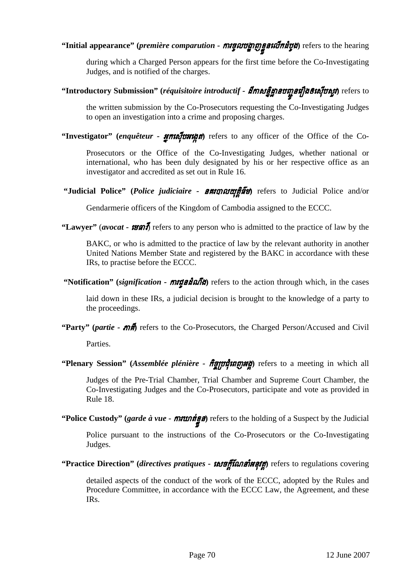## **"Initial appearance"** (*première comparution - ការចូលបង្ហាញខ្លួនលើកដំបូង)* refers to the hearing

during which a Charged Person appears for the first time before the Co-Investigating Judges, and is notified of the charges.

# **"Introductory Submission" (***réquisitoire introductif -* ដីកាសននិដាឋនបញនេរឿងឲេស ជូ បសុើ ួ<sup>រ</sup>**)** refers to

the written submission by the Co-Prosecutors requesting the Co-Investigating Judges to open an investigation into a crime and proposing charges.

**"Investigator" (***enquêteur -* អនកេសុើបអេងកត**)** refers to any officer of the Office of the Co-

Prosecutors or the Office of the Co-Investigating Judges, whether national or international, who has been duly designated by his or her respective office as an investigator and accredited as set out in Rule 16.

 **"Judicial Police" (***Police judiciaire -* នគរបាលយុតតិធ៌ម**)** refers to Judicial Police and/or

Gendarmerie officers of the Kingdom of Cambodia assigned to the ECCC.

"Lawver" (*avocat - tuni*) refers to any person who is admitted to the practice of law by the

BAKC, or who is admitted to the practice of law by the relevant authority in another United Nations Member State and registered by the BAKC in accordance with these IRs, to practise before the ECCC.

**"Notification" (***signification -* ការជនដូ ំណឹង**)** refers to the action through which, in the cases

laid down in these IRs, a judicial decision is brought to the knowledge of a party to the proceedings.

**"Party" (***partie -* ភាគ**)**ី refers to the Co-Prosecutors, the Charged Person/Accused and Civil

Parties.

"Plenary Session" (*Assemblée plénière - fignering mag*) refers to a meeting in which all

Judges of the Pre-Trial Chamber, Trial Chamber and Supreme Court Chamber, the Co-Investigating Judges and the Co-Prosecutors, participate and vote as provided in Rule 18.

"Police Custody" (*garde à vue - minitings*) refers to the holding of a Suspect by the Judicial

Police pursuant to the instructions of the Co-Prosecutors or the Co-Investigating Judges.

"Practice Direction" (*directives pratiques - សេចក្តីណែនាំអនុវត្ត*) refers to regulations covering

detailed aspects of the conduct of the work of the ECCC, adopted by the Rules and Procedure Committee, in accordance with the ECCC Law, the Agreement, and these IRs.